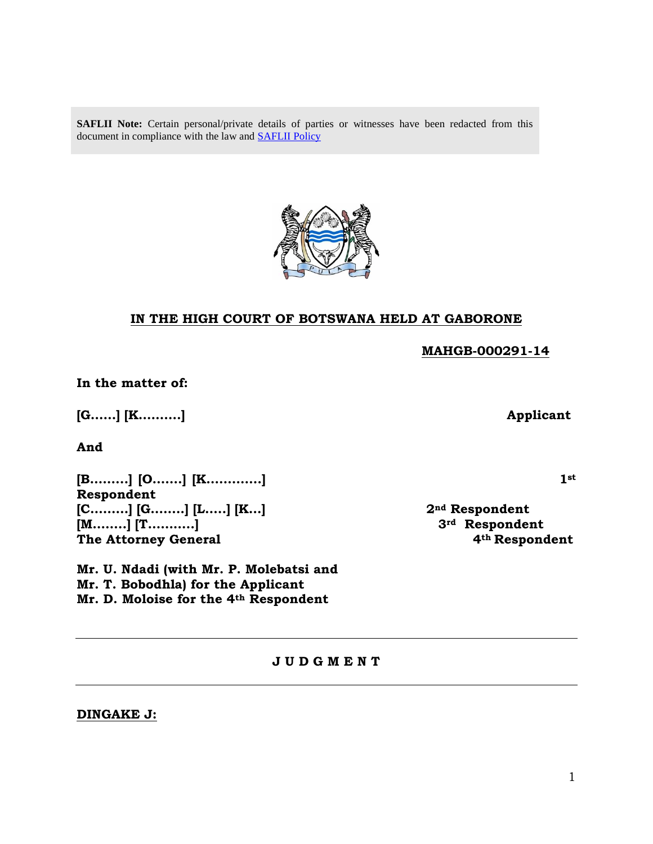SAFLII Note: Certain personal/private details of parties or witnesses have been redacted from this document in compliance with the law and [SAFLII Policy](http://www.saflii.org/content/terms-use)



### **IN THE HIGH COURT OF BOTSWANA HELD AT GABORONE**

 **MAHGB-000291-14**

**In the matter of:**

**[G……] [K……….] Applicant**

**And**

**[B……...] [O…….] [K………….] 1st Respondent [C………] [G……..] [L…..] [K…] 2nd Respondent [M……..] [T………..] 3rd Respondent** The Attorney General **4<sup>th</sup> Respondent** 

**Mr. U. Ndadi (with Mr. P. Molebatsi and Mr. T. Bobodhla) for the Applicant Mr. D. Moloise for the 4th Respondent**

**J U D G M E N T**

**DINGAKE J:**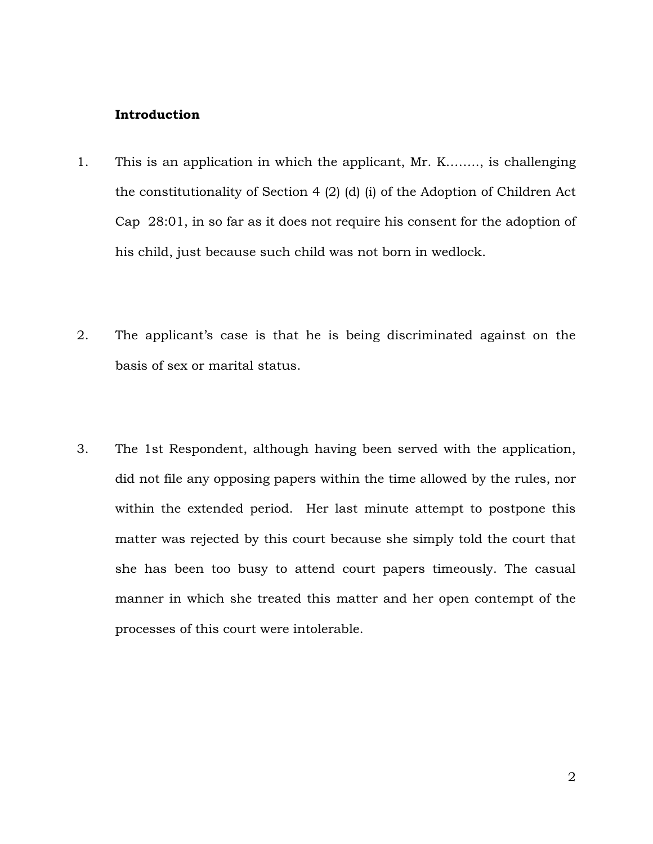#### **Introduction**

- 1. This is an application in which the applicant, Mr. K…….., is challenging the constitutionality of Section 4 (2) (d) (i) of the Adoption of Children Act Cap 28:01, in so far as it does not require his consent for the adoption of his child, just because such child was not born in wedlock.
- 2. The applicant's case is that he is being discriminated against on the basis of sex or marital status.
- 3. The 1st Respondent, although having been served with the application, did not file any opposing papers within the time allowed by the rules, nor within the extended period. Her last minute attempt to postpone this matter was rejected by this court because she simply told the court that she has been too busy to attend court papers timeously. The casual manner in which she treated this matter and her open contempt of the processes of this court were intolerable.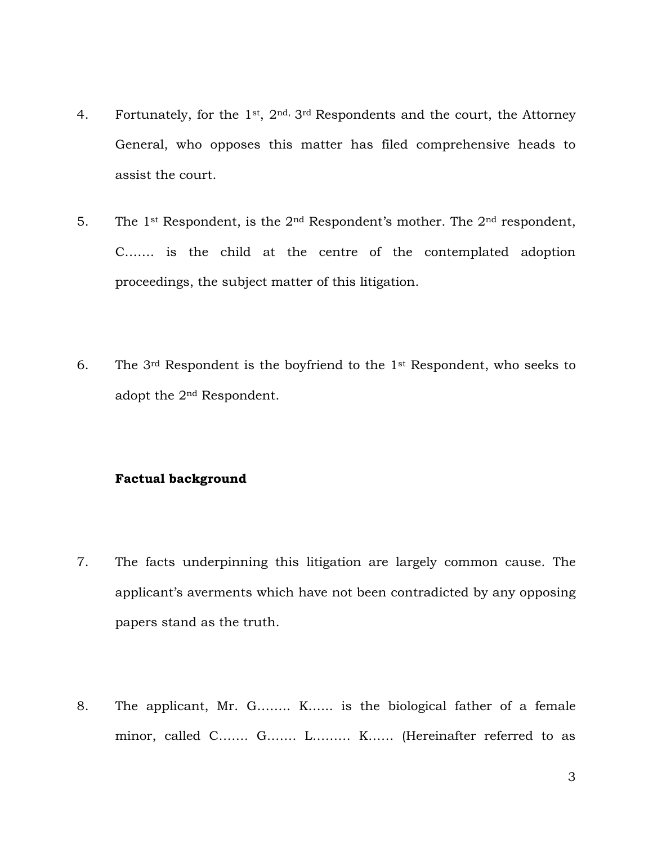- 4. Fortunately, for the 1<sup>st</sup>,  $2<sup>nd</sup>$ ,  $3<sup>rd</sup>$  Respondents and the court, the Attorney General, who opposes this matter has filed comprehensive heads to assist the court.
- 5. The 1<sup>st</sup> Respondent, is the  $2<sup>nd</sup>$  Respondent's mother. The  $2<sup>nd</sup>$  respondent, C……. is the child at the centre of the contemplated adoption proceedings, the subject matter of this litigation.
- 6. The  $3<sup>rd</sup>$  Respondent is the boyfriend to the  $1<sup>st</sup>$  Respondent, who seeks to adopt the 2nd Respondent.

#### **Factual background**

- 7. The facts underpinning this litigation are largely common cause. The applicant's averments which have not been contradicted by any opposing papers stand as the truth.
- 8. The applicant, Mr. G…….. K…... is the biological father of a female minor, called C……. G……. L……… K…… (Hereinafter referred to as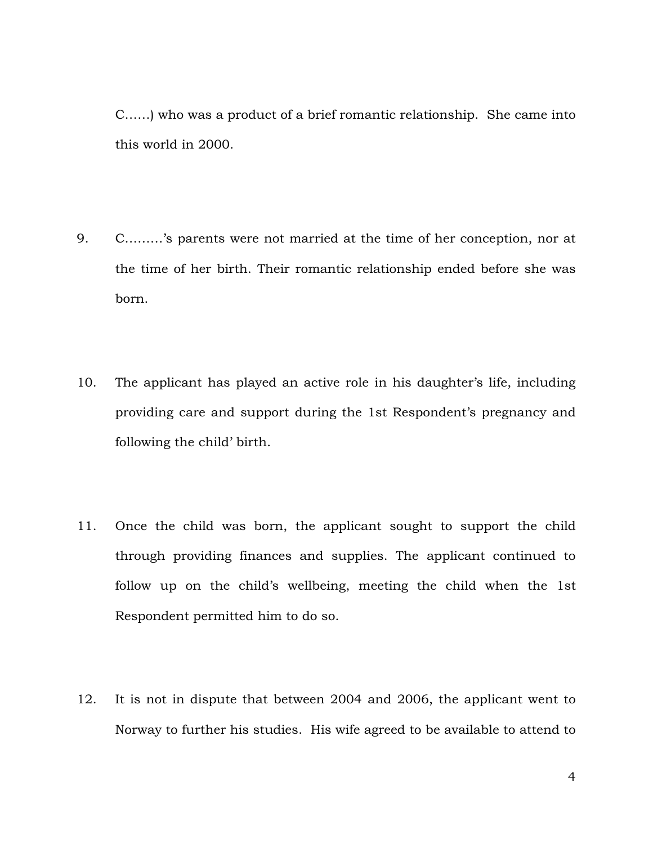C……) who was a product of a brief romantic relationship. She came into this world in 2000.

- 9. C………'s parents were not married at the time of her conception, nor at the time of her birth. Their romantic relationship ended before she was born.
- 10. The applicant has played an active role in his daughter's life, including providing care and support during the 1st Respondent's pregnancy and following the child' birth.
- 11. Once the child was born, the applicant sought to support the child through providing finances and supplies. The applicant continued to follow up on the child's wellbeing, meeting the child when the 1st Respondent permitted him to do so.
- 12. It is not in dispute that between 2004 and 2006, the applicant went to Norway to further his studies. His wife agreed to be available to attend to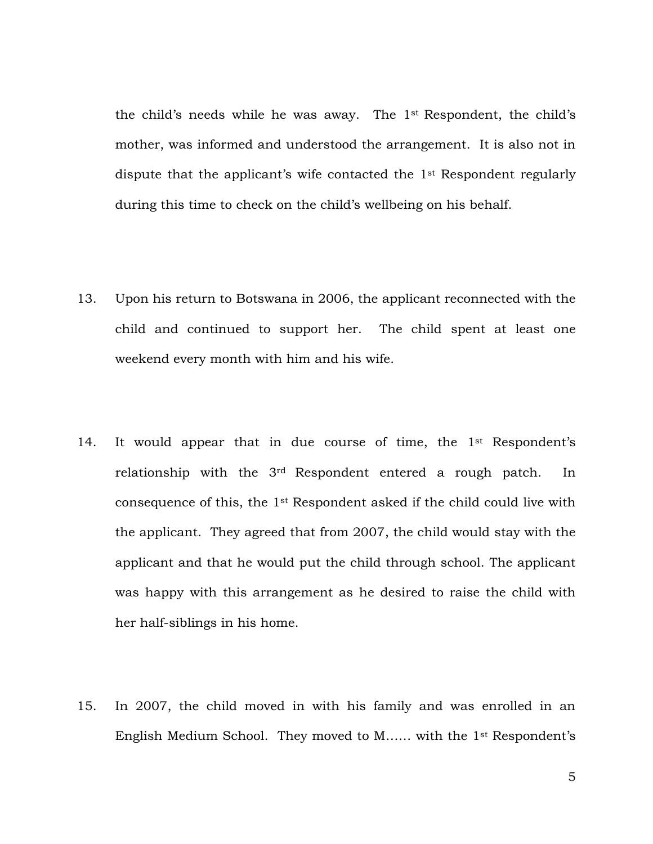the child's needs while he was away. The 1st Respondent, the child's mother, was informed and understood the arrangement. It is also not in dispute that the applicant's wife contacted the 1st Respondent regularly during this time to check on the child's wellbeing on his behalf.

- 13. Upon his return to Botswana in 2006, the applicant reconnected with the child and continued to support her. The child spent at least one weekend every month with him and his wife.
- 14. It would appear that in due course of time, the 1<sup>st</sup> Respondent's relationship with the 3rd Respondent entered a rough patch. In consequence of this, the 1st Respondent asked if the child could live with the applicant. They agreed that from 2007, the child would stay with the applicant and that he would put the child through school. The applicant was happy with this arrangement as he desired to raise the child with her half-siblings in his home.
- 15. In 2007, the child moved in with his family and was enrolled in an English Medium School. They moved to M…… with the 1st Respondent's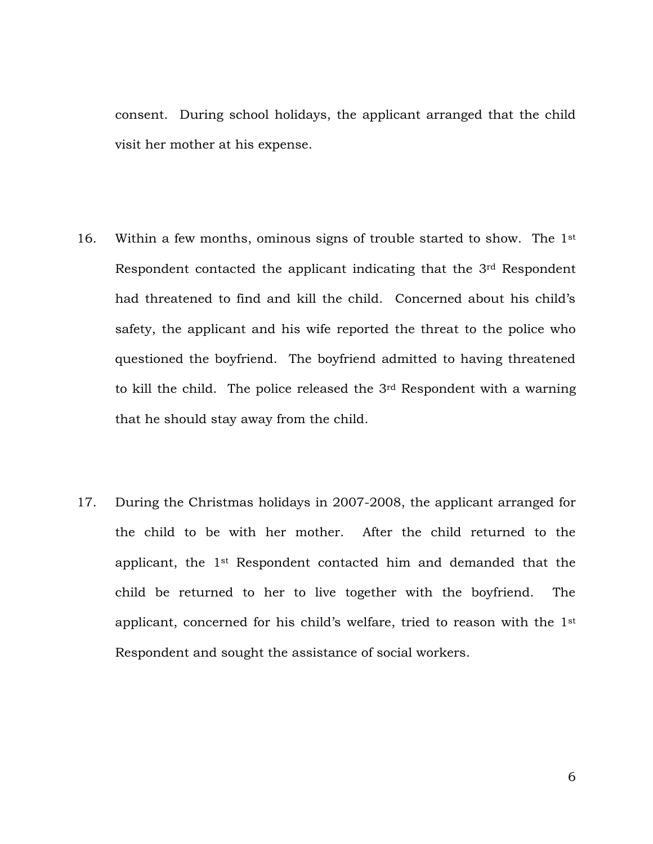consent. During school holidays, the applicant arranged that the child visit her mother at his expense.

- 16. Within a few months, ominous signs of trouble started to show. The 1st Respondent contacted the applicant indicating that the 3rd Respondent had threatened to find and kill the child. Concerned about his child's safety, the applicant and his wife reported the threat to the police who questioned the boyfriend. The boyfriend admitted to having threatened to kill the child. The police released the 3rd Respondent with a warning that he should stay away from the child.
- 17. During the Christmas holidays in 2007-2008, the applicant arranged for the child to be with her mother. After the child returned to the applicant, the 1st Respondent contacted him and demanded that the child be returned to her to live together with the boyfriend. The applicant, concerned for his child's welfare, tried to reason with the 1st Respondent and sought the assistance of social workers.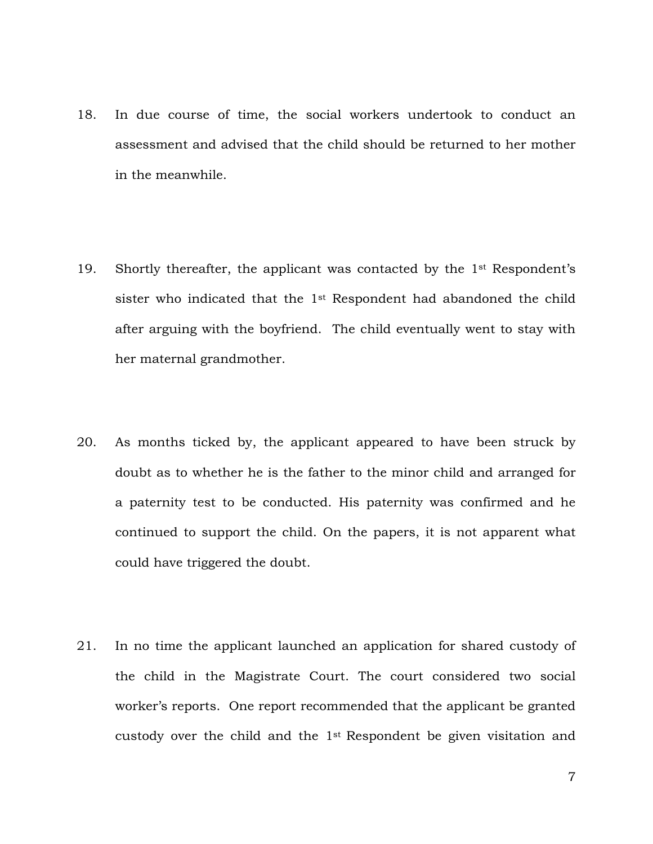- 18. In due course of time, the social workers undertook to conduct an assessment and advised that the child should be returned to her mother in the meanwhile.
- 19. Shortly thereafter, the applicant was contacted by the 1st Respondent's sister who indicated that the 1st Respondent had abandoned the child after arguing with the boyfriend. The child eventually went to stay with her maternal grandmother.
- 20. As months ticked by, the applicant appeared to have been struck by doubt as to whether he is the father to the minor child and arranged for a paternity test to be conducted. His paternity was confirmed and he continued to support the child. On the papers, it is not apparent what could have triggered the doubt.
- 21. In no time the applicant launched an application for shared custody of the child in the Magistrate Court. The court considered two social worker's reports. One report recommended that the applicant be granted custody over the child and the  $1<sup>st</sup>$  Respondent be given visitation and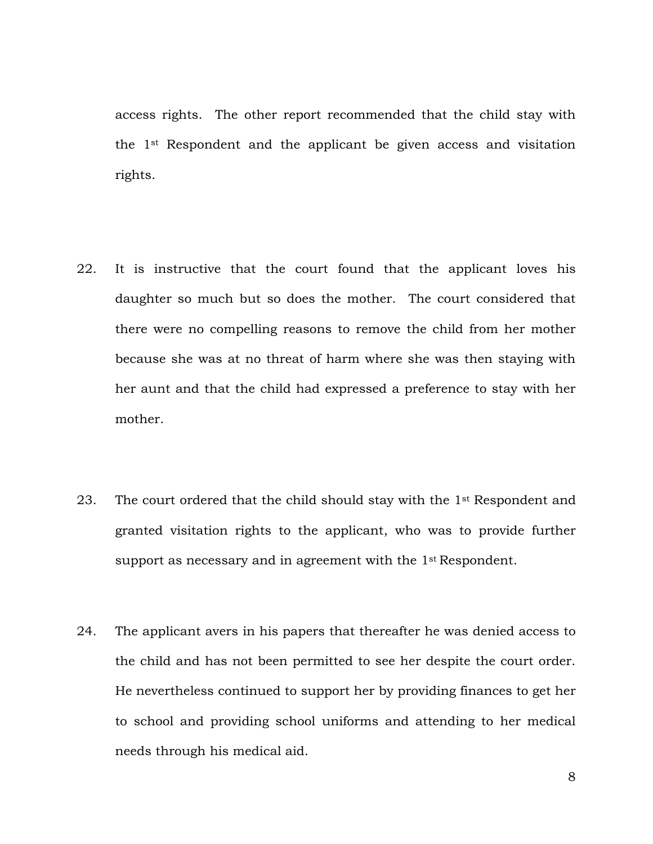access rights. The other report recommended that the child stay with the 1st Respondent and the applicant be given access and visitation rights.

- 22. It is instructive that the court found that the applicant loves his daughter so much but so does the mother. The court considered that there were no compelling reasons to remove the child from her mother because she was at no threat of harm where she was then staying with her aunt and that the child had expressed a preference to stay with her mother.
- 23. The court ordered that the child should stay with the 1<sup>st</sup> Respondent and granted visitation rights to the applicant, who was to provide further support as necessary and in agreement with the 1<sup>st</sup> Respondent.
- 24. The applicant avers in his papers that thereafter he was denied access to the child and has not been permitted to see her despite the court order. He nevertheless continued to support her by providing finances to get her to school and providing school uniforms and attending to her medical needs through his medical aid.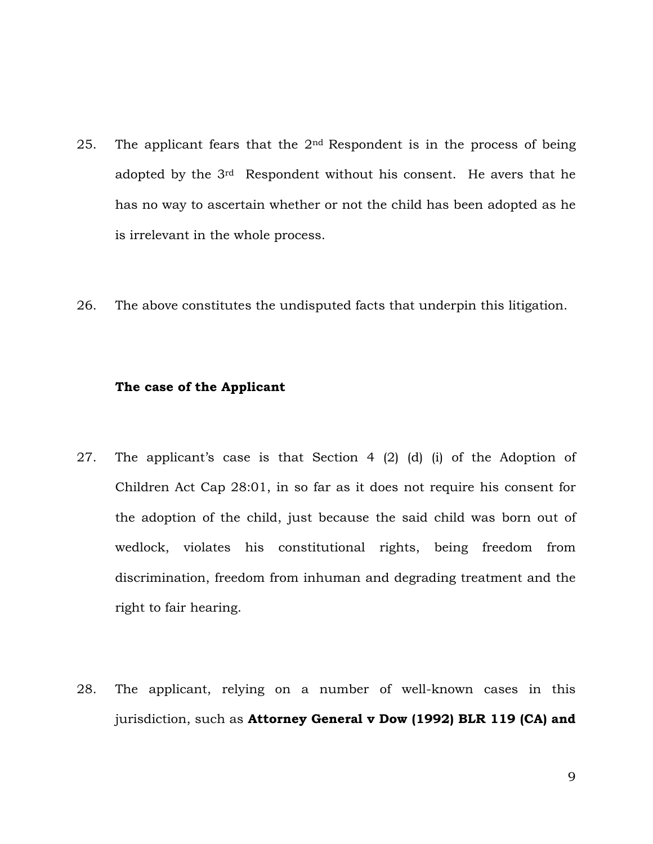- 25. The applicant fears that the  $2<sup>nd</sup>$  Respondent is in the process of being adopted by the 3rd Respondent without his consent. He avers that he has no way to ascertain whether or not the child has been adopted as he is irrelevant in the whole process.
- 26. The above constitutes the undisputed facts that underpin this litigation.

#### **The case of the Applicant**

- 27. The applicant's case is that Section 4 (2) (d) (i) of the Adoption of Children Act Cap 28:01, in so far as it does not require his consent for the adoption of the child, just because the said child was born out of wedlock, violates his constitutional rights, being freedom from discrimination, freedom from inhuman and degrading treatment and the right to fair hearing.
- 28. The applicant, relying on a number of well-known cases in this jurisdiction, such as **Attorney General v Dow (1992) BLR 119 (CA) and**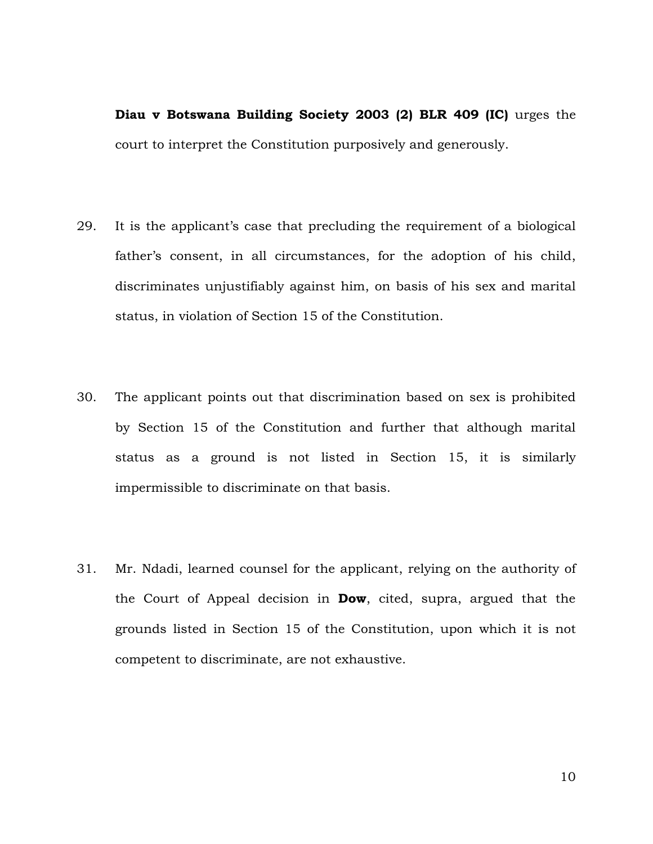**Diau v Botswana Building Society 2003 (2) BLR 409 (IC)** urges the court to interpret the Constitution purposively and generously.

- 29. It is the applicant's case that precluding the requirement of a biological father's consent, in all circumstances, for the adoption of his child, discriminates unjustifiably against him, on basis of his sex and marital status, in violation of Section 15 of the Constitution.
- 30. The applicant points out that discrimination based on sex is prohibited by Section 15 of the Constitution and further that although marital status as a ground is not listed in Section 15, it is similarly impermissible to discriminate on that basis.
- 31. Mr. Ndadi, learned counsel for the applicant, relying on the authority of the Court of Appeal decision in **Dow**, cited, supra, argued that the grounds listed in Section 15 of the Constitution, upon which it is not competent to discriminate, are not exhaustive.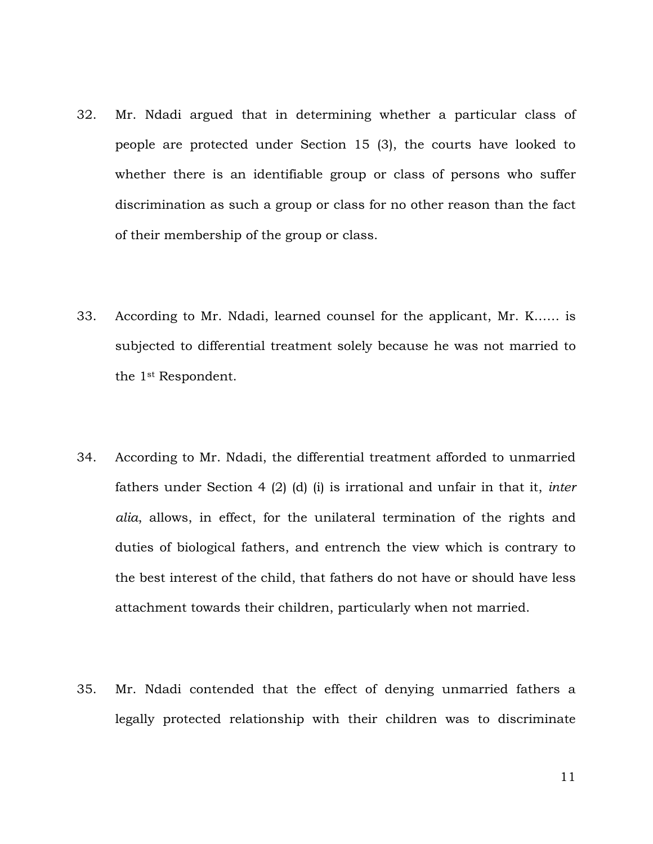- 32. Mr. Ndadi argued that in determining whether a particular class of people are protected under Section 15 (3), the courts have looked to whether there is an identifiable group or class of persons who suffer discrimination as such a group or class for no other reason than the fact of their membership of the group or class.
- 33. According to Mr. Ndadi, learned counsel for the applicant, Mr. K…… is subjected to differential treatment solely because he was not married to the 1st Respondent.
- 34. According to Mr. Ndadi, the differential treatment afforded to unmarried fathers under Section 4 (2) (d) (i) is irrational and unfair in that it, *inter alia*, allows, in effect, for the unilateral termination of the rights and duties of biological fathers, and entrench the view which is contrary to the best interest of the child, that fathers do not have or should have less attachment towards their children, particularly when not married.
- 35. Mr. Ndadi contended that the effect of denying unmarried fathers a legally protected relationship with their children was to discriminate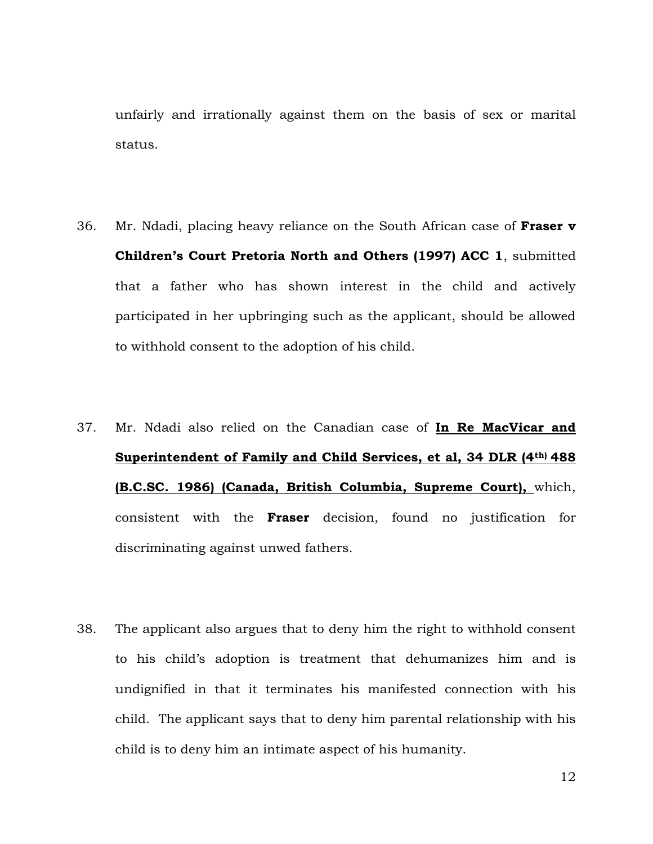unfairly and irrationally against them on the basis of sex or marital status.

- 36. Mr. Ndadi, placing heavy reliance on the South African case of **Fraser v Children's Court Pretoria North and Others (1997) ACC 1**, submitted that a father who has shown interest in the child and actively participated in her upbringing such as the applicant, should be allowed to withhold consent to the adoption of his child.
- 37. Mr. Ndadi also relied on the Canadian case of **In Re MacVicar and Superintendent of Family and Child Services, et al, 34 DLR (4th) 488 (B.C.SC. 1986) (Canada, British Columbia, Supreme Court),** which, consistent with the **Fraser** decision, found no justification for discriminating against unwed fathers.
- 38. The applicant also argues that to deny him the right to withhold consent to his child's adoption is treatment that dehumanizes him and is undignified in that it terminates his manifested connection with his child. The applicant says that to deny him parental relationship with his child is to deny him an intimate aspect of his humanity.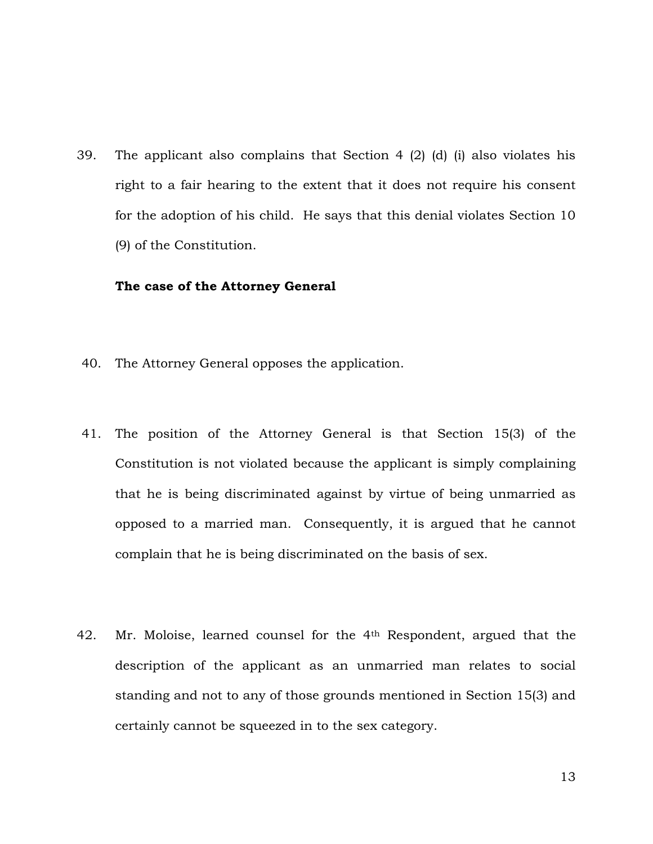39. The applicant also complains that Section 4 (2) (d) (i) also violates his right to a fair hearing to the extent that it does not require his consent for the adoption of his child. He says that this denial violates Section 10 (9) of the Constitution.

#### **The case of the Attorney General**

- 40. The Attorney General opposes the application.
- 41. The position of the Attorney General is that Section 15(3) of the Constitution is not violated because the applicant is simply complaining that he is being discriminated against by virtue of being unmarried as opposed to a married man. Consequently, it is argued that he cannot complain that he is being discriminated on the basis of sex.
- 42. Mr. Moloise, learned counsel for the 4th Respondent, argued that the description of the applicant as an unmarried man relates to social standing and not to any of those grounds mentioned in Section 15(3) and certainly cannot be squeezed in to the sex category.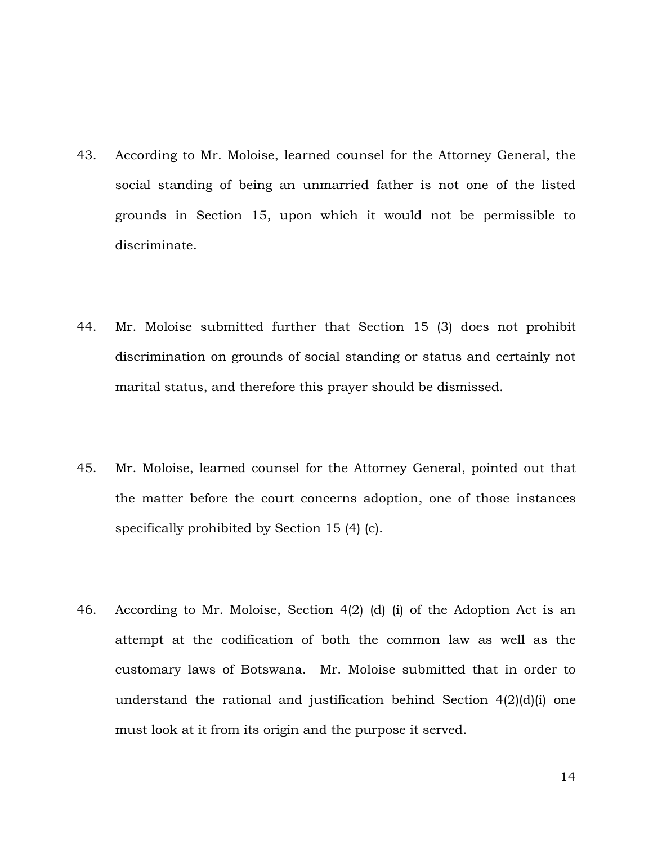- 43. According to Mr. Moloise, learned counsel for the Attorney General, the social standing of being an unmarried father is not one of the listed grounds in Section 15, upon which it would not be permissible to discriminate.
- 44. Mr. Moloise submitted further that Section 15 (3) does not prohibit discrimination on grounds of social standing or status and certainly not marital status, and therefore this prayer should be dismissed.
- 45. Mr. Moloise, learned counsel for the Attorney General, pointed out that the matter before the court concerns adoption, one of those instances specifically prohibited by Section 15 (4) (c).
- 46. According to Mr. Moloise, Section 4(2) (d) (i) of the Adoption Act is an attempt at the codification of both the common law as well as the customary laws of Botswana. Mr. Moloise submitted that in order to understand the rational and justification behind Section 4(2)(d)(i) one must look at it from its origin and the purpose it served.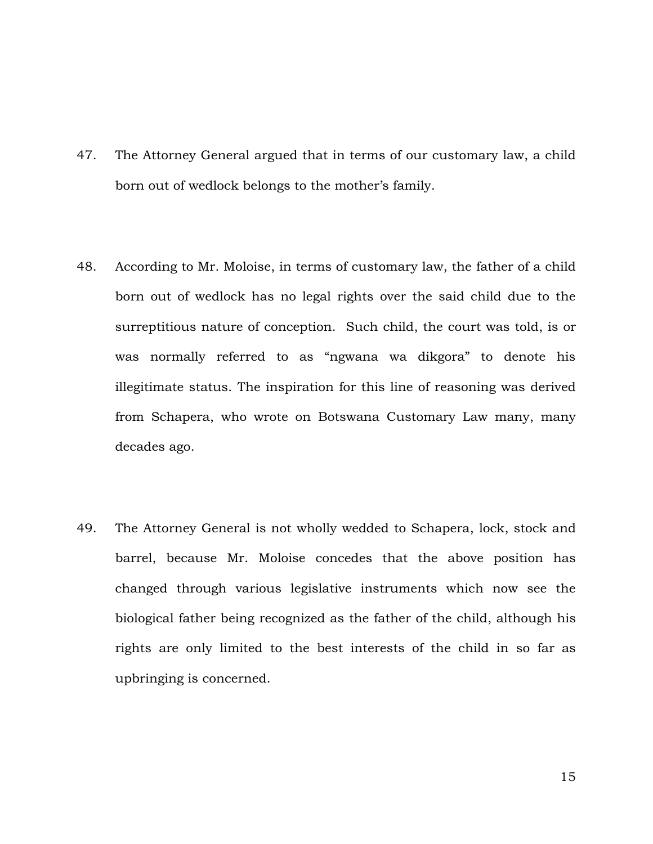- 47. The Attorney General argued that in terms of our customary law, a child born out of wedlock belongs to the mother's family.
- 48. According to Mr. Moloise, in terms of customary law, the father of a child born out of wedlock has no legal rights over the said child due to the surreptitious nature of conception. Such child, the court was told, is or was normally referred to as "ngwana wa dikgora" to denote his illegitimate status. The inspiration for this line of reasoning was derived from Schapera, who wrote on Botswana Customary Law many, many decades ago.
- 49. The Attorney General is not wholly wedded to Schapera, lock, stock and barrel, because Mr. Moloise concedes that the above position has changed through various legislative instruments which now see the biological father being recognized as the father of the child, although his rights are only limited to the best interests of the child in so far as upbringing is concerned.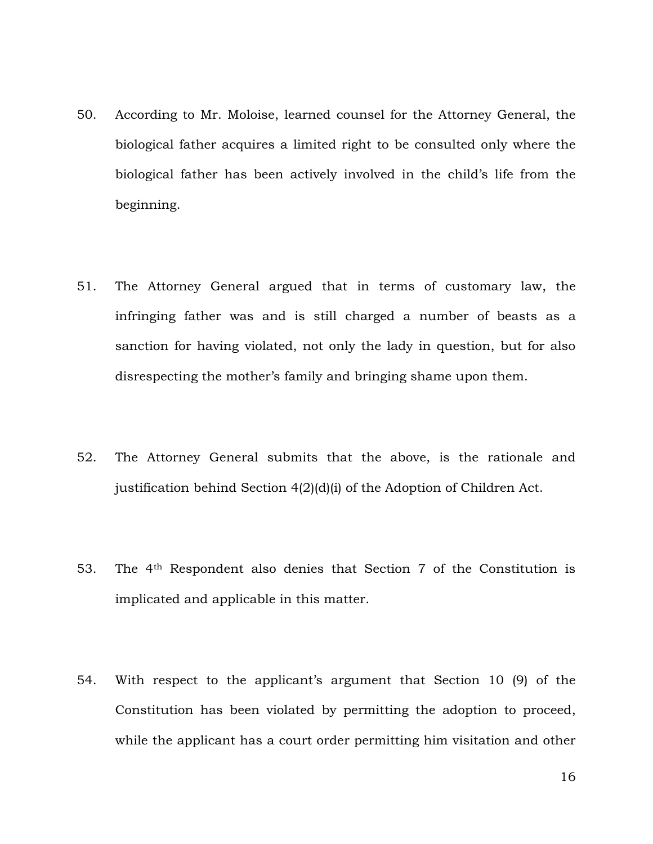- 50. According to Mr. Moloise, learned counsel for the Attorney General, the biological father acquires a limited right to be consulted only where the biological father has been actively involved in the child's life from the beginning.
- 51. The Attorney General argued that in terms of customary law, the infringing father was and is still charged a number of beasts as a sanction for having violated, not only the lady in question, but for also disrespecting the mother's family and bringing shame upon them.
- 52. The Attorney General submits that the above, is the rationale and justification behind Section 4(2)(d)(i) of the Adoption of Children Act.
- 53. The 4th Respondent also denies that Section 7 of the Constitution is implicated and applicable in this matter.
- 54. With respect to the applicant's argument that Section 10 (9) of the Constitution has been violated by permitting the adoption to proceed, while the applicant has a court order permitting him visitation and other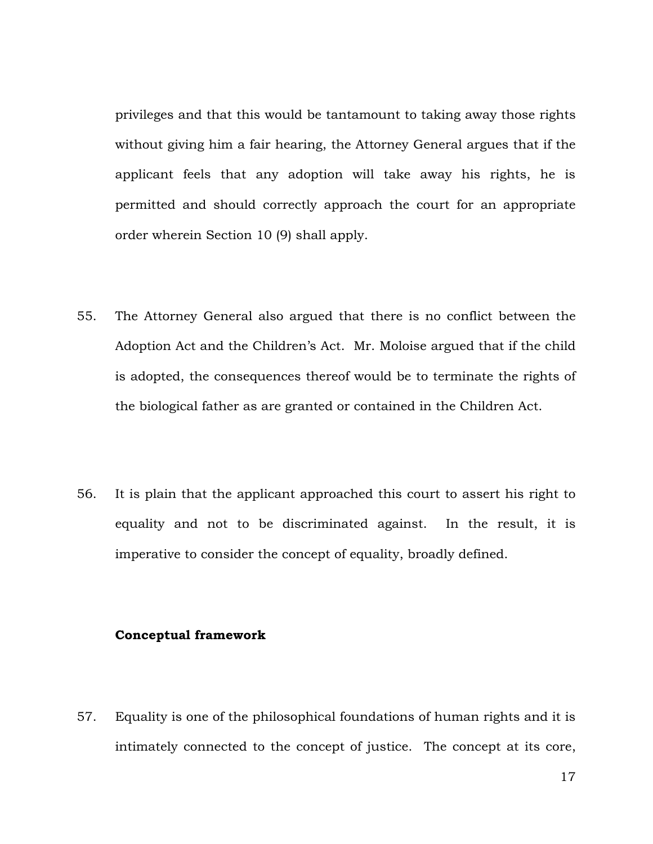privileges and that this would be tantamount to taking away those rights without giving him a fair hearing, the Attorney General argues that if the applicant feels that any adoption will take away his rights, he is permitted and should correctly approach the court for an appropriate order wherein Section 10 (9) shall apply.

- 55. The Attorney General also argued that there is no conflict between the Adoption Act and the Children's Act. Mr. Moloise argued that if the child is adopted, the consequences thereof would be to terminate the rights of the biological father as are granted or contained in the Children Act.
- 56. It is plain that the applicant approached this court to assert his right to equality and not to be discriminated against. In the result, it is imperative to consider the concept of equality, broadly defined.

### **Conceptual framework**

57. Equality is one of the philosophical foundations of human rights and it is intimately connected to the concept of justice. The concept at its core,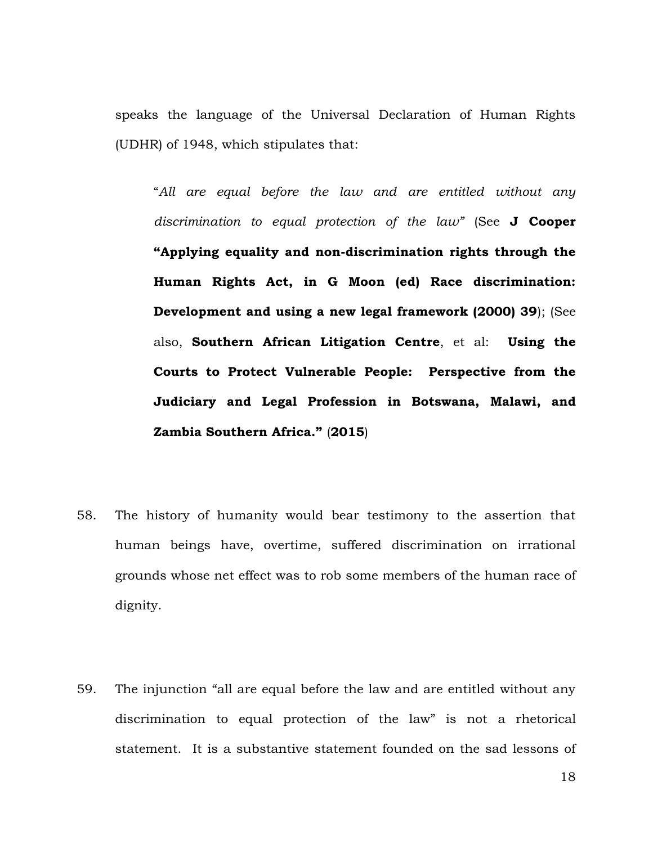speaks the language of the Universal Declaration of Human Rights (UDHR) of 1948, which stipulates that:

"*All are equal before the law and are entitled without any discrimination to equal protection of the law"* (See **J Cooper "Applying equality and non-discrimination rights through the Human Rights Act, in G Moon (ed) Race discrimination: Development and using a new legal framework (2000) 39**); (See also, **Southern African Litigation Centre**, et al: **Using the Courts to Protect Vulnerable People: Perspective from the Judiciary and Legal Profession in Botswana, Malawi, and Zambia Southern Africa."** (**2015**)

- 58. The history of humanity would bear testimony to the assertion that human beings have, overtime, suffered discrimination on irrational grounds whose net effect was to rob some members of the human race of dignity.
- 59. The injunction "all are equal before the law and are entitled without any discrimination to equal protection of the law" is not a rhetorical statement. It is a substantive statement founded on the sad lessons of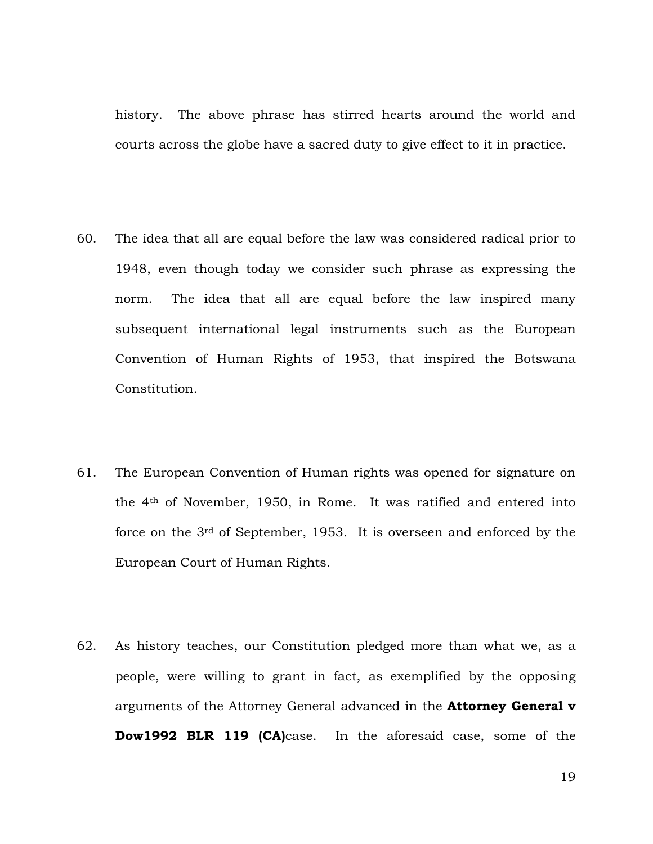history. The above phrase has stirred hearts around the world and courts across the globe have a sacred duty to give effect to it in practice.

- 60. The idea that all are equal before the law was considered radical prior to 1948, even though today we consider such phrase as expressing the norm. The idea that all are equal before the law inspired many subsequent international legal instruments such as the European Convention of Human Rights of 1953, that inspired the Botswana Constitution.
- 61. The European Convention of Human rights was opened for signature on the 4th of November, 1950, in Rome. It was ratified and entered into force on the 3rd of September, 1953. It is overseen and enforced by the European Court of Human Rights.
- 62. As history teaches, our Constitution pledged more than what we, as a people, were willing to grant in fact, as exemplified by the opposing arguments of the Attorney General advanced in the **Attorney General v Dow1992 BLR 119 (CA)**case. In the aforesaid case, some of the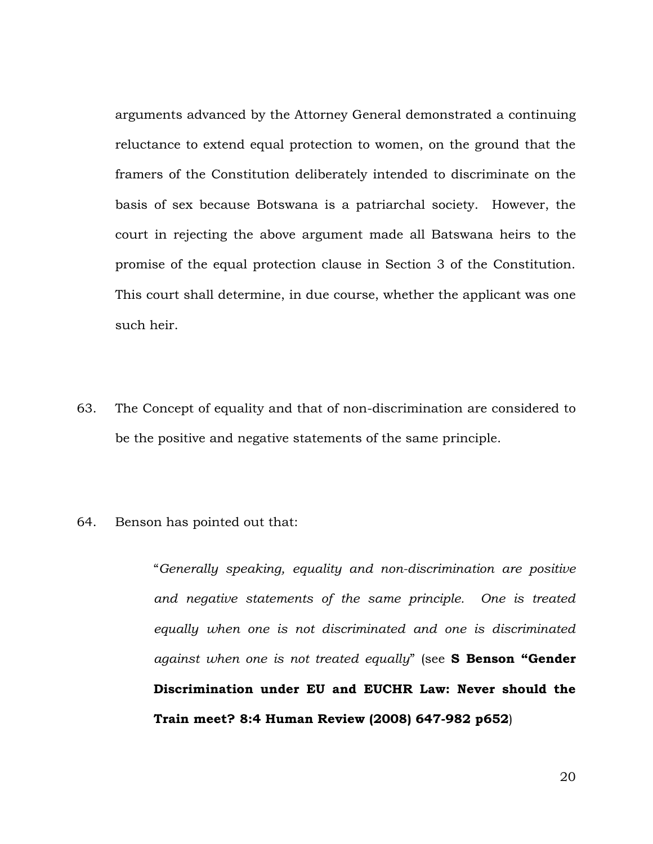arguments advanced by the Attorney General demonstrated a continuing reluctance to extend equal protection to women, on the ground that the framers of the Constitution deliberately intended to discriminate on the basis of sex because Botswana is a patriarchal society. However, the court in rejecting the above argument made all Batswana heirs to the promise of the equal protection clause in Section 3 of the Constitution. This court shall determine, in due course, whether the applicant was one such heir.

- 63. The Concept of equality and that of non-discrimination are considered to be the positive and negative statements of the same principle.
- 64. Benson has pointed out that:

"*Generally speaking, equality and non-discrimination are positive and negative statements of the same principle. One is treated equally when one is not discriminated and one is discriminated against when one is not treated equally*" (see **S Benson "Gender Discrimination under EU and EUCHR Law: Never should the Train meet? 8:4 Human Review (2008) 647-982 p652**)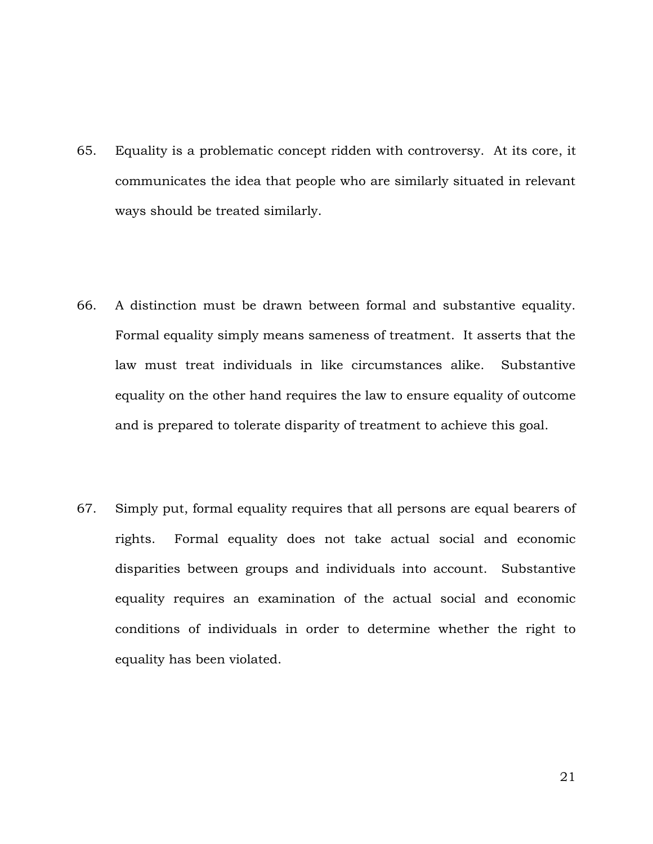- 65. Equality is a problematic concept ridden with controversy. At its core, it communicates the idea that people who are similarly situated in relevant ways should be treated similarly.
- 66. A distinction must be drawn between formal and substantive equality. Formal equality simply means sameness of treatment. It asserts that the law must treat individuals in like circumstances alike. Substantive equality on the other hand requires the law to ensure equality of outcome and is prepared to tolerate disparity of treatment to achieve this goal.
- 67. Simply put, formal equality requires that all persons are equal bearers of rights. Formal equality does not take actual social and economic disparities between groups and individuals into account. Substantive equality requires an examination of the actual social and economic conditions of individuals in order to determine whether the right to equality has been violated.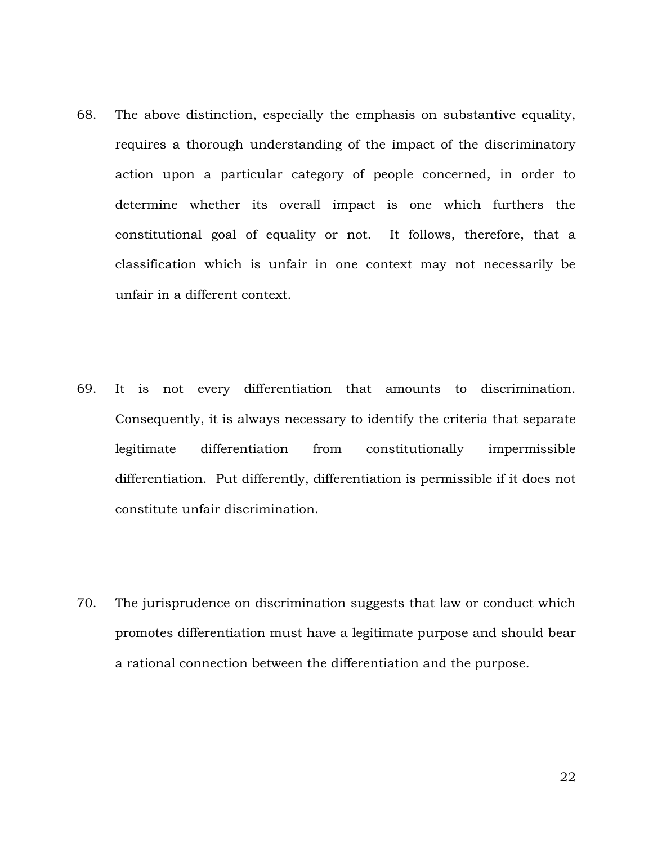- 68. The above distinction, especially the emphasis on substantive equality, requires a thorough understanding of the impact of the discriminatory action upon a particular category of people concerned, in order to determine whether its overall impact is one which furthers the constitutional goal of equality or not. It follows, therefore, that a classification which is unfair in one context may not necessarily be unfair in a different context.
- 69. It is not every differentiation that amounts to discrimination. Consequently, it is always necessary to identify the criteria that separate legitimate differentiation from constitutionally impermissible differentiation. Put differently, differentiation is permissible if it does not constitute unfair discrimination.
- 70. The jurisprudence on discrimination suggests that law or conduct which promotes differentiation must have a legitimate purpose and should bear a rational connection between the differentiation and the purpose.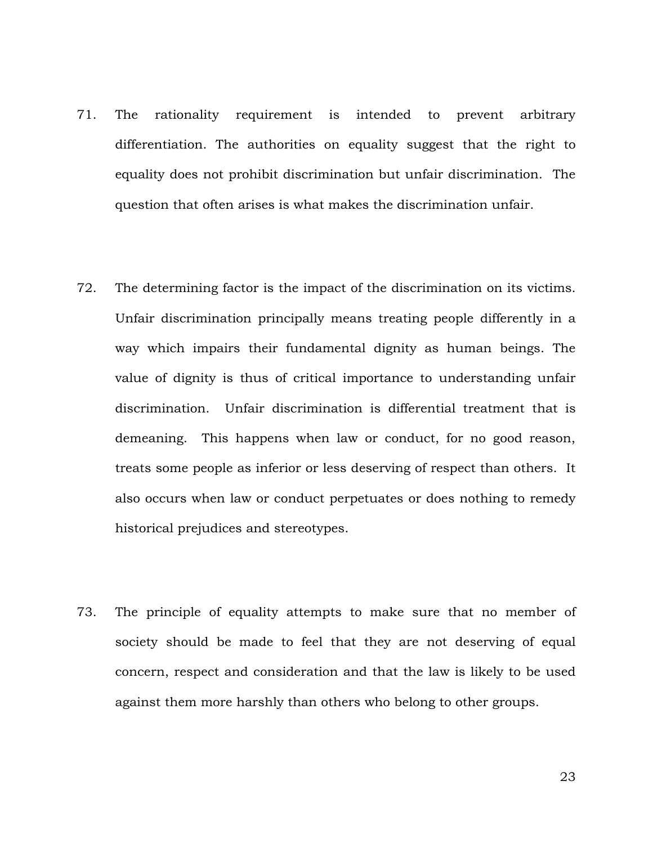- 71. The rationality requirement is intended to prevent arbitrary differentiation. The authorities on equality suggest that the right to equality does not prohibit discrimination but unfair discrimination. The question that often arises is what makes the discrimination unfair.
- 72. The determining factor is the impact of the discrimination on its victims. Unfair discrimination principally means treating people differently in a way which impairs their fundamental dignity as human beings. The value of dignity is thus of critical importance to understanding unfair discrimination. Unfair discrimination is differential treatment that is demeaning. This happens when law or conduct, for no good reason, treats some people as inferior or less deserving of respect than others. It also occurs when law or conduct perpetuates or does nothing to remedy historical prejudices and stereotypes.
- 73. The principle of equality attempts to make sure that no member of society should be made to feel that they are not deserving of equal concern, respect and consideration and that the law is likely to be used against them more harshly than others who belong to other groups.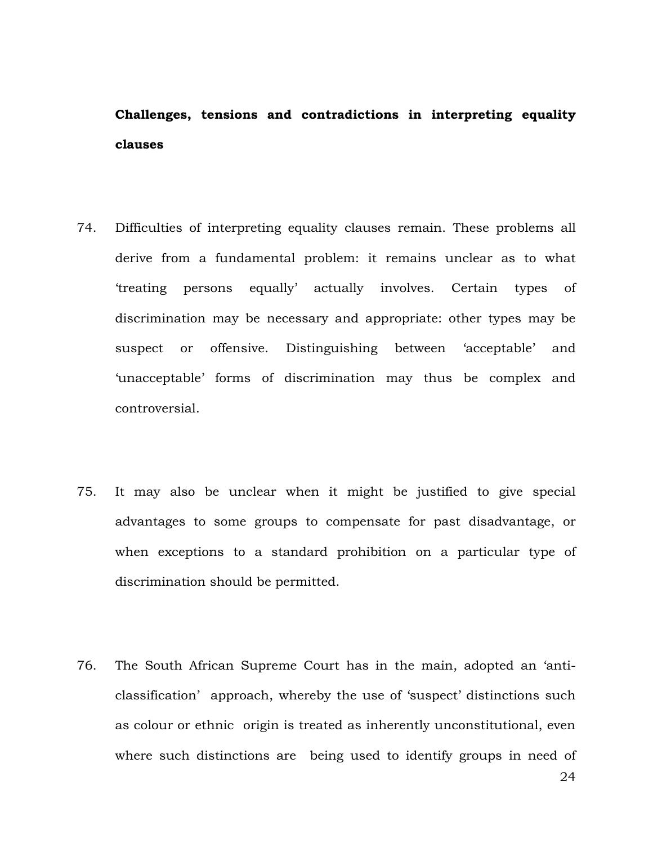## **Challenges, tensions and contradictions in interpreting equality clauses**

- 74. Difficulties of interpreting equality clauses remain. These problems all derive from a fundamental problem: it remains unclear as to what 'treating persons equally' actually involves. Certain types of discrimination may be necessary and appropriate: other types may be suspect or offensive. Distinguishing between 'acceptable' and 'unacceptable' forms of discrimination may thus be complex and controversial.
- 75. It may also be unclear when it might be justified to give special advantages to some groups to compensate for past disadvantage, or when exceptions to a standard prohibition on a particular type of discrimination should be permitted.
- 76. The South African Supreme Court has in the main, adopted an 'anticlassification' approach, whereby the use of 'suspect' distinctions such as colour or ethnic origin is treated as inherently unconstitutional, even where such distinctions are being used to identify groups in need of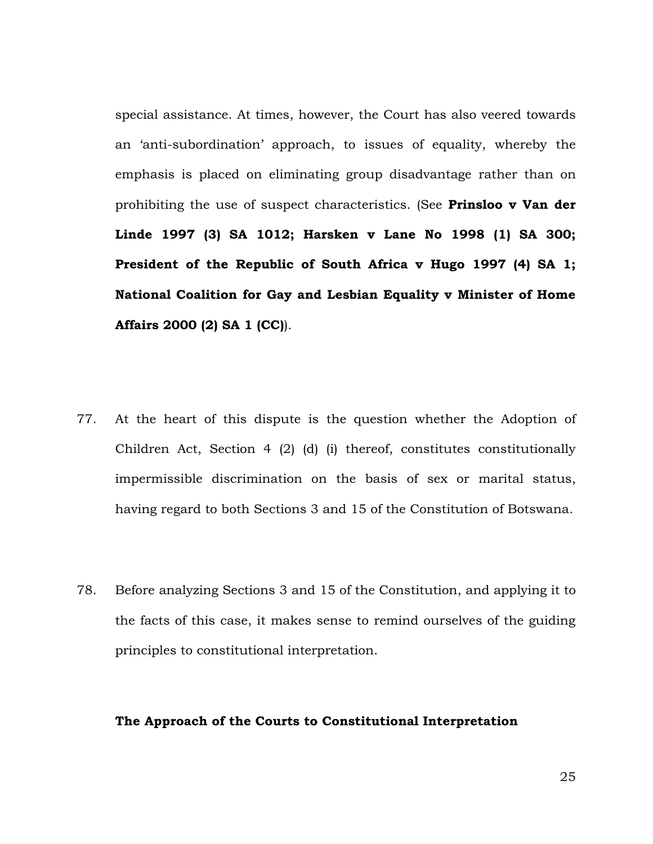special assistance. At times, however, the Court has also veered towards an 'anti-subordination' approach, to issues of equality, whereby the emphasis is placed on eliminating group disadvantage rather than on prohibiting the use of suspect characteristics. (See **Prinsloo v Van der Linde 1997 (3) SA 1012; Harsken v Lane No 1998 (1) SA 300; President of the Republic of South Africa v Hugo 1997 (4) SA 1; National Coalition for Gay and Lesbian Equality v Minister of Home Affairs 2000 (2) SA 1 (CC)**).

- 77. At the heart of this dispute is the question whether the Adoption of Children Act, Section 4 (2) (d) (i) thereof, constitutes constitutionally impermissible discrimination on the basis of sex or marital status, having regard to both Sections 3 and 15 of the Constitution of Botswana.
- 78. Before analyzing Sections 3 and 15 of the Constitution, and applying it to the facts of this case, it makes sense to remind ourselves of the guiding principles to constitutional interpretation.

#### **The Approach of the Courts to Constitutional Interpretation**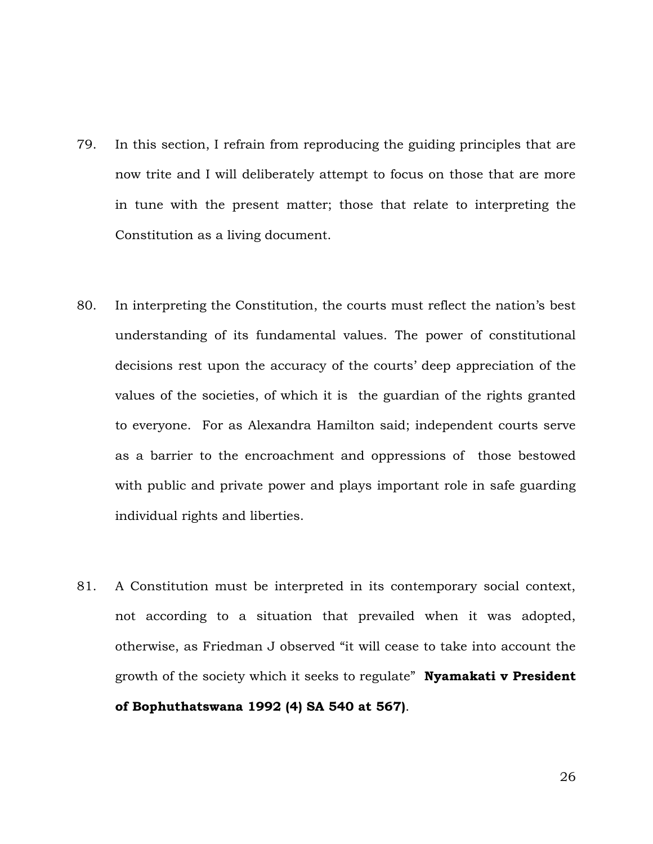- 79. In this section, I refrain from reproducing the guiding principles that are now trite and I will deliberately attempt to focus on those that are more in tune with the present matter; those that relate to interpreting the Constitution as a living document.
- 80. In interpreting the Constitution, the courts must reflect the nation's best understanding of its fundamental values. The power of constitutional decisions rest upon the accuracy of the courts' deep appreciation of the values of the societies, of which it is the guardian of the rights granted to everyone. For as Alexandra Hamilton said; independent courts serve as a barrier to the encroachment and oppressions of those bestowed with public and private power and plays important role in safe guarding individual rights and liberties.
- 81. A Constitution must be interpreted in its contemporary social context, not according to a situation that prevailed when it was adopted, otherwise, as Friedman J observed "it will cease to take into account the growth of the society which it seeks to regulate" **Nyamakati v President of Bophuthatswana 1992 (4) SA 540 at 567)**.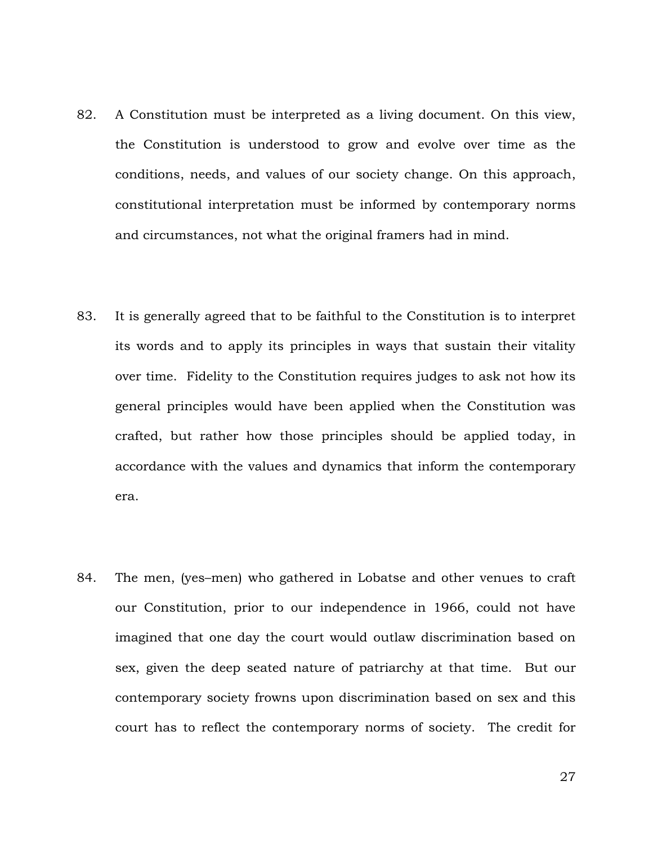- 82. A Constitution must be interpreted as a living document. On this view, the Constitution is understood to grow and evolve over time as the conditions, needs, and values of our society change. On this approach, constitutional interpretation must be informed by contemporary norms and circumstances, not what the original framers had in mind.
- 83. It is generally agreed that to be faithful to the Constitution is to interpret its words and to apply its principles in ways that sustain their vitality over time. Fidelity to the Constitution requires judges to ask not how its general principles would have been applied when the Constitution was crafted, but rather how those principles should be applied today, in accordance with the values and dynamics that inform the contemporary era.
- 84. The men, (yes–men) who gathered in Lobatse and other venues to craft our Constitution, prior to our independence in 1966, could not have imagined that one day the court would outlaw discrimination based on sex, given the deep seated nature of patriarchy at that time. But our contemporary society frowns upon discrimination based on sex and this court has to reflect the contemporary norms of society. The credit for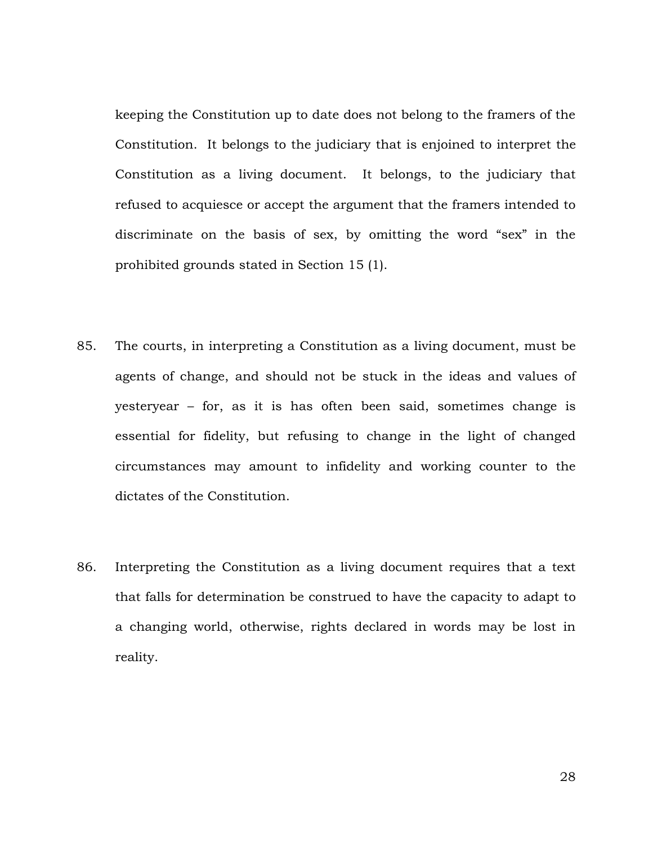keeping the Constitution up to date does not belong to the framers of the Constitution. It belongs to the judiciary that is enjoined to interpret the Constitution as a living document. It belongs, to the judiciary that refused to acquiesce or accept the argument that the framers intended to discriminate on the basis of sex, by omitting the word "sex" in the prohibited grounds stated in Section 15 (1).

- 85. The courts, in interpreting a Constitution as a living document, must be agents of change, and should not be stuck in the ideas and values of yesteryear – for, as it is has often been said, sometimes change is essential for fidelity, but refusing to change in the light of changed circumstances may amount to infidelity and working counter to the dictates of the Constitution.
- 86. Interpreting the Constitution as a living document requires that a text that falls for determination be construed to have the capacity to adapt to a changing world, otherwise, rights declared in words may be lost in reality.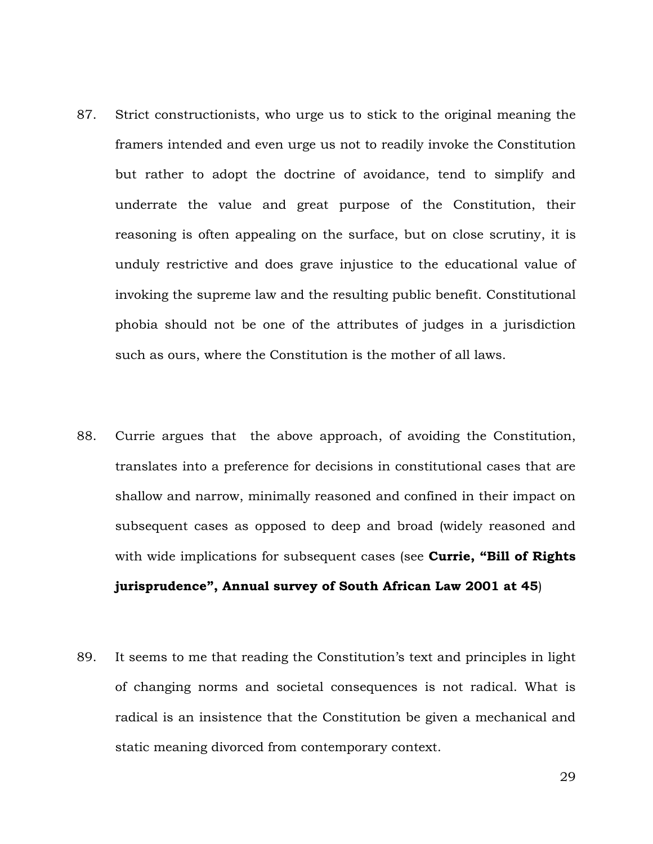- 87. Strict constructionists, who urge us to stick to the original meaning the framers intended and even urge us not to readily invoke the Constitution but rather to adopt the doctrine of avoidance, tend to simplify and underrate the value and great purpose of the Constitution, their reasoning is often appealing on the surface, but on close scrutiny, it is unduly restrictive and does grave injustice to the educational value of invoking the supreme law and the resulting public benefit. Constitutional phobia should not be one of the attributes of judges in a jurisdiction such as ours, where the Constitution is the mother of all laws.
- 88. Currie argues that the above approach, of avoiding the Constitution, translates into a preference for decisions in constitutional cases that are shallow and narrow, minimally reasoned and confined in their impact on subsequent cases as opposed to deep and broad (widely reasoned and with wide implications for subsequent cases (see **Currie, "Bill of Rights jurisprudence", Annual survey of South African Law 2001 at 45**)
- 89. It seems to me that reading the Constitution's text and principles in light of changing norms and societal consequences is not radical. What is radical is an insistence that the Constitution be given a mechanical and static meaning divorced from contemporary context.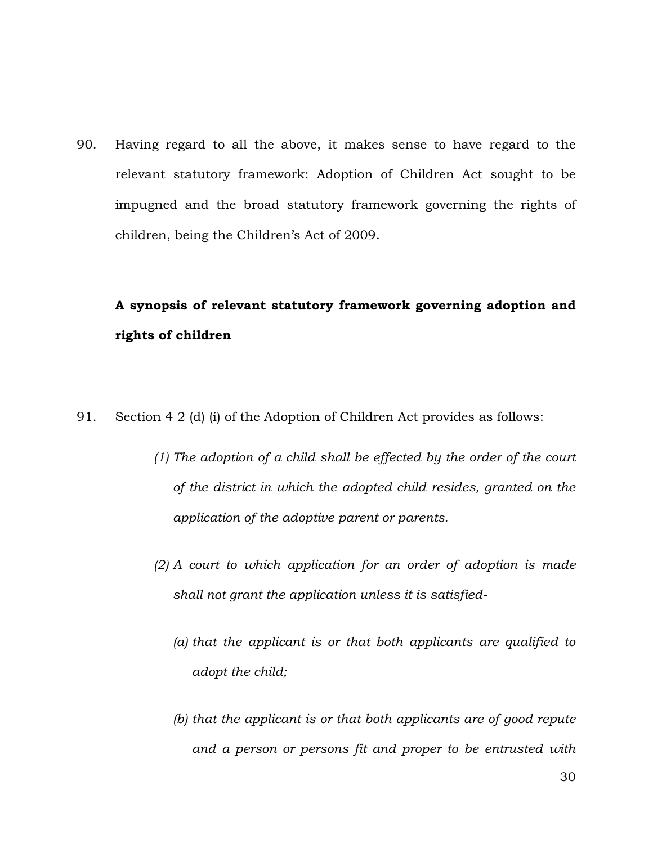90. Having regard to all the above, it makes sense to have regard to the relevant statutory framework: Adoption of Children Act sought to be impugned and the broad statutory framework governing the rights of children, being the Children's Act of 2009.

# **A synopsis of relevant statutory framework governing adoption and rights of children**

- 91. Section 4 2 (d) (i) of the Adoption of Children Act provides as follows:
	- *(1) The adoption of a child shall be effected by the order of the court of the district in which the adopted child resides, granted on the application of the adoptive parent or parents.*
	- *(2) A court to which application for an order of adoption is made shall not grant the application unless it is satisfied-*
		- *(a) that the applicant is or that both applicants are qualified to adopt the child;*
		- *(b) that the applicant is or that both applicants are of good repute and a person or persons fit and proper to be entrusted with*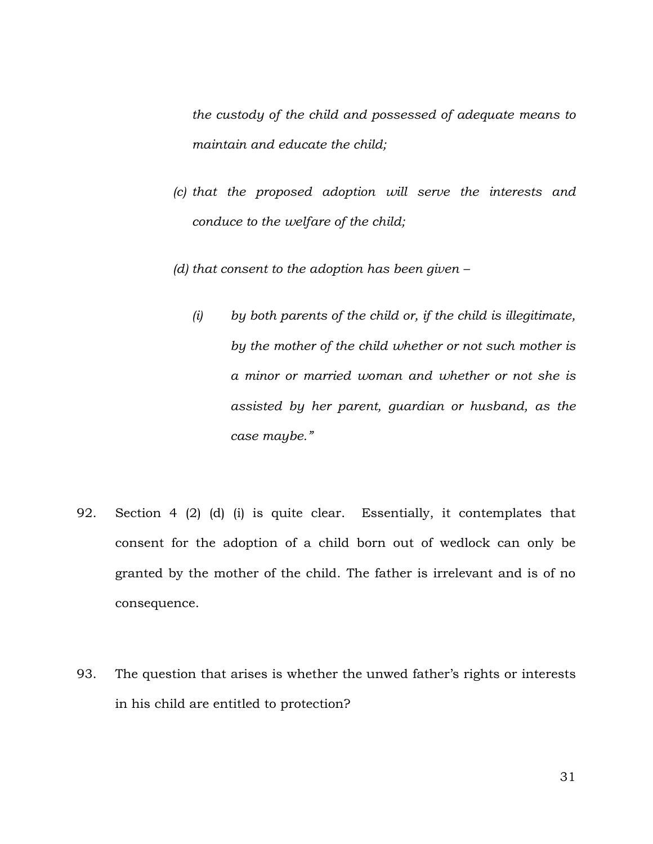*the custody of the child and possessed of adequate means to maintain and educate the child;*

- *(c) that the proposed adoption will serve the interests and conduce to the welfare of the child;*
- *(d) that consent to the adoption has been given –*
	- *(i) by both parents of the child or, if the child is illegitimate, by the mother of the child whether or not such mother is a minor or married woman and whether or not she is assisted by her parent, guardian or husband, as the case maybe."*
- 92. Section 4 (2) (d) (i) is quite clear. Essentially, it contemplates that consent for the adoption of a child born out of wedlock can only be granted by the mother of the child. The father is irrelevant and is of no consequence.
- 93. The question that arises is whether the unwed father's rights or interests in his child are entitled to protection?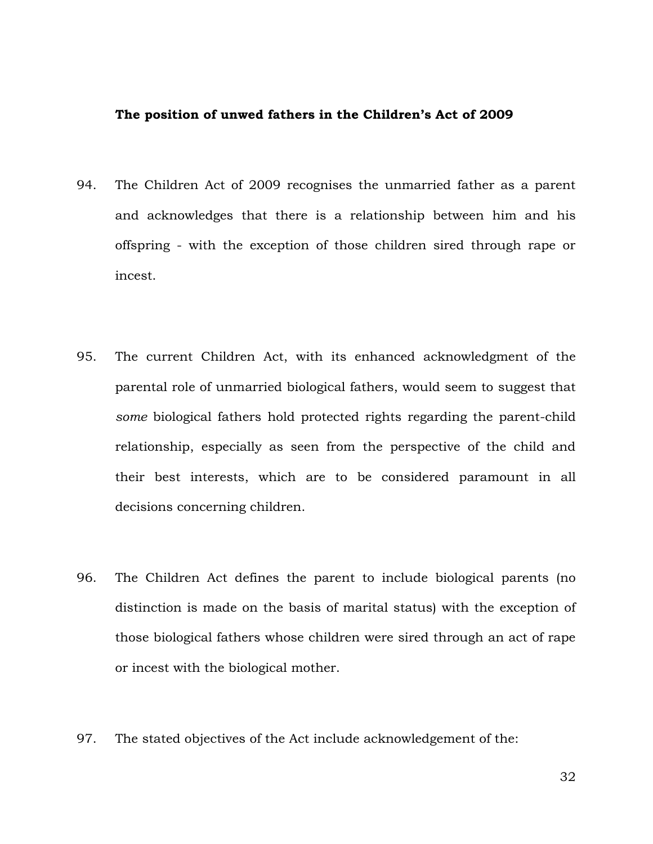#### **The position of unwed fathers in the Children's Act of 2009**

- 94. The Children Act of 2009 recognises the unmarried father as a parent and acknowledges that there is a relationship between him and his offspring - with the exception of those children sired through rape or incest.
- 95. The current Children Act, with its enhanced acknowledgment of the parental role of unmarried biological fathers, would seem to suggest that *some* biological fathers hold protected rights regarding the parent-child relationship, especially as seen from the perspective of the child and their best interests, which are to be considered paramount in all decisions concerning children.
- 96. The Children Act defines the parent to include biological parents (no distinction is made on the basis of marital status) with the exception of those biological fathers whose children were sired through an act of rape or incest with the biological mother.
- 97. The stated objectives of the Act include acknowledgement of the: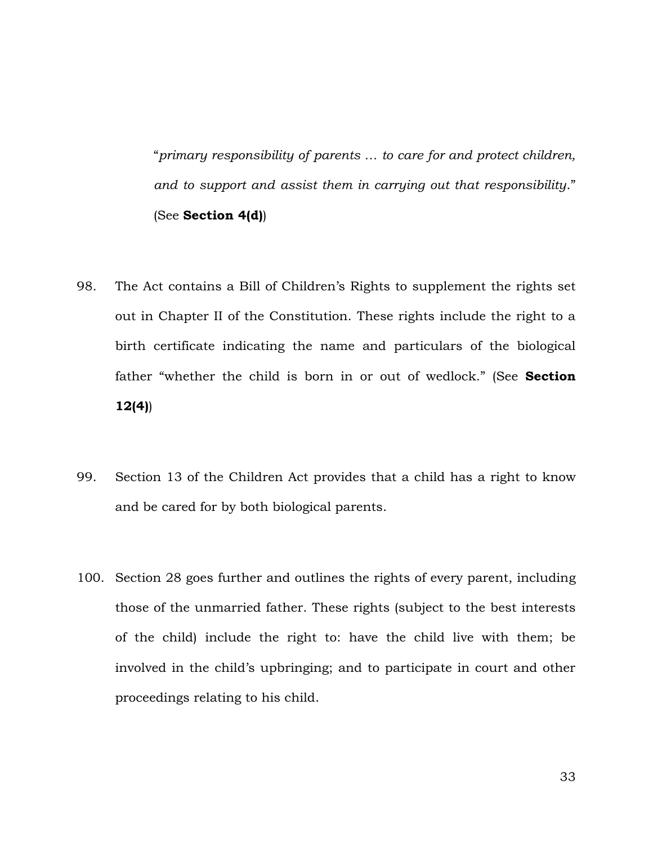"*primary responsibility of parents … to care for and protect children, and to support and assist them in carrying out that responsibility*." (See **Section 4(d)**)

- 98. The Act contains a Bill of Children's Rights to supplement the rights set out in Chapter II of the Constitution. These rights include the right to a birth certificate indicating the name and particulars of the biological father "whether the child is born in or out of wedlock." (See **Section 12(4)**)
- 99. Section 13 of the Children Act provides that a child has a right to know and be cared for by both biological parents.
- 100. Section 28 goes further and outlines the rights of every parent, including those of the unmarried father. These rights (subject to the best interests of the child) include the right to: have the child live with them; be involved in the child's upbringing; and to participate in court and other proceedings relating to his child.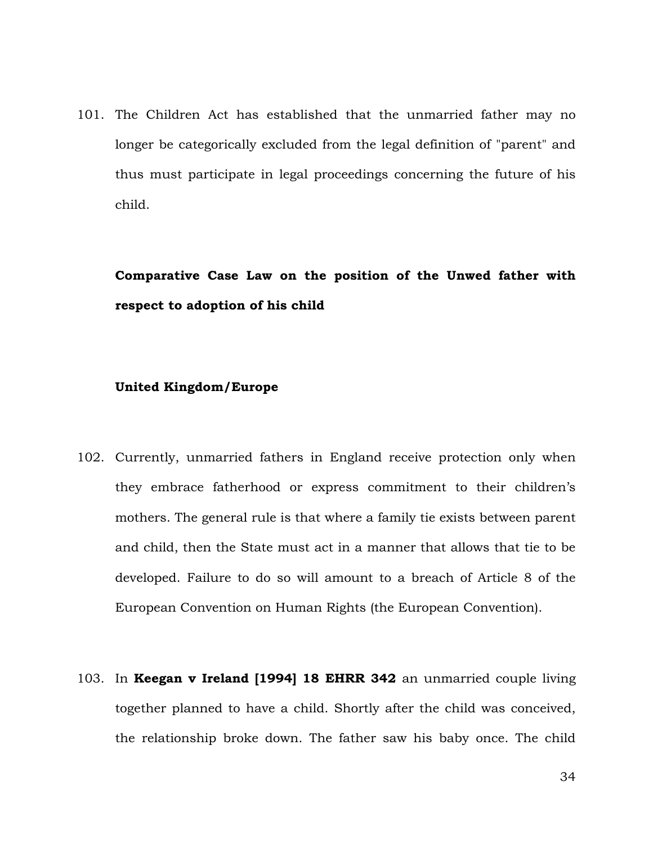101. The Children Act has established that the unmarried father may no longer be categorically excluded from the legal definition of "parent" and thus must participate in legal proceedings concerning the future of his child.

# **Comparative Case Law on the position of the Unwed father with respect to adoption of his child**

#### **United Kingdom/Europe**

- 102. Currently, unmarried fathers in England receive protection only when they embrace fatherhood or express commitment to their children's mothers. The general rule is that where a family tie exists between parent and child, then the State must act in a manner that allows that tie to be developed. Failure to do so will amount to a breach of Article 8 of the European Convention on Human Rights (the European Convention).
- 103. In **Keegan v Ireland [1994] 18 EHRR 342** an unmarried couple living together planned to have a child. Shortly after the child was conceived, the relationship broke down. The father saw his baby once. The child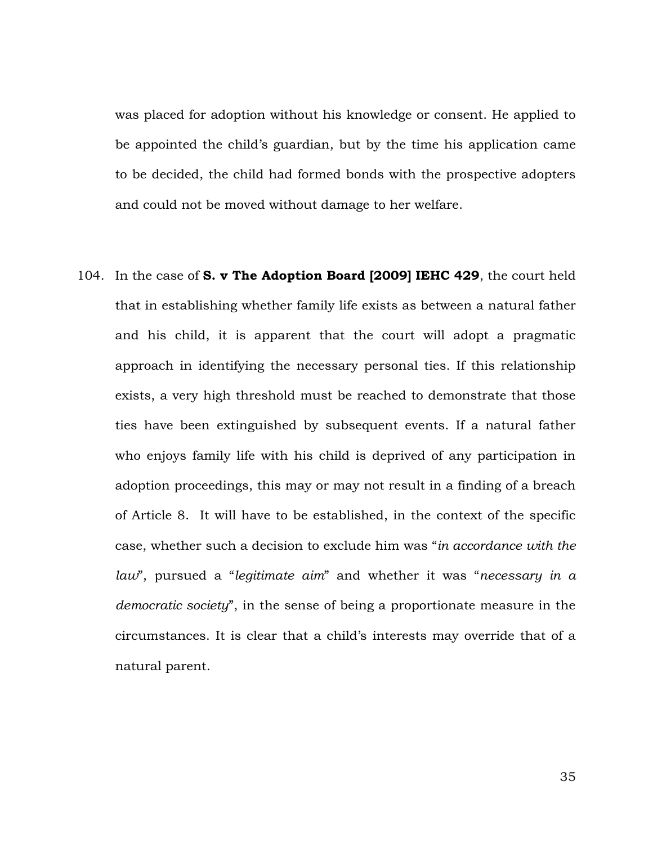was placed for adoption without his knowledge or consent. He applied to be appointed the child's guardian, but by the time his application came to be decided, the child had formed bonds with the prospective adopters and could not be moved without damage to her welfare.

104. In the case of **S. v The Adoption Board [2009] IEHC 429**, the court held that in establishing whether family life exists as between a natural father and his child, it is apparent that the court will adopt a pragmatic approach in identifying the necessary personal ties. If this relationship exists, a very high threshold must be reached to demonstrate that those ties have been extinguished by subsequent events. If a natural father who enjoys family life with his child is deprived of any participation in adoption proceedings, this may or may not result in a finding of a breach of Article 8. It will have to be established, in the context of the specific case, whether such a decision to exclude him was "*in accordance with the law*", pursued a "*legitimate aim*" and whether it was "*necessary in a democratic society*", in the sense of being a proportionate measure in the circumstances. It is clear that a child's interests may override that of a natural parent.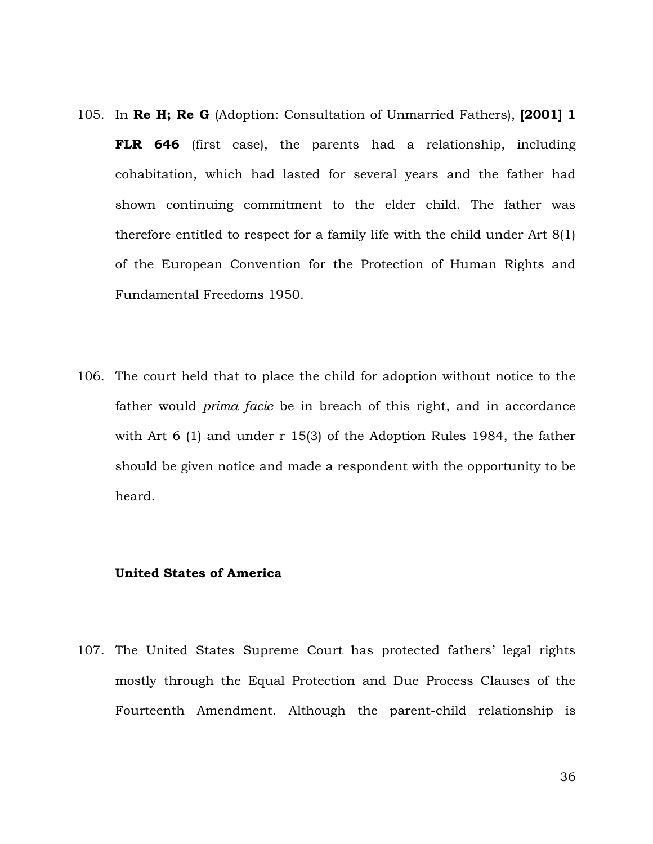- 105. In **Re H; Re G** (Adoption: Consultation of Unmarried Fathers), **[2001] 1 FLR 646** (first case), the parents had a relationship, including cohabitation, which had lasted for several years and the father had shown continuing commitment to the elder child. The father was therefore entitled to respect for a family life with the child under Art 8(1) of the European Convention for the Protection of Human Rights and Fundamental Freedoms 1950.
- 106. The court held that to place the child for adoption without notice to the father would *prima facie* be in breach of this right, and in accordance with Art 6 (1) and under r 15(3) of the Adoption Rules 1984, the father should be given notice and made a respondent with the opportunity to be heard.

#### **United States of America**

107. The United States Supreme Court has protected fathers' legal rights mostly through the Equal Protection and Due Process Clauses of the Fourteenth Amendment. Although the parent-child relationship is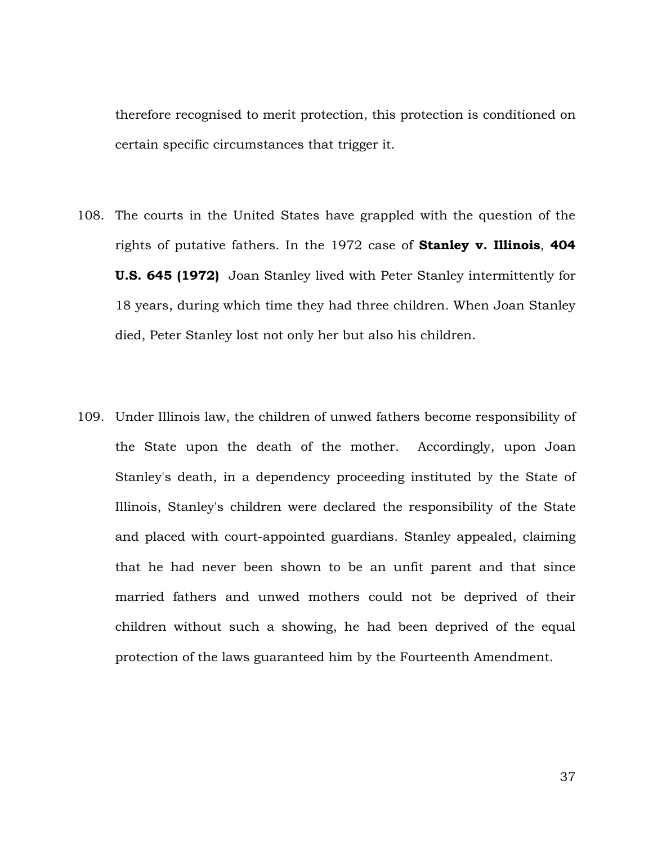therefore recognised to merit protection, this protection is conditioned on certain specific circumstances that trigger it.

- 108. The courts in the United States have grappled with the question of the rights of putative fathers. In the 1972 case of **Stanley v. Illinois**, **404 U.S. 645 (1972)** Joan Stanley lived with Peter Stanley intermittently for 18 years, during which time they had three children. When Joan Stanley died, Peter Stanley lost not only her but also his children.
- 109. Under Illinois law, the children of unwed fathers become responsibility of the State upon the death of the mother. Accordingly, upon Joan Stanley's death, in a dependency proceeding instituted by the State of Illinois, Stanley's children were declared the responsibility of the State and placed with court-appointed guardians. Stanley appealed, claiming that he had never been shown to be an unfit parent and that since married fathers and unwed mothers could not be deprived of their children without such a showing, he had been deprived of the equal protection of the laws guaranteed him by the Fourteenth Amendment.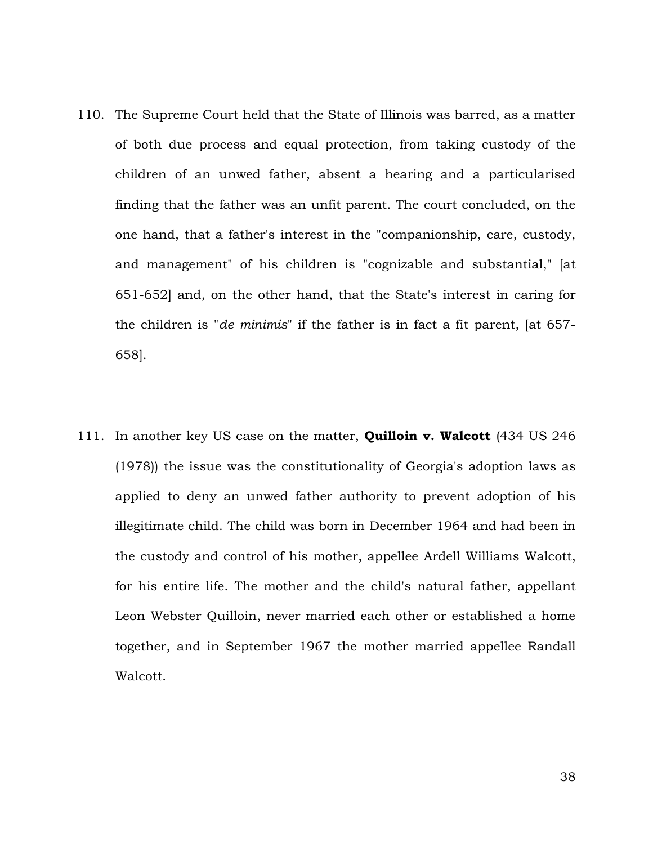- 110. The Supreme Court held that the State of Illinois was barred, as a matter of both due process and equal protection, from taking custody of the children of an unwed father, absent a hearing and a particularised finding that the father was an unfit parent. The court concluded, on the one hand, that a father's interest in the "companionship, care, custody, and management" of his children is "cognizable and substantial," [at 651-652] and, on the other hand, that the State's interest in caring for the children is "*de minimis*" if the father is in fact a fit parent, [at 657- 658].
- 111. In another key US case on the matter, **Quilloin v. Walcott** (434 US 246 (1978)) the issue was the constitutionality of Georgia's adoption laws as applied to deny an unwed father authority to prevent adoption of his illegitimate child. The child was born in December 1964 and had been in the custody and control of his mother, appellee Ardell Williams Walcott, for his entire life. The mother and the child's natural father, appellant Leon Webster Quilloin, never married each other or established a home together, and in September 1967 the mother married appellee Randall Walcott.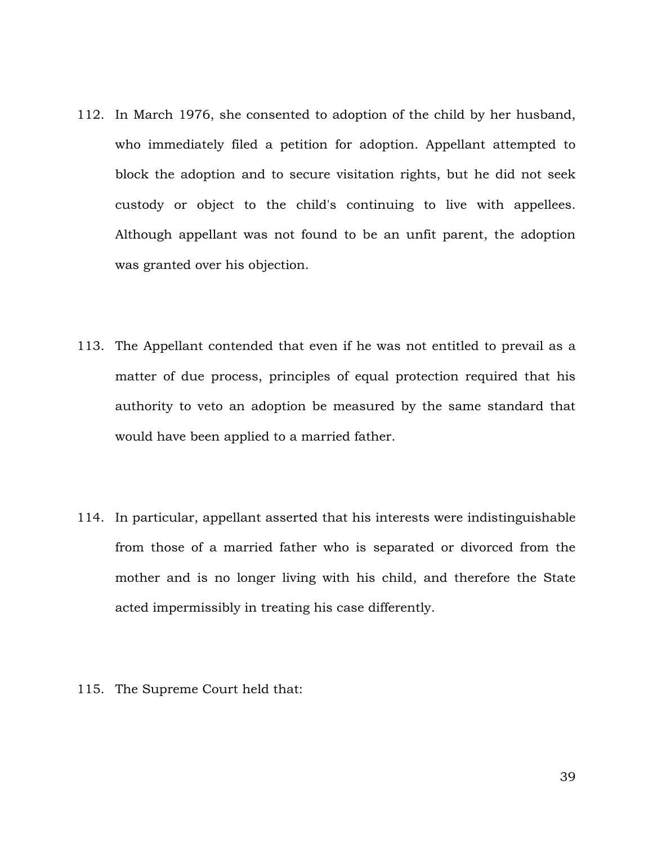- 112. In March 1976, she consented to adoption of the child by her husband, who immediately filed a petition for adoption. Appellant attempted to block the adoption and to secure visitation rights, but he did not seek custody or object to the child's continuing to live with appellees. Although appellant was not found to be an unfit parent, the adoption was granted over his objection.
- 113. The Appellant contended that even if he was not entitled to prevail as a matter of due process, principles of equal protection required that his authority to veto an adoption be measured by the same standard that would have been applied to a married father.
- 114. In particular, appellant asserted that his interests were indistinguishable from those of a married father who is separated or divorced from the mother and is no longer living with his child, and therefore the State acted impermissibly in treating his case differently.
- 115. The Supreme Court held that: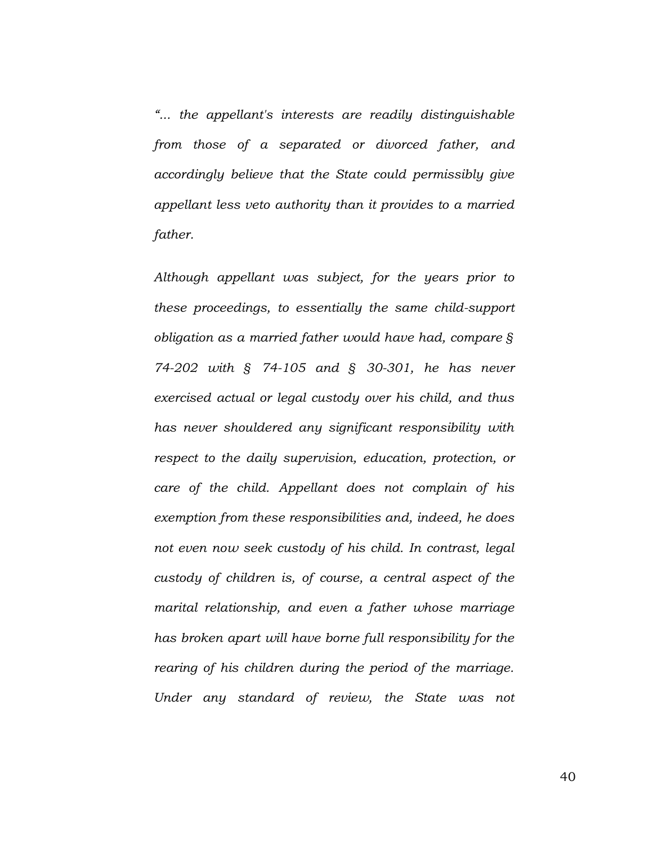*"... the appellant's interests are readily distinguishable from those of a separated or divorced father, and accordingly believe that the State could permissibly give appellant less veto authority than it provides to a married father.*

*Although appellant was subject, for the years prior to these proceedings, to essentially the same child-support obligation as a married father would have had, compare § 74-202 with § 74-105 and § 30-301, he has never exercised actual or legal custody over his child, and thus has never shouldered any significant responsibility with respect to the daily supervision, education, protection, or care of the child. Appellant does not complain of his exemption from these responsibilities and, indeed, he does not even now seek custody of his child. In contrast, legal custody of children is, of course, a central aspect of the marital relationship, and even a father whose marriage has broken apart will have borne full responsibility for the rearing of his children during the period of the marriage. Under any standard of review, the State was not* 

40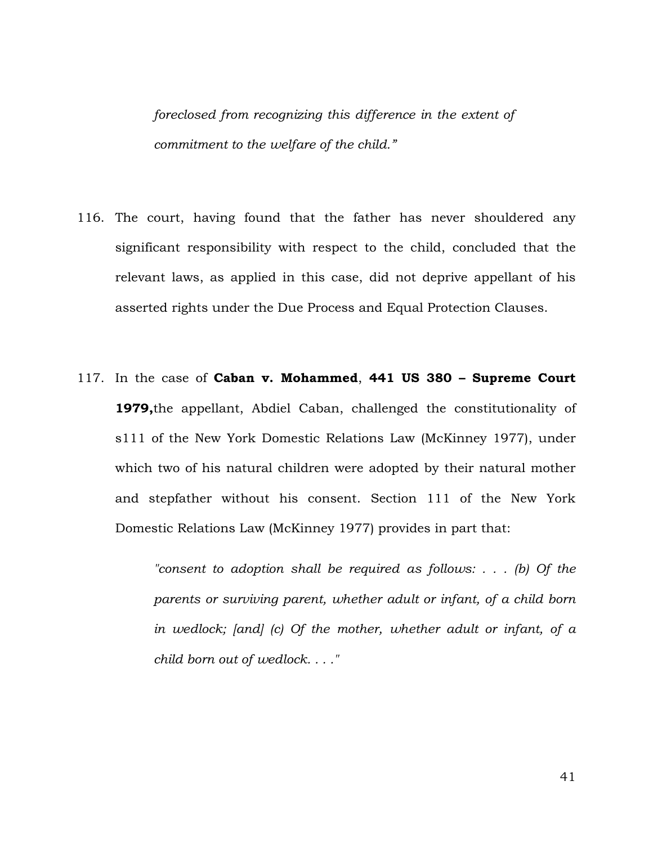*foreclosed from recognizing this difference in the extent of commitment to the welfare of the child."*

- 116. The court, having found that the father has never shouldered any significant responsibility with respect to the child, concluded that the relevant laws, as applied in this case, did not deprive appellant of his asserted rights under the Due Process and Equal Protection Clauses.
- 117. In the case of **Caban v. Mohammed**, **441 US 380 – Supreme Court 1979,**the appellant, Abdiel Caban, challenged the constitutionality of s111 of the New York Domestic Relations Law (McKinney 1977), under which two of his natural children were adopted by their natural mother and stepfather without his consent. Section 111 of the New York Domestic Relations Law (McKinney 1977) provides in part that:

*"consent to adoption shall be required as follows: . . . (b) Of the parents or surviving parent, whether adult or infant, of a child born in wedlock; [and] (c) Of the mother, whether adult or infant, of a child born out of wedlock. . . ."*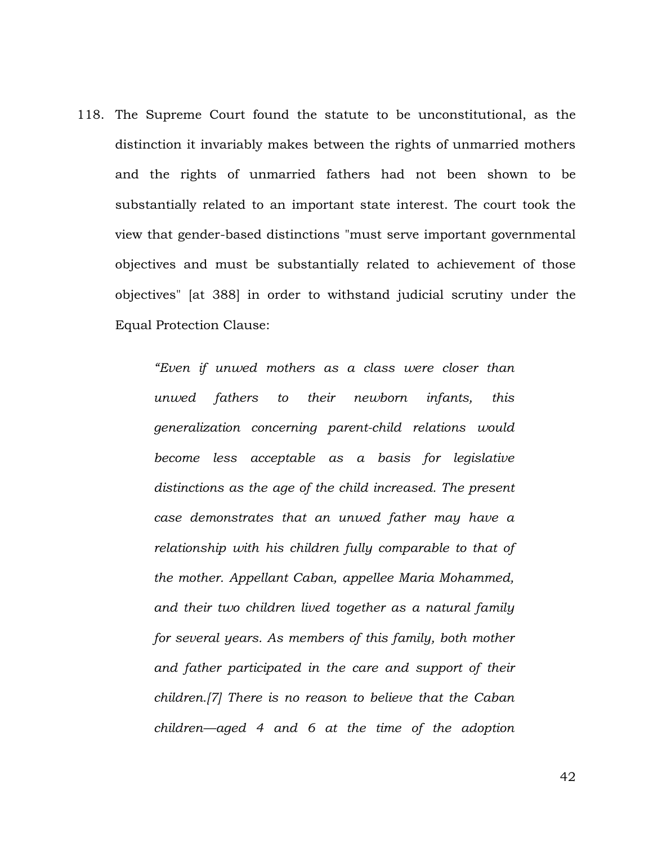118. The Supreme Court found the statute to be unconstitutional, as the distinction it invariably makes between the rights of unmarried mothers and the rights of unmarried fathers had not been shown to be substantially related to an important state interest. The court took the view that gender-based distinctions "must serve important governmental objectives and must be substantially related to achievement of those objectives" [at 388] in order to withstand judicial scrutiny under the Equal Protection Clause:

> *"Even if unwed mothers as a class were closer than unwed fathers to their newborn infants, this generalization concerning parent-child relations would become less acceptable as a basis for legislative distinctions as the age of the child increased. The present case demonstrates that an unwed father may have a relationship with his children fully comparable to that of the mother. Appellant Caban, appellee Maria Mohammed, and their two children lived together as a natural family for several years. As members of this family, both mother and father participated in the care and support of their children.[7] There is no reason to believe that the Caban children—aged 4 and 6 at the time of the adoption*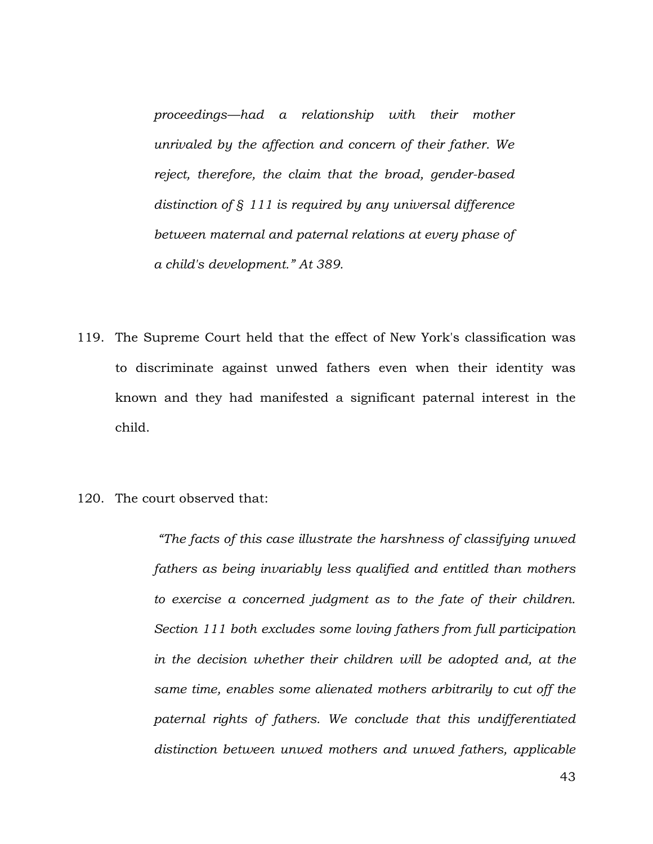*proceedings—had a relationship with their mother unrivaled by the affection and concern of their father. We reject, therefore, the claim that the broad, gender-based distinction of § 111 is required by any universal difference between maternal and paternal relations at every phase of a child's development." At 389.*

- 119. The Supreme Court held that the effect of New York's classification was to discriminate against unwed fathers even when their identity was known and they had manifested a significant paternal interest in the child.
- 120. The court observed that:

*"The facts of this case illustrate the harshness of classifying unwed fathers as being invariably less qualified and entitled than mothers to exercise a concerned judgment as to the fate of their children. Section 111 both excludes some loving fathers from full participation in the decision whether their children will be adopted and, at the same time, enables some alienated mothers arbitrarily to cut off the paternal rights of fathers. We conclude that this undifferentiated distinction between unwed mothers and unwed fathers, applicable*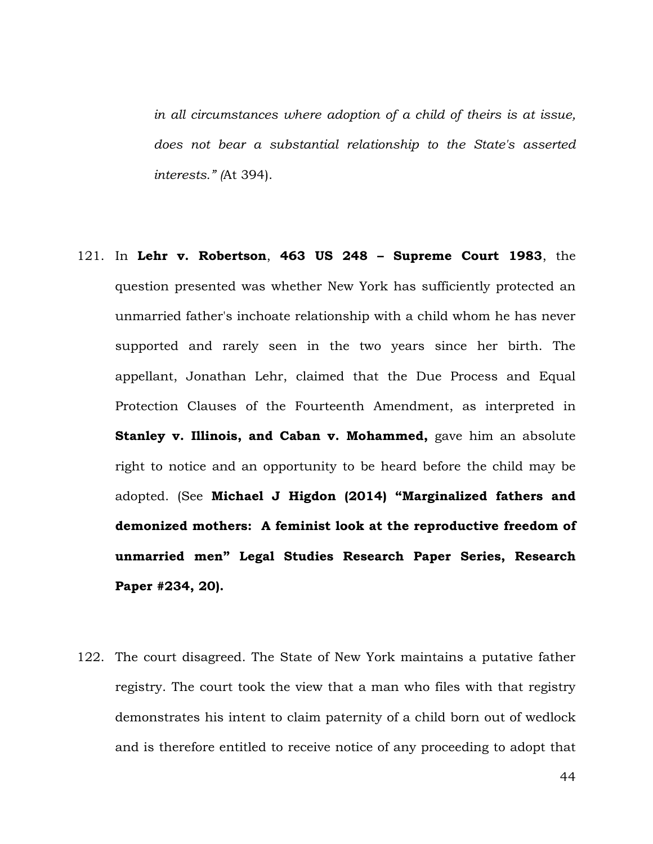*in all circumstances where adoption of a child of theirs is at issue, does not bear a substantial relationship to the State's asserted interests." (*At 394).

- 121. In **Lehr v. Robertson**, **463 US 248 – Supreme Court 1983**, the question presented was whether New York has sufficiently protected an unmarried father's inchoate relationship with a child whom he has never supported and rarely seen in the two years since her birth. The appellant, Jonathan Lehr, claimed that the Due Process and Equal Protection Clauses of the Fourteenth Amendment, as interpreted in **Stanley v. Illinois, and Caban v. Mohammed,** gave him an absolute right to notice and an opportunity to be heard before the child may be adopted. (See **Michael J Higdon (2014) "Marginalized fathers and demonized mothers: A feminist look at the reproductive freedom of unmarried men" Legal Studies Research Paper Series, Research Paper #234, 20).**
- 122. The court disagreed. The State of New York maintains a putative father registry. The court took the view that a man who files with that registry demonstrates his intent to claim paternity of a child born out of wedlock and is therefore entitled to receive notice of any proceeding to adopt that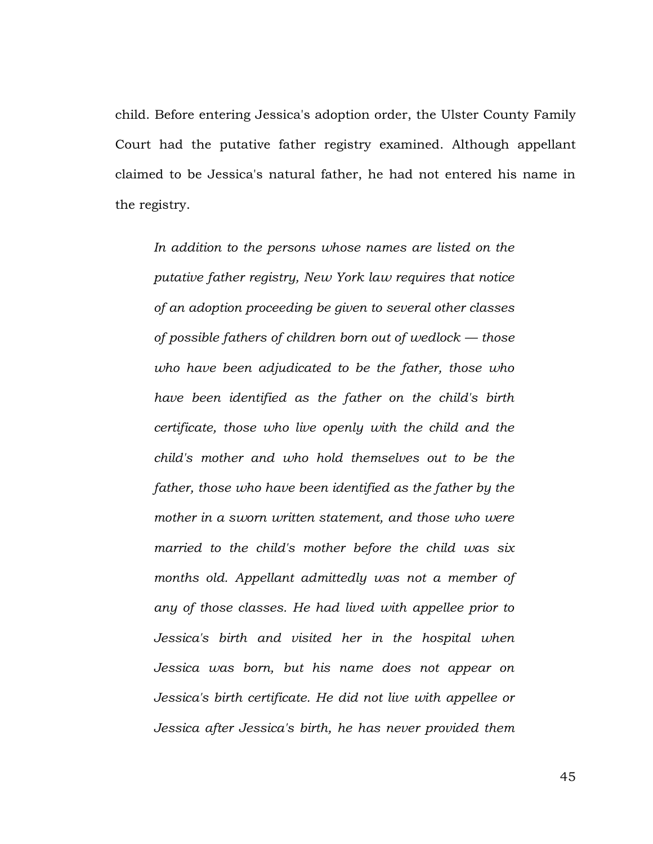child. Before entering Jessica's adoption order, the Ulster County Family Court had the putative father registry examined. Although appellant claimed to be Jessica's natural father, he had not entered his name in the registry.

*In addition to the persons whose names are listed on the putative father registry, New York law requires that notice of an adoption proceeding be given to several other classes of possible fathers of children born out of wedlock — those who have been adjudicated to be the father, those who have been identified as the father on the child's birth certificate, those who live openly with the child and the child's mother and who hold themselves out to be the father, those who have been identified as the father by the mother in a sworn written statement, and those who were married to the child's mother before the child was six months old. Appellant admittedly was not a member of any of those classes. He had lived with appellee prior to Jessica's birth and visited her in the hospital when Jessica was born, but his name does not appear on Jessica's birth certificate. He did not live with appellee or Jessica after Jessica's birth, he has never provided them* 

45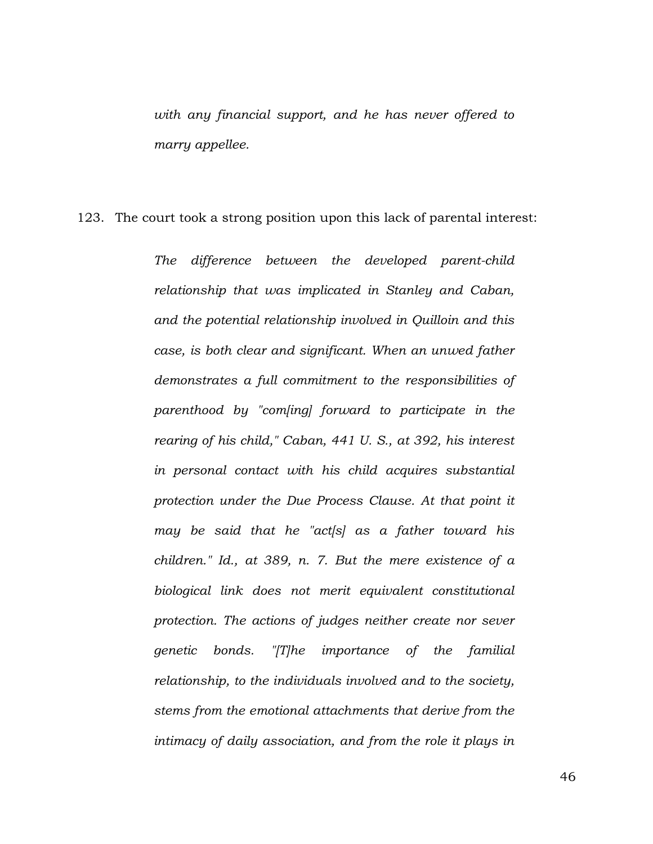*with any financial support, and he has never offered to marry appellee.*

123. The court took a strong position upon this lack of parental interest:

*The difference between the developed parent-child relationship that was implicated in Stanley and Caban, and the potential relationship involved in Quilloin and this case, is both clear and significant. When an unwed father demonstrates a full commitment to the responsibilities of parenthood by "com[ing] forward to participate in the rearing of his child," Caban, 441 U. S., at 392, his interest in personal contact with his child acquires substantial protection under the Due Process Clause. At that point it may be said that he "act[s] as a father toward his children." Id., at 389, n. 7. But the mere existence of a biological link does not merit equivalent constitutional protection. The actions of judges neither create nor sever genetic bonds. "[T]he importance of the familial relationship, to the individuals involved and to the society, stems from the emotional attachments that derive from the intimacy of daily association, and from the role it plays in*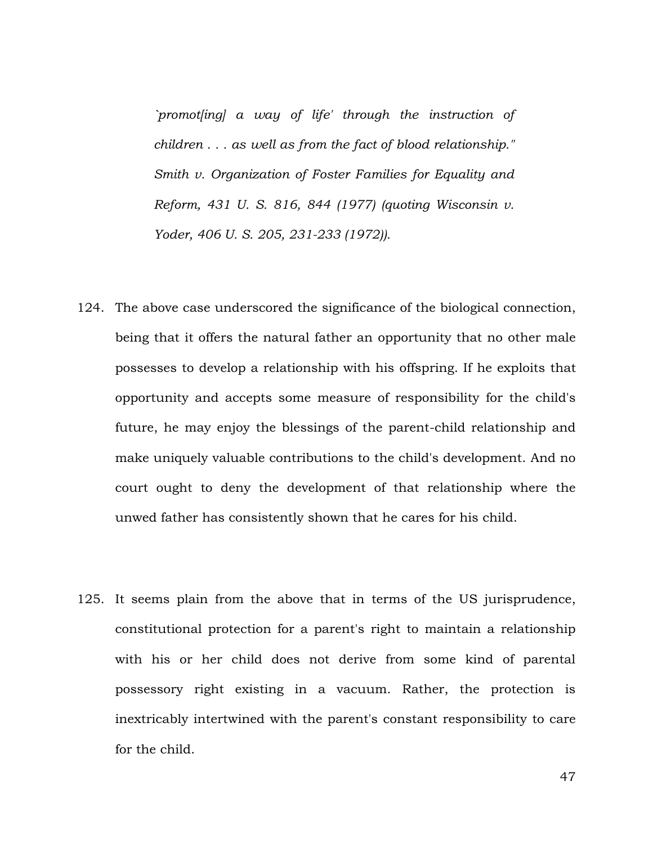*`promot[ing] a way of life' through the instruction of children . . . as well as from the fact of blood relationship." Smith v. Organization of Foster Families for Equality and Reform, 431 U. S. 816, 844 (1977) (quoting Wisconsin v. Yoder, 406 U. S. 205, 231-233 (1972)).*

- 124. The above case underscored the significance of the biological connection, being that it offers the natural father an opportunity that no other male possesses to develop a relationship with his offspring. If he exploits that opportunity and accepts some measure of responsibility for the child's future, he may enjoy the blessings of the parent-child relationship and make uniquely valuable contributions to the child's development. And no court ought to deny the development of that relationship where the unwed father has consistently shown that he cares for his child.
- 125. It seems plain from the above that in terms of the US jurisprudence, constitutional protection for a parent's right to maintain a relationship with his or her child does not derive from some kind of parental possessory right existing in a vacuum. Rather, the protection is inextricably intertwined with the parent's constant responsibility to care for the child.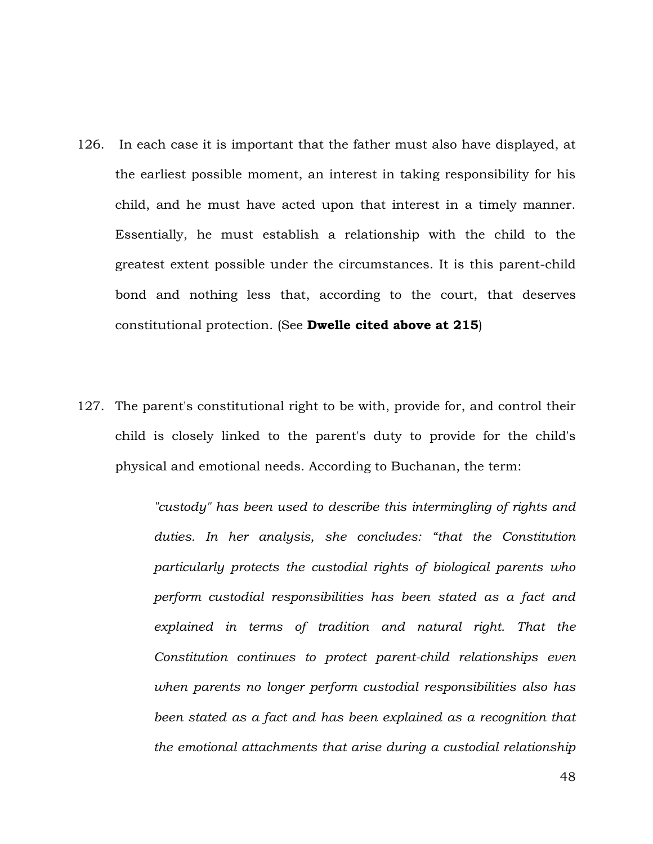- 126. In each case it is important that the father must also have displayed, at the earliest possible moment, an interest in taking responsibility for his child, and he must have acted upon that interest in a timely manner. Essentially, he must establish a relationship with the child to the greatest extent possible under the circumstances. It is this parent-child bond and nothing less that, according to the court, that deserves constitutional protection. (See **Dwelle cited above at 215**)
- 127. The parent's constitutional right to be with, provide for, and control their child is closely linked to the parent's duty to provide for the child's physical and emotional needs. According to Buchanan, the term:

*"custody" has been used to describe this intermingling of rights and duties. In her analysis, she concludes: "that the Constitution particularly protects the custodial rights of biological parents who perform custodial responsibilities has been stated as a fact and explained in terms of tradition and natural right. That the Constitution continues to protect parent-child relationships even when parents no longer perform custodial responsibilities also has been stated as a fact and has been explained as a recognition that the emotional attachments that arise during a custodial relationship*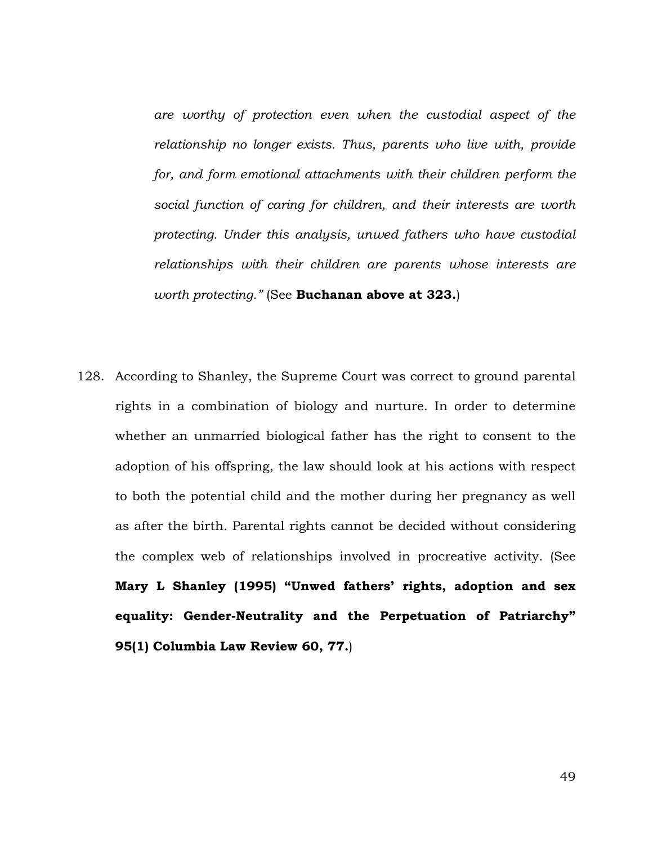*are worthy of protection even when the custodial aspect of the relationship no longer exists. Thus, parents who live with, provide for, and form emotional attachments with their children perform the social function of caring for children, and their interests are worth protecting. Under this analysis, unwed fathers who have custodial relationships with their children are parents whose interests are worth protecting."* (See **Buchanan above at 323.**)

128. According to Shanley, the Supreme Court was correct to ground parental rights in a combination of biology and nurture. In order to determine whether an unmarried biological father has the right to consent to the adoption of his offspring, the law should look at his actions with respect to both the potential child and the mother during her pregnancy as well as after the birth. Parental rights cannot be decided without considering the complex web of relationships involved in procreative activity. (See **Mary L Shanley (1995) "Unwed fathers' rights, adoption and sex equality: Gender-Neutrality and the Perpetuation of Patriarchy" 95(1) Columbia Law Review 60, 77.**)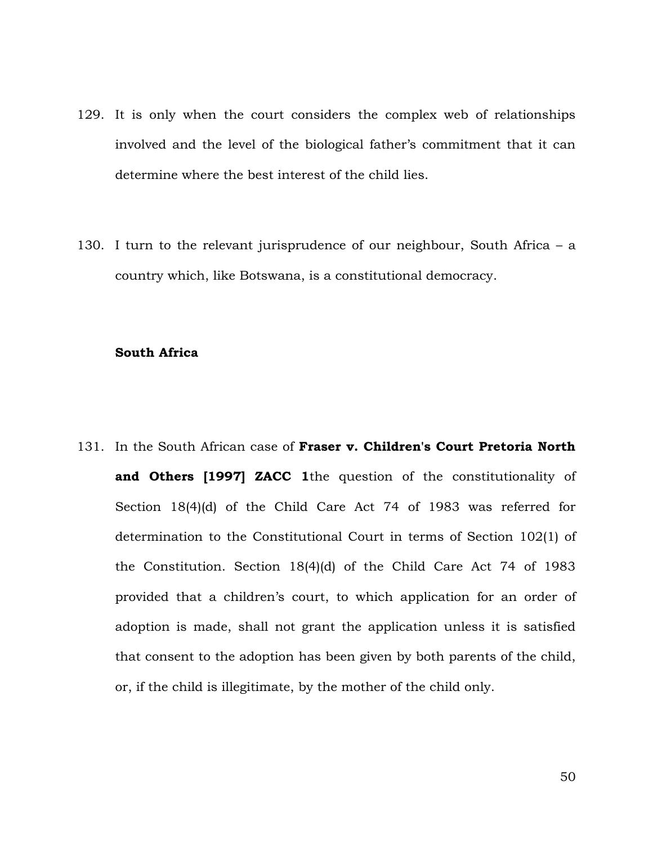- 129. It is only when the court considers the complex web of relationships involved and the level of the biological father's commitment that it can determine where the best interest of the child lies.
- 130. I turn to the relevant jurisprudence of our neighbour, South Africa a country which, like Botswana, is a constitutional democracy.

## **South Africa**

131. In the South African case of **Fraser v. Children's Court Pretoria North and Others [1997] ZACC 1**the question of the constitutionality of Section 18(4)(d) of the Child Care Act 74 of 1983 was referred for determination to the Constitutional Court in terms of Section 102(1) of the Constitution. Section 18(4)(d) of the Child Care Act 74 of 1983 provided that a children's court, to which application for an order of adoption is made, shall not grant the application unless it is satisfied that consent to the adoption has been given by both parents of the child, or, if the child is illegitimate, by the mother of the child only.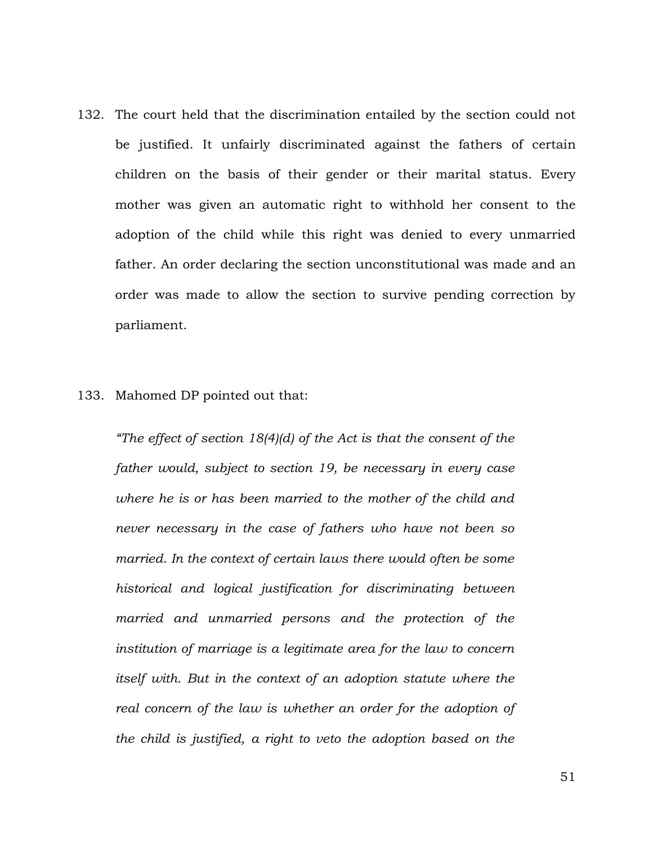132. The court held that the discrimination entailed by the section could not be justified. It unfairly discriminated against the fathers of certain children on the basis of their gender or their marital status. Every mother was given an automatic right to withhold her consent to the adoption of the child while this right was denied to every unmarried father. An order declaring the section unconstitutional was made and an order was made to allow the section to survive pending correction by parliament.

## 133. Mahomed DP pointed out that:

*"The effect of section 18(4)(d) of the Act is that the consent of the father would, subject to section 19, be necessary in every case where he is or has been married to the mother of the child and never necessary in the case of fathers who have not been so married. In the context of certain laws there would often be some historical and logical justification for discriminating between married and unmarried persons and the protection of the institution of marriage is a legitimate area for the law to concern itself with. But in the context of an adoption statute where the real concern of the law is whether an order for the adoption of the child is justified, a right to veto the adoption based on the*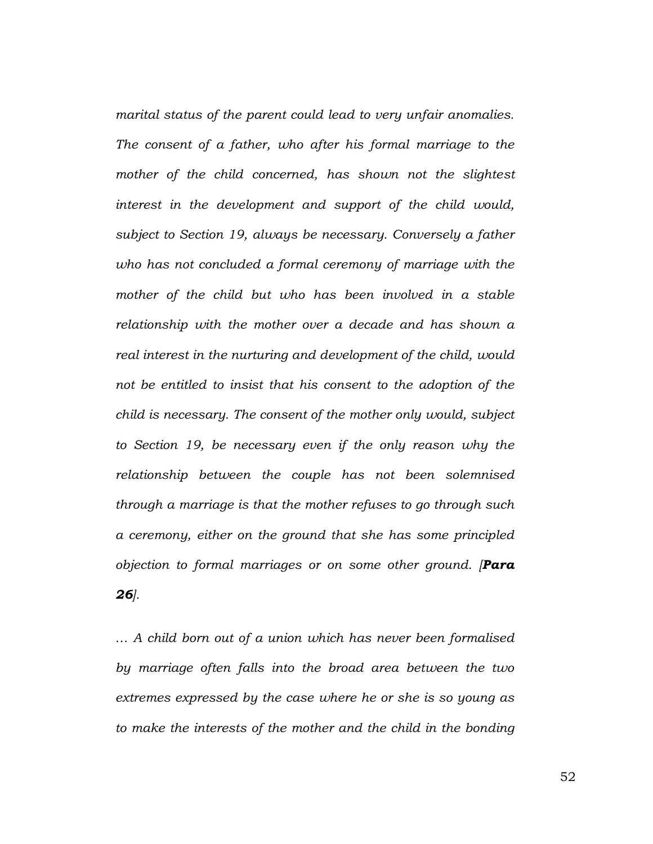*marital status of the parent could lead to very unfair anomalies. The consent of a father, who after his formal marriage to the*  mother of the child concerned, has shown not the slightest *interest in the development and support of the child would, subject to Section 19, always be necessary. Conversely a father who has not concluded a formal ceremony of marriage with the mother of the child but who has been involved in a stable relationship with the mother over a decade and has shown a real interest in the nurturing and development of the child, would not be entitled to insist that his consent to the adoption of the child is necessary. The consent of the mother only would, subject to Section 19, be necessary even if the only reason why the relationship between the couple has not been solemnised through a marriage is that the mother refuses to go through such a ceremony, either on the ground that she has some principled objection to formal marriages or on some other ground. [Para 26].*

*… A child born out of a union which has never been formalised by marriage often falls into the broad area between the two extremes expressed by the case where he or she is so young as to make the interests of the mother and the child in the bonding* 

52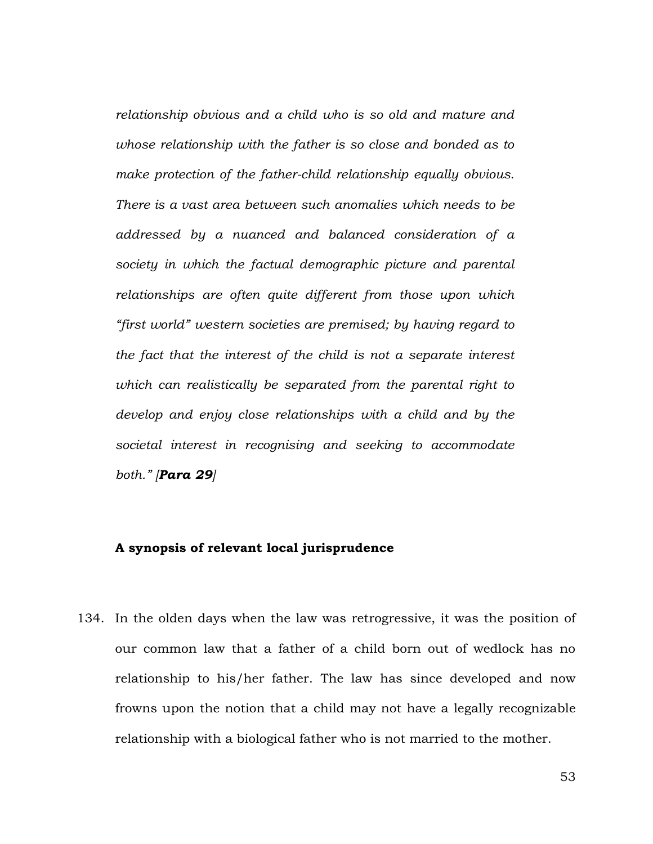*relationship obvious and a child who is so old and mature and whose relationship with the father is so close and bonded as to make protection of the father-child relationship equally obvious. There is a vast area between such anomalies which needs to be addressed by a nuanced and balanced consideration of a society in which the factual demographic picture and parental relationships are often quite different from those upon which "first world" western societies are premised; by having regard to the fact that the interest of the child is not a separate interest which can realistically be separated from the parental right to develop and enjoy close relationships with a child and by the societal interest in recognising and seeking to accommodate both." [Para 29]*

## **A synopsis of relevant local jurisprudence**

134. In the olden days when the law was retrogressive, it was the position of our common law that a father of a child born out of wedlock has no relationship to his/her father. The law has since developed and now frowns upon the notion that a child may not have a legally recognizable relationship with a biological father who is not married to the mother.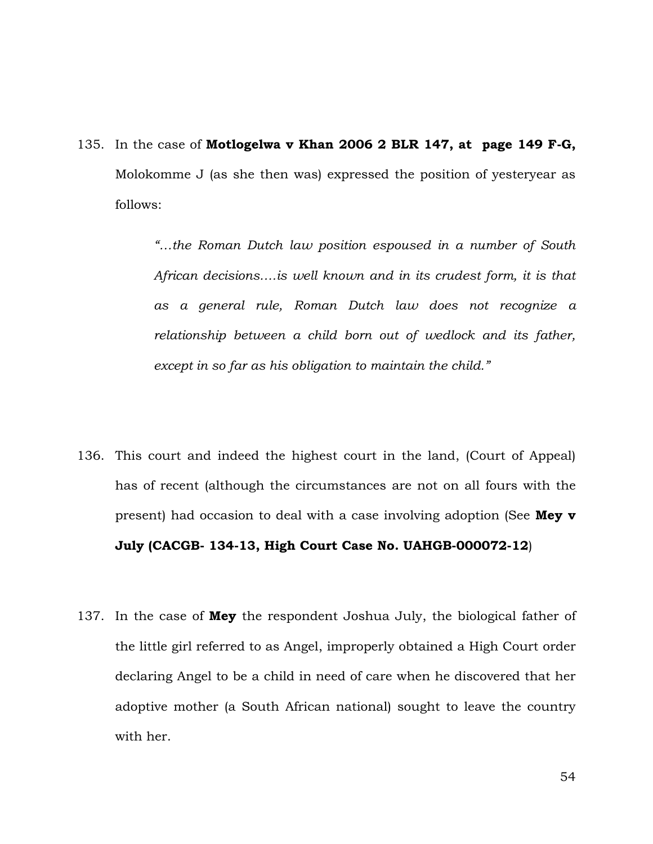135. In the case of **Motlogelwa v Khan 2006 2 BLR 147, at page 149 F-G,**  Molokomme J (as she then was) expressed the position of yesteryear as follows:

> *"…the Roman Dutch law position espoused in a number of South African decisions….is well known and in its crudest form, it is that as a general rule, Roman Dutch law does not recognize a relationship between a child born out of wedlock and its father, except in so far as his obligation to maintain the child."*

- 136. This court and indeed the highest court in the land, (Court of Appeal) has of recent (although the circumstances are not on all fours with the present) had occasion to deal with a case involving adoption (See **Mey v July (CACGB- 134-13, High Court Case No. UAHGB-000072-12**)
- 137. In the case of **Mey** the respondent Joshua July, the biological father of the little girl referred to as Angel, improperly obtained a High Court order declaring Angel to be a child in need of care when he discovered that her adoptive mother (a South African national) sought to leave the country with her.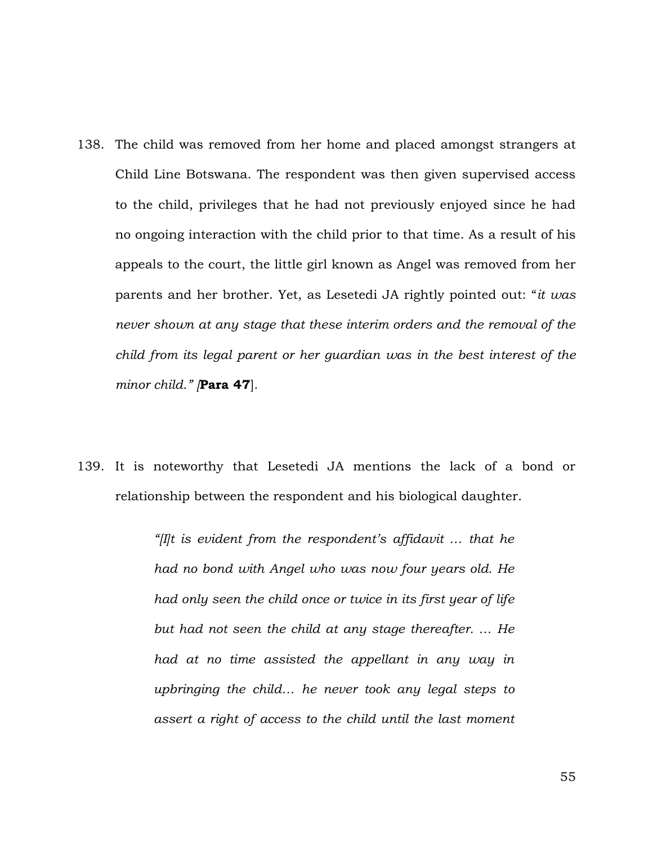- 138. The child was removed from her home and placed amongst strangers at Child Line Botswana. The respondent was then given supervised access to the child, privileges that he had not previously enjoyed since he had no ongoing interaction with the child prior to that time. As a result of his appeals to the court, the little girl known as Angel was removed from her parents and her brother. Yet, as Lesetedi JA rightly pointed out: "*it was never shown at any stage that these interim orders and the removal of the child from its legal parent or her guardian was in the best interest of the minor child." [***Para 47**].
- 139. It is noteworthy that Lesetedi JA mentions the lack of a bond or relationship between the respondent and his biological daughter.

*"[I]t is evident from the respondent's affidavit … that he had no bond with Angel who was now four years old. He had only seen the child once or twice in its first year of life but had not seen the child at any stage thereafter. … He had at no time assisted the appellant in any way in upbringing the child… he never took any legal steps to assert a right of access to the child until the last moment*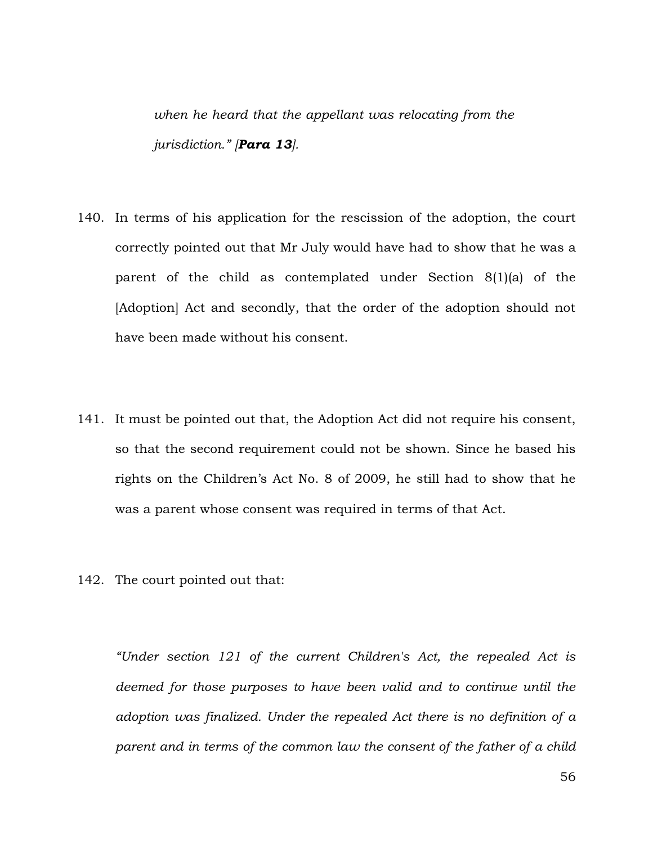*when he heard that the appellant was relocating from the jurisdiction." [Para 13].*

- 140. In terms of his application for the rescission of the adoption, the court correctly pointed out that Mr July would have had to show that he was a parent of the child as contemplated under Section 8(1)(a) of the [Adoption] Act and secondly, that the order of the adoption should not have been made without his consent.
- 141. It must be pointed out that, the Adoption Act did not require his consent, so that the second requirement could not be shown. Since he based his rights on the Children's Act No. 8 of 2009, he still had to show that he was a parent whose consent was required in terms of that Act.
- 142. The court pointed out that:

*"Under section 121 of the current Children's Act, the repealed Act is deemed for those purposes to have been valid and to continue until the adoption was finalized. Under the repealed Act there is no definition of a parent and in terms of the common law the consent of the father of a child*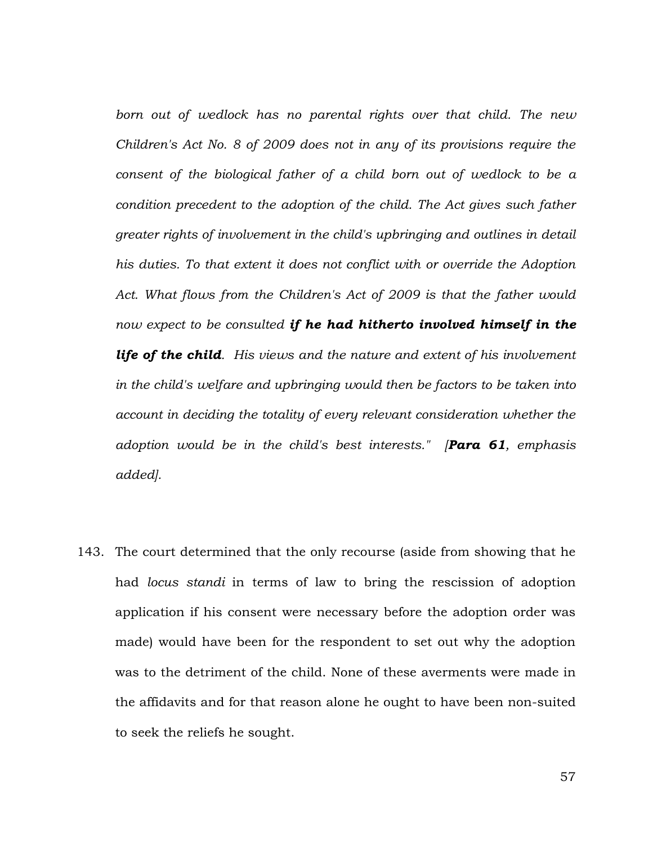*born out of wedlock has no parental rights over that child. The new Children's Act No. 8 of 2009 does not in any of its provisions require the consent of the biological father of a child born out of wedlock to be a condition precedent to the adoption of the child. The Act gives such father greater rights of involvement in the child's upbringing and outlines in detail his duties. To that extent it does not conflict with or override the Adoption Act. What flows from the Children's Act of 2009 is that the father would now expect to be consulted if he had hitherto involved himself in the life of the child. His views and the nature and extent of his involvement in the child's welfare and upbringing would then be factors to be taken into account in deciding the totality of every relevant consideration whether the adoption would be in the child's best interests." [Para 61, emphasis added].*

143. The court determined that the only recourse (aside from showing that he had *locus standi* in terms of law to bring the rescission of adoption application if his consent were necessary before the adoption order was made) would have been for the respondent to set out why the adoption was to the detriment of the child. None of these averments were made in the affidavits and for that reason alone he ought to have been non-suited to seek the reliefs he sought.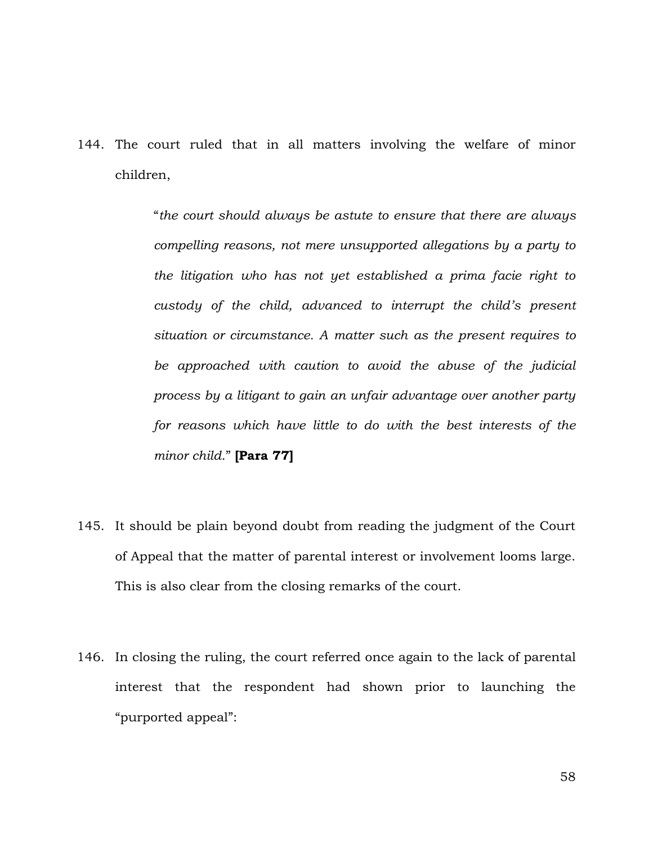144. The court ruled that in all matters involving the welfare of minor children,

> "*the court should always be astute to ensure that there are always compelling reasons, not mere unsupported allegations by a party to the litigation who has not yet established a prima facie right to custody of the child, advanced to interrupt the child's present situation or circumstance. A matter such as the present requires to be approached with caution to avoid the abuse of the judicial process by a litigant to gain an unfair advantage over another party for reasons which have little to do with the best interests of the minor child*." **[Para 77]**

- 145. It should be plain beyond doubt from reading the judgment of the Court of Appeal that the matter of parental interest or involvement looms large. This is also clear from the closing remarks of the court.
- 146. In closing the ruling, the court referred once again to the lack of parental interest that the respondent had shown prior to launching the "purported appeal":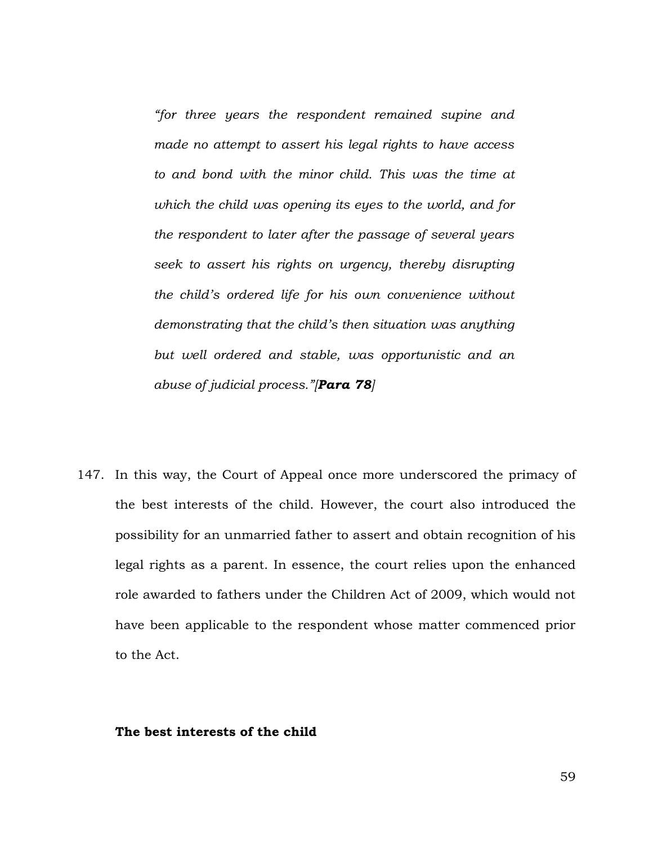*"for three years the respondent remained supine and made no attempt to assert his legal rights to have access to and bond with the minor child. This was the time at which the child was opening its eyes to the world, and for the respondent to later after the passage of several years seek to assert his rights on urgency, thereby disrupting the child's ordered life for his own convenience without demonstrating that the child's then situation was anything but well ordered and stable, was opportunistic and an abuse of judicial process."[Para 78]*

147. In this way, the Court of Appeal once more underscored the primacy of the best interests of the child. However, the court also introduced the possibility for an unmarried father to assert and obtain recognition of his legal rights as a parent. In essence, the court relies upon the enhanced role awarded to fathers under the Children Act of 2009, which would not have been applicable to the respondent whose matter commenced prior to the Act.

## **The best interests of the child**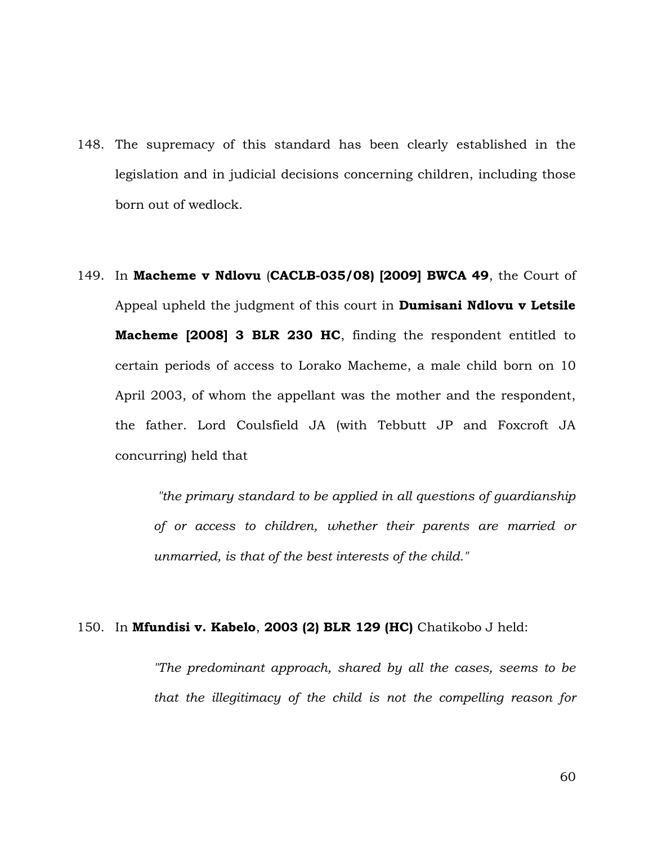- 148. The supremacy of this standard has been clearly established in the legislation and in judicial decisions concerning children, including those born out of wedlock.
- 149. In **Macheme v Ndlovu** (**CACLB-035/08) [2009] BWCA 49**, the Court of Appeal upheld the judgment of this court in **Dumisani Ndlovu v Letsile Macheme [2008] 3 BLR 230 HC**, finding the respondent entitled to certain periods of access to Lorako Macheme, a male child born on 10 April 2003, of whom the appellant was the mother and the respondent, the father. Lord Coulsfield JA (with Tebbutt JP and Foxcroft JA concurring) held that

*"the primary standard to be applied in all questions of guardianship of or access to children, whether their parents are married or unmarried, is that of the best interests of the child."* 

150. In **Mfundisi v. Kabelo**, **2003 (2) BLR 129 (HC)** Chatikobo J held:

*"The predominant approach, shared by all the cases, seems to be that the illegitimacy of the child is not the compelling reason for*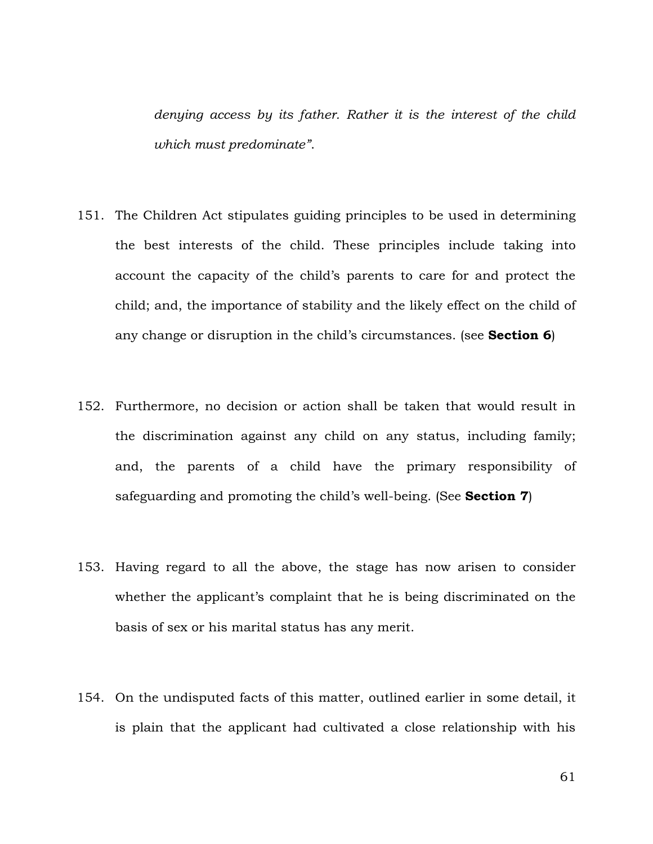*denying access by its father. Rather it is the interest of the child which must predominate"*.

- 151. The Children Act stipulates guiding principles to be used in determining the best interests of the child. These principles include taking into account the capacity of the child's parents to care for and protect the child; and, the importance of stability and the likely effect on the child of any change or disruption in the child's circumstances. (see **Section 6**)
- 152. Furthermore, no decision or action shall be taken that would result in the discrimination against any child on any status, including family; and, the parents of a child have the primary responsibility of safeguarding and promoting the child's well-being. (See **Section 7**)
- 153. Having regard to all the above, the stage has now arisen to consider whether the applicant's complaint that he is being discriminated on the basis of sex or his marital status has any merit.
- 154. On the undisputed facts of this matter, outlined earlier in some detail, it is plain that the applicant had cultivated a close relationship with his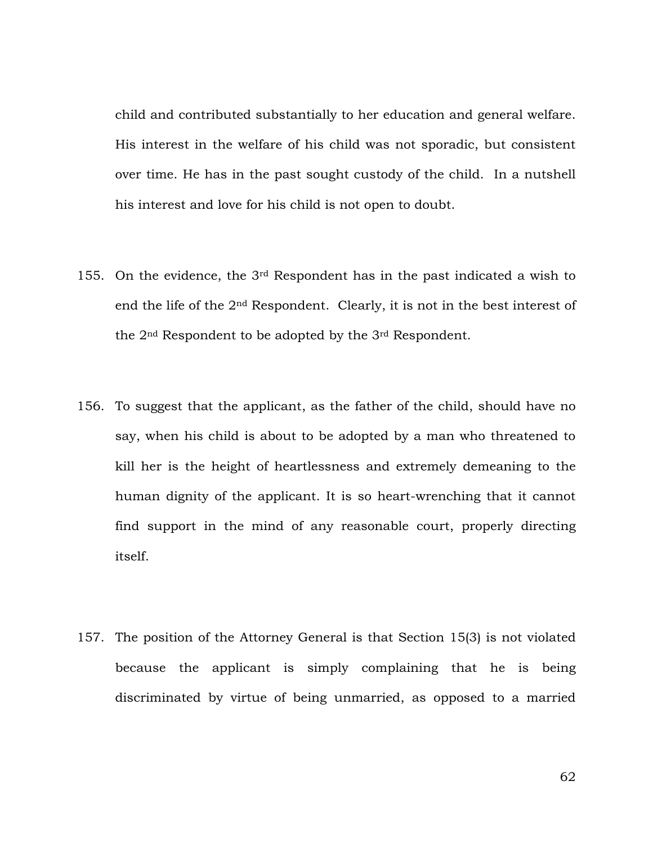child and contributed substantially to her education and general welfare. His interest in the welfare of his child was not sporadic, but consistent over time. He has in the past sought custody of the child. In a nutshell his interest and love for his child is not open to doubt.

- 155. On the evidence, the 3rd Respondent has in the past indicated a wish to end the life of the 2nd Respondent. Clearly, it is not in the best interest of the 2nd Respondent to be adopted by the 3rd Respondent.
- 156. To suggest that the applicant, as the father of the child, should have no say, when his child is about to be adopted by a man who threatened to kill her is the height of heartlessness and extremely demeaning to the human dignity of the applicant. It is so heart-wrenching that it cannot find support in the mind of any reasonable court, properly directing itself.
- 157. The position of the Attorney General is that Section 15(3) is not violated because the applicant is simply complaining that he is being discriminated by virtue of being unmarried, as opposed to a married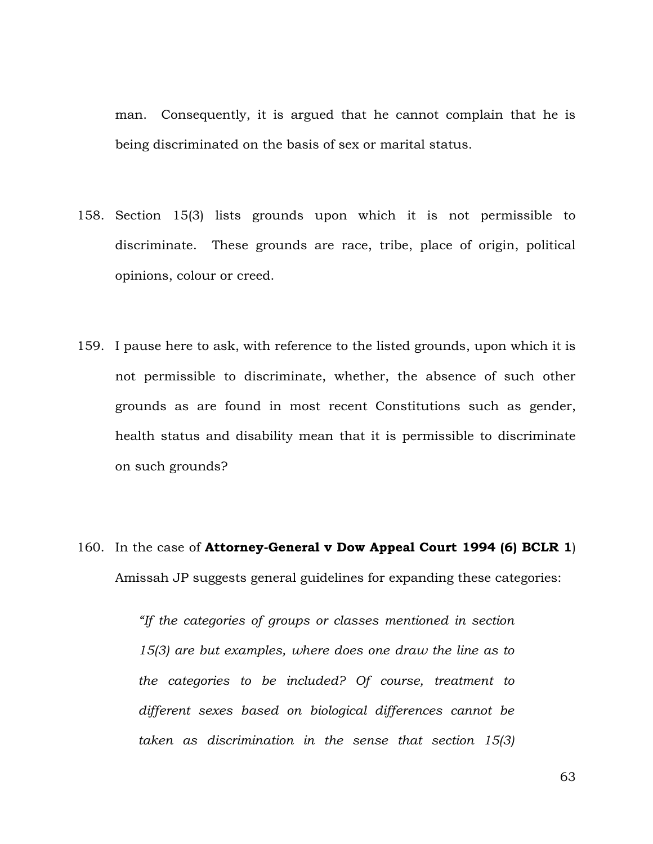man. Consequently, it is argued that he cannot complain that he is being discriminated on the basis of sex or marital status.

- 158. Section 15(3) lists grounds upon which it is not permissible to discriminate. These grounds are race, tribe, place of origin, political opinions, colour or creed.
- 159. I pause here to ask, with reference to the listed grounds, upon which it is not permissible to discriminate, whether, the absence of such other grounds as are found in most recent Constitutions such as gender, health status and disability mean that it is permissible to discriminate on such grounds?
- 160. In the case of **Attorney-General v Dow Appeal Court 1994 (6) BCLR 1**) Amissah JP suggests general guidelines for expanding these categories:

*"If the categories of groups or classes mentioned in section 15(3) are but examples, where does one draw the line as to the categories to be included? Of course, treatment to different sexes based on biological differences cannot be taken as discrimination in the sense that section 15(3)*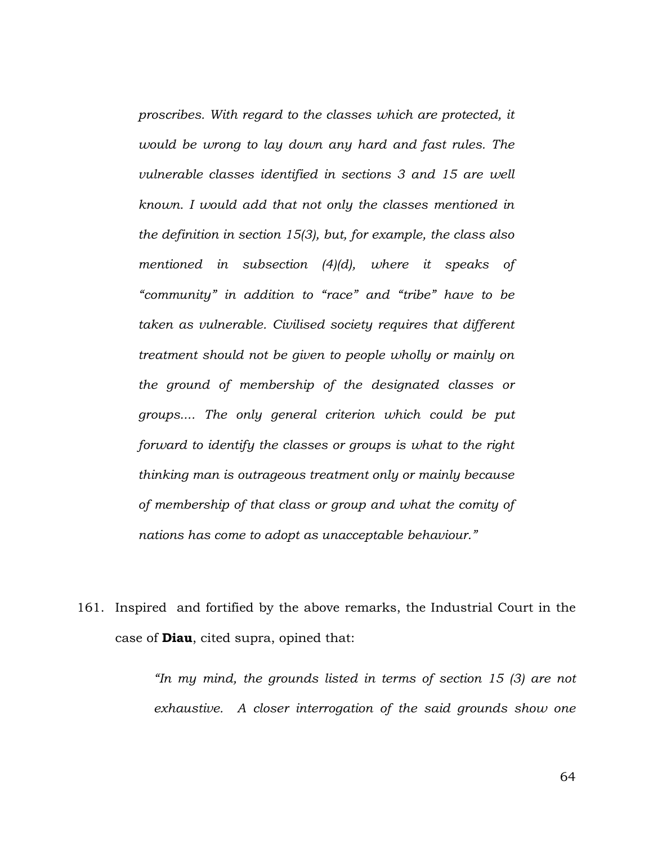*proscribes. With regard to the classes which are protected, it would be wrong to lay down any hard and fast rules. The vulnerable classes identified in sections 3 and 15 are well known. I would add that not only the classes mentioned in the definition in section 15(3), but, for example, the class also mentioned in subsection (4)(d), where it speaks of "community" in addition to "race" and "tribe" have to be taken as vulnerable. Civilised society requires that different treatment should not be given to people wholly or mainly on the ground of membership of the designated classes or groups.... The only general criterion which could be put forward to identify the classes or groups is what to the right thinking man is outrageous treatment only or mainly because of membership of that class or group and what the comity of nations has come to adopt as unacceptable behaviour."*

161. Inspired and fortified by the above remarks, the Industrial Court in the case of **Diau**, cited supra, opined that:

> *"In my mind, the grounds listed in terms of section 15 (3) are not exhaustive. A closer interrogation of the said grounds show one*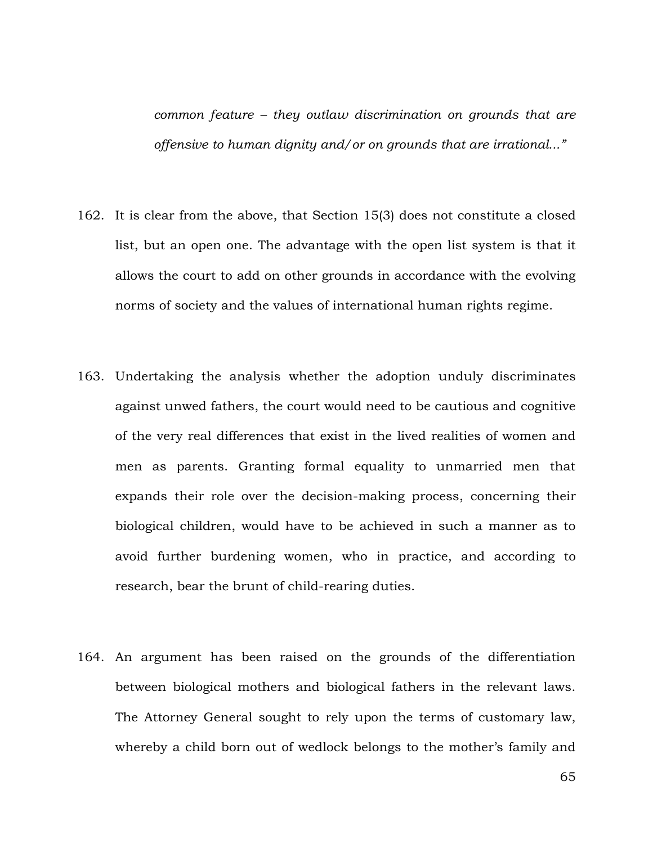*common feature – they outlaw discrimination on grounds that are offensive to human dignity and/or on grounds that are irrational..."*

- 162. It is clear from the above, that Section 15(3) does not constitute a closed list, but an open one. The advantage with the open list system is that it allows the court to add on other grounds in accordance with the evolving norms of society and the values of international human rights regime.
- 163. Undertaking the analysis whether the adoption unduly discriminates against unwed fathers, the court would need to be cautious and cognitive of the very real differences that exist in the lived realities of women and men as parents. Granting formal equality to unmarried men that expands their role over the decision-making process, concerning their biological children, would have to be achieved in such a manner as to avoid further burdening women, who in practice, and according to research, bear the brunt of child-rearing duties.
- 164. An argument has been raised on the grounds of the differentiation between biological mothers and biological fathers in the relevant laws. The Attorney General sought to rely upon the terms of customary law, whereby a child born out of wedlock belongs to the mother's family and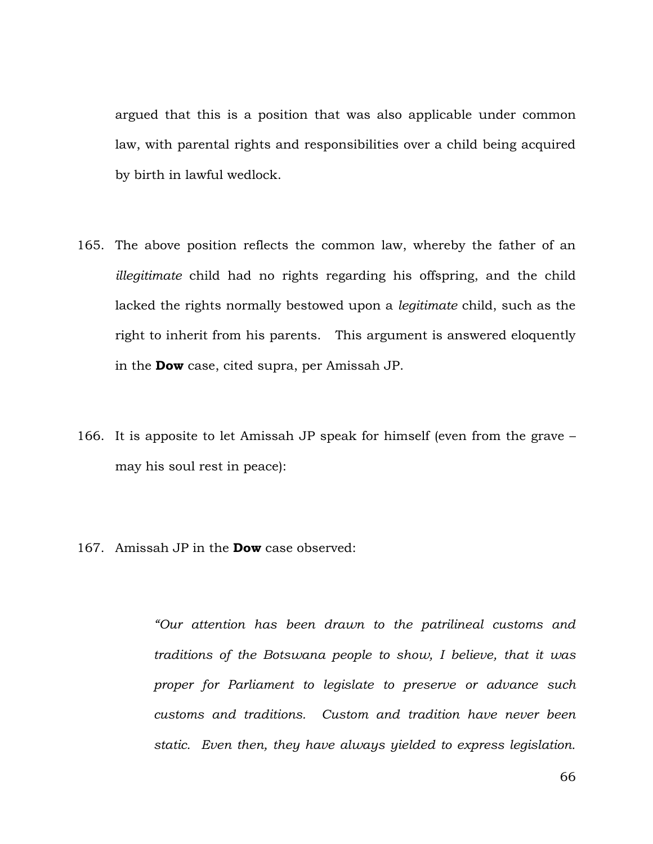argued that this is a position that was also applicable under common law, with parental rights and responsibilities over a child being acquired by birth in lawful wedlock.

- 165. The above position reflects the common law, whereby the father of an *illegitimate* child had no rights regarding his offspring, and the child lacked the rights normally bestowed upon a *legitimate* child, such as the right to inherit from his parents. This argument is answered eloquently in the **Dow** case, cited supra, per Amissah JP.
- 166. It is apposite to let Amissah JP speak for himself (even from the grave may his soul rest in peace):
- 167. Amissah JP in the **Dow** case observed:

*"Our attention has been drawn to the patrilineal customs and traditions of the Botswana people to show, I believe, that it was proper for Parliament to legislate to preserve or advance such customs and traditions. Custom and tradition have never been static. Even then, they have always yielded to express legislation.*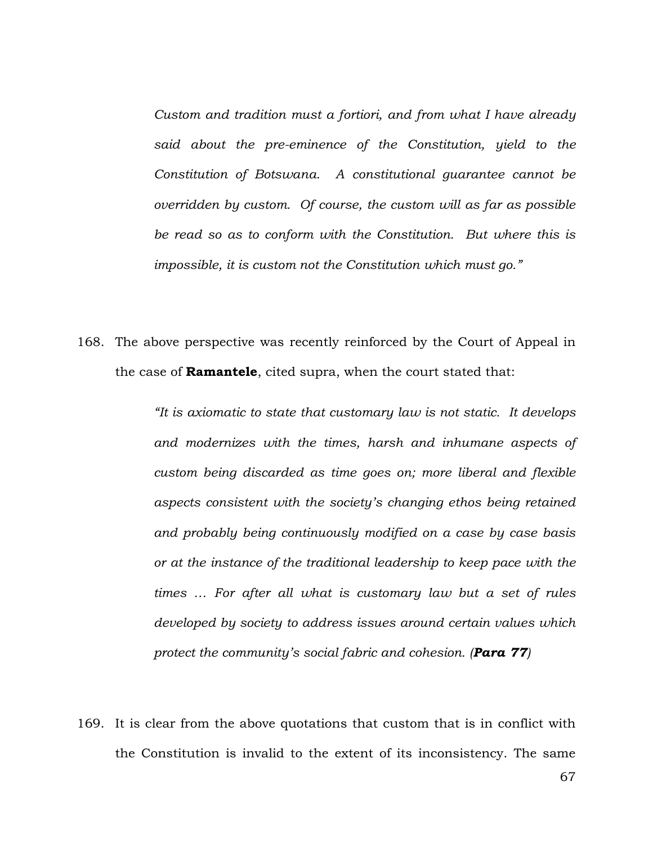*Custom and tradition must a fortiori, and from what I have already said about the pre-eminence of the Constitution, yield to the Constitution of Botswana. A constitutional guarantee cannot be overridden by custom. Of course, the custom will as far as possible be read so as to conform with the Constitution. But where this is impossible, it is custom not the Constitution which must go."*

168. The above perspective was recently reinforced by the Court of Appeal in the case of **Ramantele**, cited supra, when the court stated that:

> *"It is axiomatic to state that customary law is not static. It develops and modernizes with the times, harsh and inhumane aspects of custom being discarded as time goes on; more liberal and flexible aspects consistent with the society's changing ethos being retained and probably being continuously modified on a case by case basis or at the instance of the traditional leadership to keep pace with the times … For after all what is customary law but a set of rules developed by society to address issues around certain values which protect the community's social fabric and cohesion. (Para 77)*

169. It is clear from the above quotations that custom that is in conflict with the Constitution is invalid to the extent of its inconsistency. The same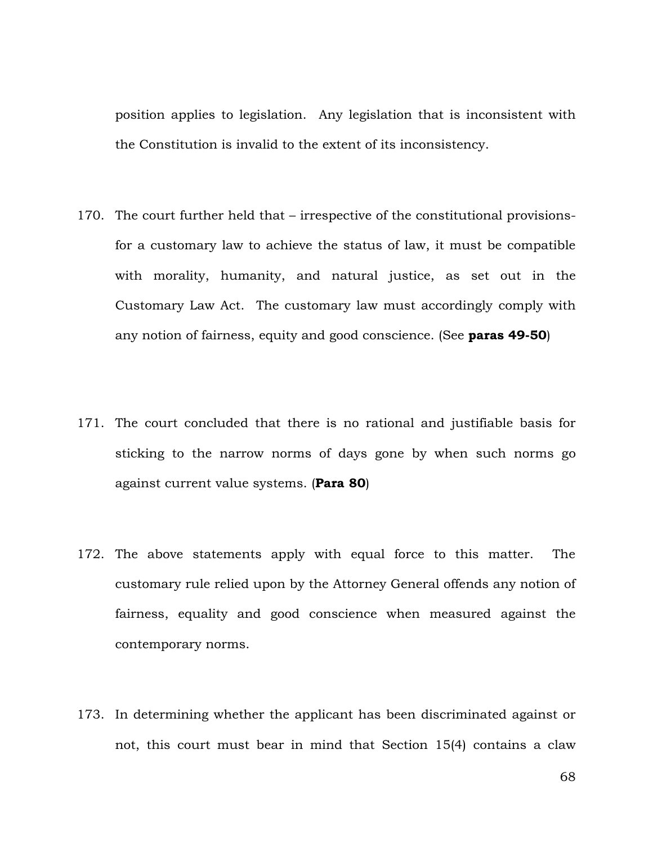position applies to legislation. Any legislation that is inconsistent with the Constitution is invalid to the extent of its inconsistency.

- 170. The court further held that irrespective of the constitutional provisionsfor a customary law to achieve the status of law, it must be compatible with morality, humanity, and natural justice, as set out in the Customary Law Act. The customary law must accordingly comply with any notion of fairness, equity and good conscience. (See **paras 49-50**)
- 171. The court concluded that there is no rational and justifiable basis for sticking to the narrow norms of days gone by when such norms go against current value systems. (**Para 80**)
- 172. The above statements apply with equal force to this matter. The customary rule relied upon by the Attorney General offends any notion of fairness, equality and good conscience when measured against the contemporary norms.
- 173. In determining whether the applicant has been discriminated against or not, this court must bear in mind that Section 15(4) contains a claw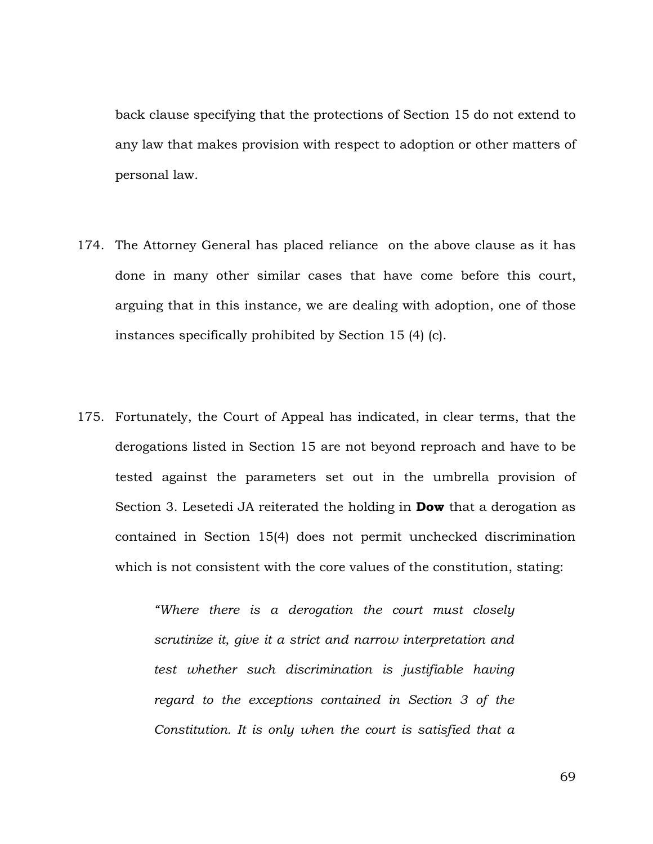back clause specifying that the protections of Section 15 do not extend to any law that makes provision with respect to adoption or other matters of personal law.

- 174. The Attorney General has placed reliance on the above clause as it has done in many other similar cases that have come before this court, arguing that in this instance, we are dealing with adoption, one of those instances specifically prohibited by Section 15 (4) (c).
- 175. Fortunately, the Court of Appeal has indicated, in clear terms, that the derogations listed in Section 15 are not beyond reproach and have to be tested against the parameters set out in the umbrella provision of Section 3. Lesetedi JA reiterated the holding in **Dow** that a derogation as contained in Section 15(4) does not permit unchecked discrimination which is not consistent with the core values of the constitution, stating:

*"Where there is a derogation the court must closely scrutinize it, give it a strict and narrow interpretation and test whether such discrimination is justifiable having regard to the exceptions contained in Section 3 of the Constitution. It is only when the court is satisfied that a*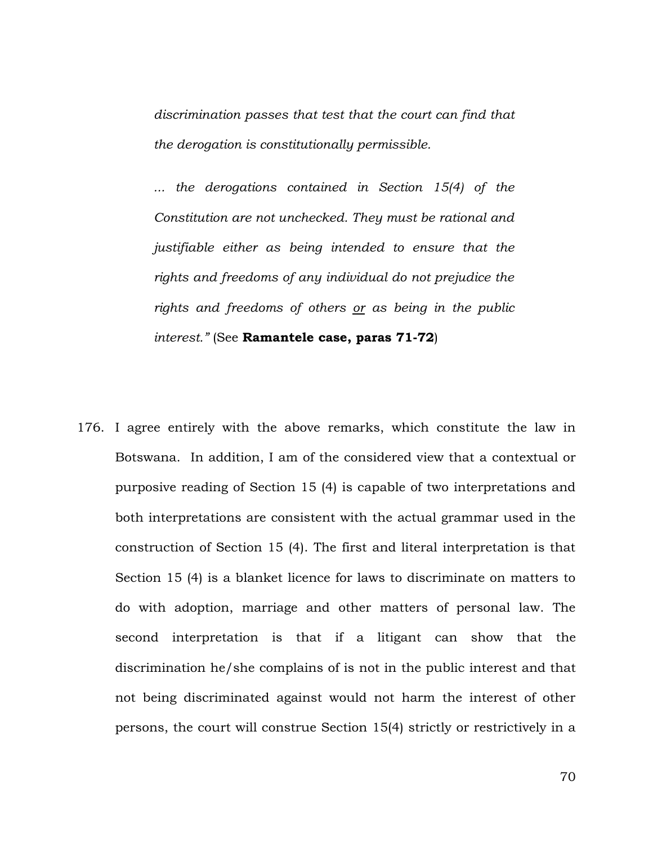*discrimination passes that test that the court can find that the derogation is constitutionally permissible.*

*... the derogations contained in Section 15(4) of the Constitution are not unchecked. They must be rational and justifiable either as being intended to ensure that the rights and freedoms of any individual do not prejudice the rights and freedoms of others or as being in the public interest."* (See **Ramantele case, paras 71-72**)

176. I agree entirely with the above remarks, which constitute the law in Botswana. In addition, I am of the considered view that a contextual or purposive reading of Section 15 (4) is capable of two interpretations and both interpretations are consistent with the actual grammar used in the construction of Section 15 (4). The first and literal interpretation is that Section 15 (4) is a blanket licence for laws to discriminate on matters to do with adoption, marriage and other matters of personal law. The second interpretation is that if a litigant can show that the discrimination he/she complains of is not in the public interest and that not being discriminated against would not harm the interest of other persons, the court will construe Section 15(4) strictly or restrictively in a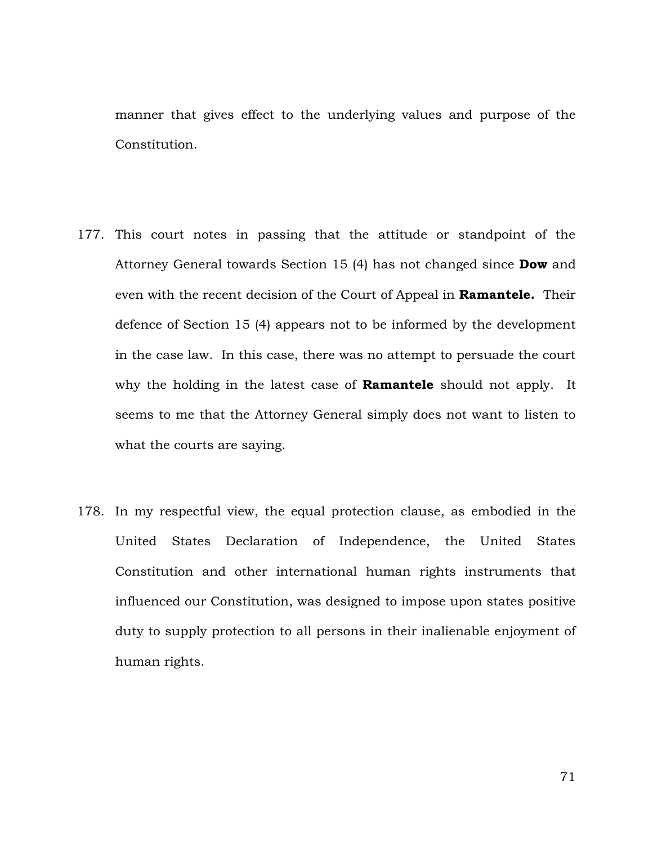manner that gives effect to the underlying values and purpose of the Constitution.

- 177. This court notes in passing that the attitude or standpoint of the Attorney General towards Section 15 (4) has not changed since **Dow** and even with the recent decision of the Court of Appeal in **Ramantele.** Their defence of Section 15 (4) appears not to be informed by the development in the case law. In this case, there was no attempt to persuade the court why the holding in the latest case of **Ramantele** should not apply. It seems to me that the Attorney General simply does not want to listen to what the courts are saying.
- 178. In my respectful view, the equal protection clause, as embodied in the United States Declaration of Independence, the United States Constitution and other international human rights instruments that influenced our Constitution, was designed to impose upon states positive duty to supply protection to all persons in their inalienable enjoyment of human rights.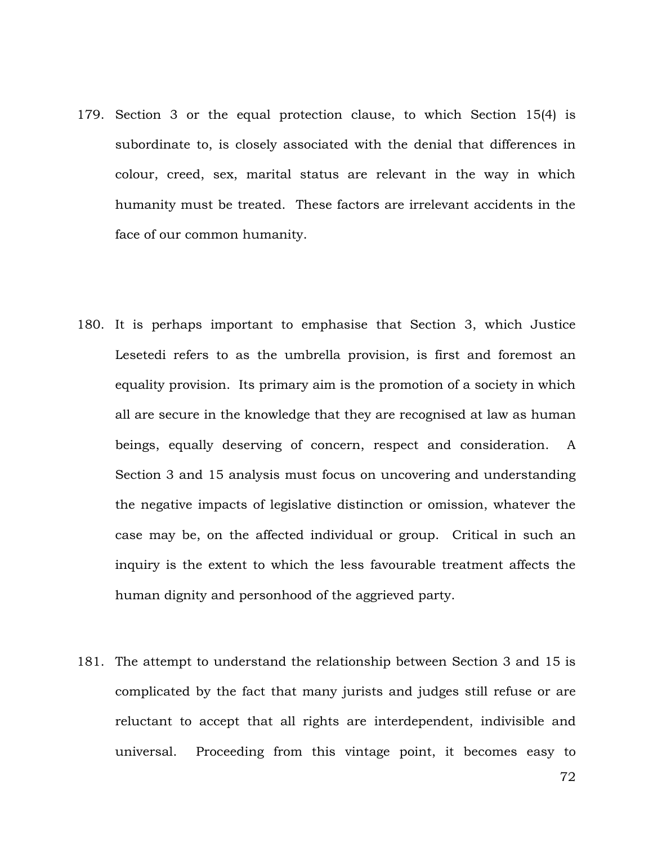- 179. Section 3 or the equal protection clause, to which Section 15(4) is subordinate to, is closely associated with the denial that differences in colour, creed, sex, marital status are relevant in the way in which humanity must be treated. These factors are irrelevant accidents in the face of our common humanity.
- 180. It is perhaps important to emphasise that Section 3, which Justice Lesetedi refers to as the umbrella provision, is first and foremost an equality provision. Its primary aim is the promotion of a society in which all are secure in the knowledge that they are recognised at law as human beings, equally deserving of concern, respect and consideration. A Section 3 and 15 analysis must focus on uncovering and understanding the negative impacts of legislative distinction or omission, whatever the case may be, on the affected individual or group. Critical in such an inquiry is the extent to which the less favourable treatment affects the human dignity and personhood of the aggrieved party.
- 181. The attempt to understand the relationship between Section 3 and 15 is complicated by the fact that many jurists and judges still refuse or are reluctant to accept that all rights are interdependent, indivisible and universal. Proceeding from this vintage point, it becomes easy to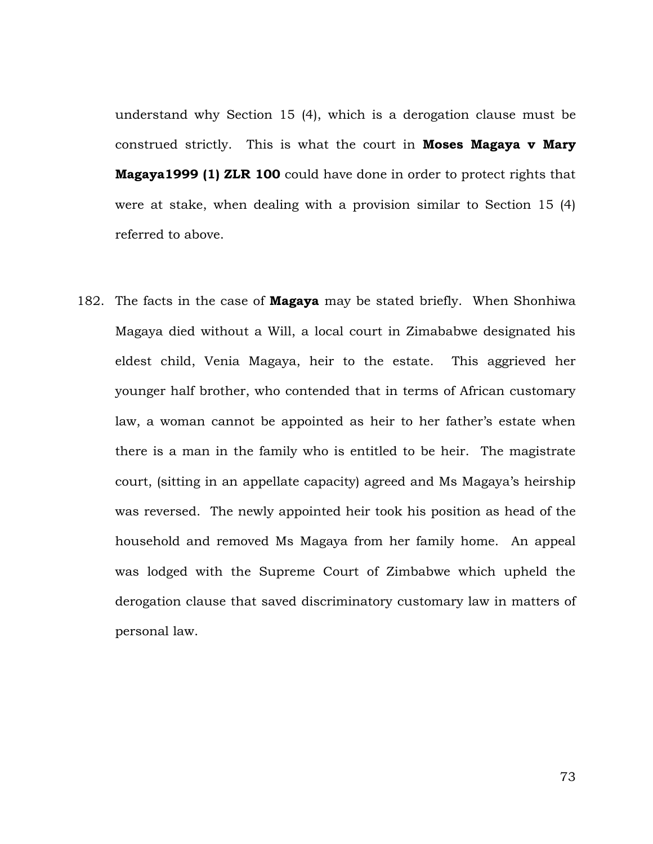understand why Section 15 (4), which is a derogation clause must be construed strictly. This is what the court in **Moses Magaya v Mary Magaya1999 (1) ZLR 100** could have done in order to protect rights that were at stake, when dealing with a provision similar to Section 15 (4) referred to above.

182. The facts in the case of **Magaya** may be stated briefly. When Shonhiwa Magaya died without a Will, a local court in Zimababwe designated his eldest child, Venia Magaya, heir to the estate. This aggrieved her younger half brother, who contended that in terms of African customary law, a woman cannot be appointed as heir to her father's estate when there is a man in the family who is entitled to be heir. The magistrate court, (sitting in an appellate capacity) agreed and Ms Magaya's heirship was reversed. The newly appointed heir took his position as head of the household and removed Ms Magaya from her family home. An appeal was lodged with the Supreme Court of Zimbabwe which upheld the derogation clause that saved discriminatory customary law in matters of personal law.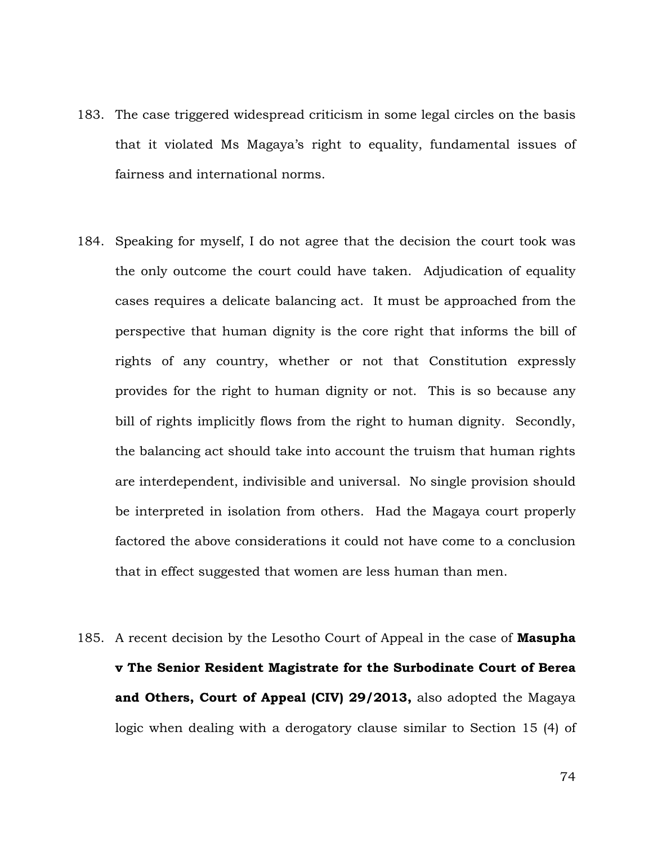- 183. The case triggered widespread criticism in some legal circles on the basis that it violated Ms Magaya's right to equality, fundamental issues of fairness and international norms.
- 184. Speaking for myself, I do not agree that the decision the court took was the only outcome the court could have taken. Adjudication of equality cases requires a delicate balancing act. It must be approached from the perspective that human dignity is the core right that informs the bill of rights of any country, whether or not that Constitution expressly provides for the right to human dignity or not. This is so because any bill of rights implicitly flows from the right to human dignity. Secondly, the balancing act should take into account the truism that human rights are interdependent, indivisible and universal. No single provision should be interpreted in isolation from others. Had the Magaya court properly factored the above considerations it could not have come to a conclusion that in effect suggested that women are less human than men.
- 185. A recent decision by the Lesotho Court of Appeal in the case of **Masupha v The Senior Resident Magistrate for the Surbodinate Court of Berea and Others, Court of Appeal (CIV) 29/2013,** also adopted the Magaya logic when dealing with a derogatory clause similar to Section 15 (4) of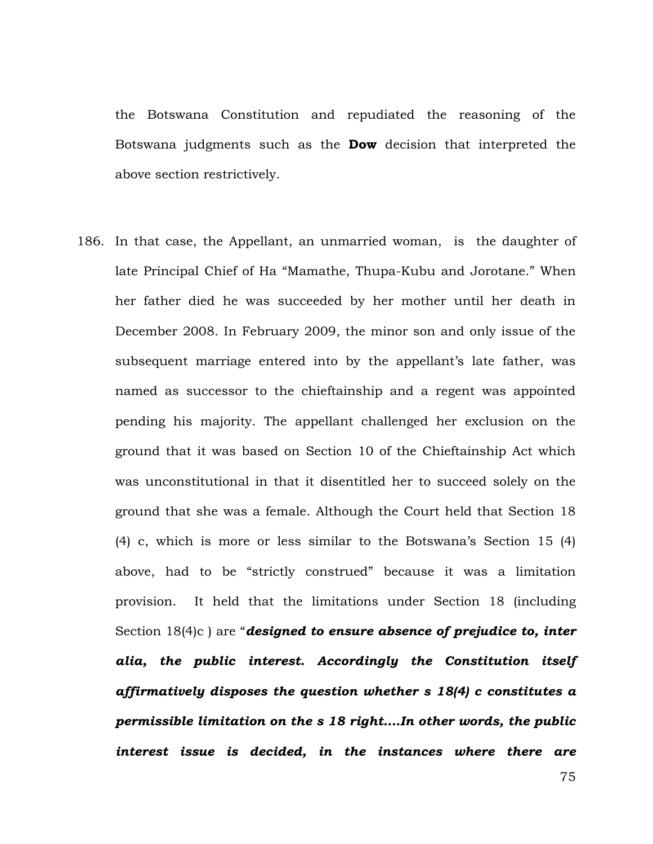the Botswana Constitution and repudiated the reasoning of the Botswana judgments such as the **Dow** decision that interpreted the above section restrictively.

186. In that case, the Appellant, an unmarried woman, is the daughter of late Principal Chief of Ha "Mamathe, Thupa-Kubu and Jorotane." When her father died he was succeeded by her mother until her death in December 2008. In February 2009, the minor son and only issue of the subsequent marriage entered into by the appellant's late father, was named as successor to the chieftainship and a regent was appointed pending his majority. The appellant challenged her exclusion on the ground that it was based on Section 10 of the Chieftainship Act which was unconstitutional in that it disentitled her to succeed solely on the ground that she was a female. Although the Court held that Section 18 (4) c, which is more or less similar to the Botswana's Section 15 (4) above, had to be "strictly construed" because it was a limitation provision. It held that the limitations under Section 18 (including Section 18(4)c ) are "*designed to ensure absence of prejudice to, inter alia, the public interest. Accordingly the Constitution itself affirmatively disposes the question whether s 18(4) c constitutes a permissible limitation on the s 18 right….In other words, the public interest issue is decided, in the instances where there are*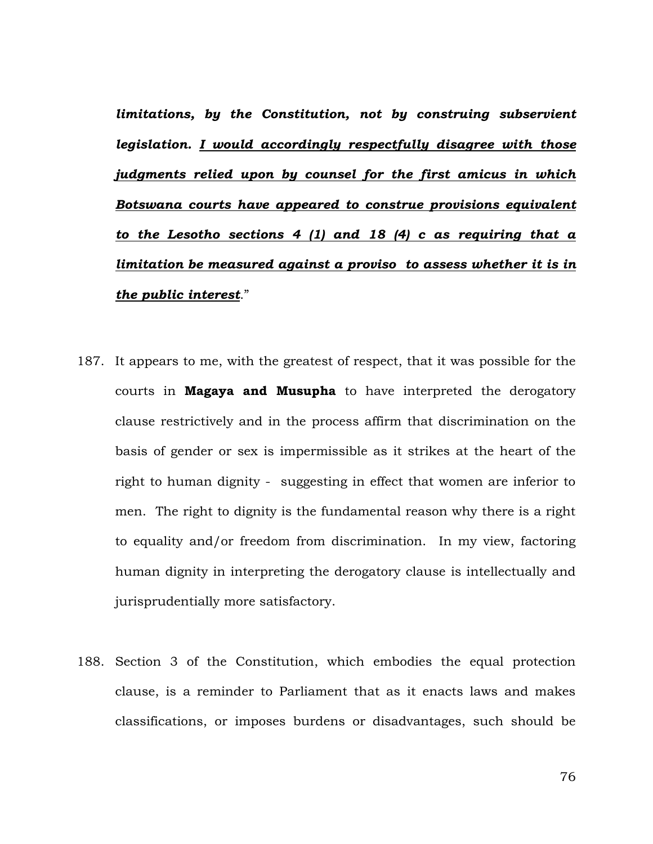*limitations, by the Constitution, not by construing subservient legislation. I would accordingly respectfully disagree with those judgments relied upon by counsel for the first amicus in which Botswana courts have appeared to construe provisions equivalent to the Lesotho sections 4 (1) and 18 (4) c as requiring that a limitation be measured against a proviso to assess whether it is in the public interest*."

- 187. It appears to me, with the greatest of respect, that it was possible for the courts in **Magaya and Musupha** to have interpreted the derogatory clause restrictively and in the process affirm that discrimination on the basis of gender or sex is impermissible as it strikes at the heart of the right to human dignity - suggesting in effect that women are inferior to men. The right to dignity is the fundamental reason why there is a right to equality and/or freedom from discrimination. In my view, factoring human dignity in interpreting the derogatory clause is intellectually and jurisprudentially more satisfactory.
- 188. Section 3 of the Constitution, which embodies the equal protection clause, is a reminder to Parliament that as it enacts laws and makes classifications, or imposes burdens or disadvantages, such should be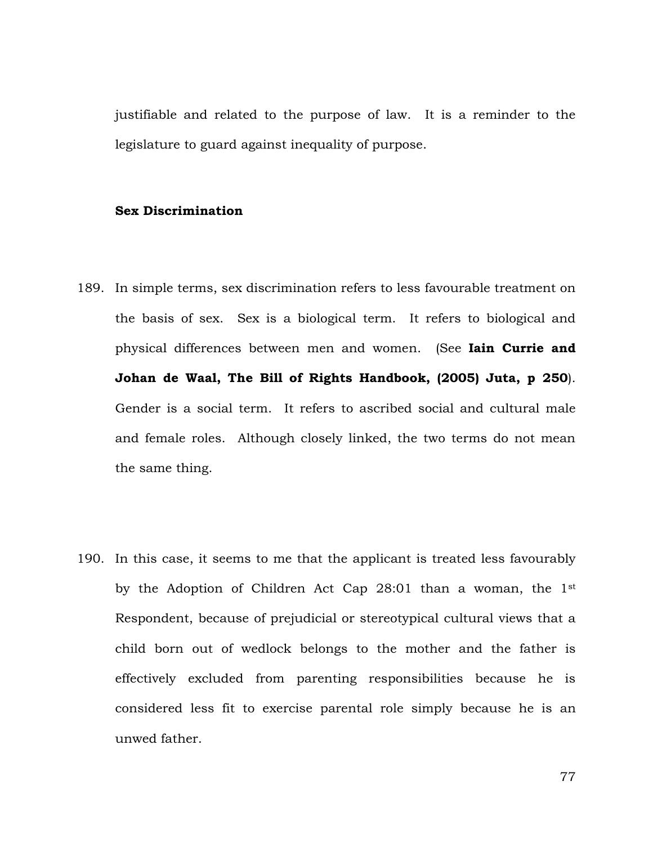justifiable and related to the purpose of law. It is a reminder to the legislature to guard against inequality of purpose.

## **Sex Discrimination**

- 189. In simple terms, sex discrimination refers to less favourable treatment on the basis of sex. Sex is a biological term. It refers to biological and physical differences between men and women. (See **Iain Currie and Johan de Waal, The Bill of Rights Handbook, (2005) Juta, p 250**). Gender is a social term. It refers to ascribed social and cultural male and female roles. Although closely linked, the two terms do not mean the same thing.
- 190. In this case, it seems to me that the applicant is treated less favourably by the Adoption of Children Act Cap 28:01 than a woman, the 1st Respondent, because of prejudicial or stereotypical cultural views that a child born out of wedlock belongs to the mother and the father is effectively excluded from parenting responsibilities because he is considered less fit to exercise parental role simply because he is an unwed father.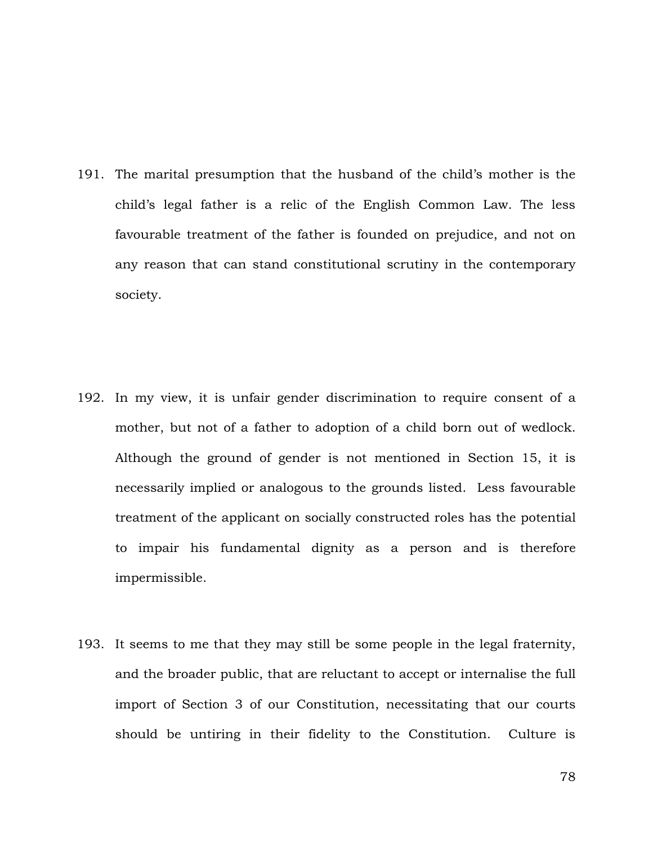191. The marital presumption that the husband of the child's mother is the child's legal father is a relic of the English Common Law. The less favourable treatment of the father is founded on prejudice, and not on any reason that can stand constitutional scrutiny in the contemporary society.

- 192. In my view, it is unfair gender discrimination to require consent of a mother, but not of a father to adoption of a child born out of wedlock. Although the ground of gender is not mentioned in Section 15, it is necessarily implied or analogous to the grounds listed. Less favourable treatment of the applicant on socially constructed roles has the potential to impair his fundamental dignity as a person and is therefore impermissible.
- 193. It seems to me that they may still be some people in the legal fraternity, and the broader public, that are reluctant to accept or internalise the full import of Section 3 of our Constitution, necessitating that our courts should be untiring in their fidelity to the Constitution. Culture is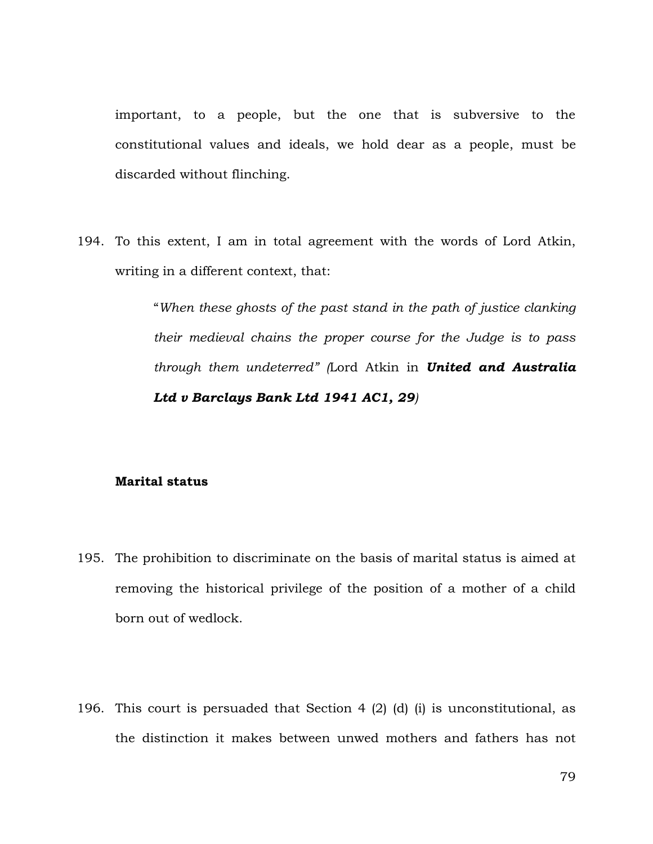important, to a people, but the one that is subversive to the constitutional values and ideals, we hold dear as a people, must be discarded without flinching.

194. To this extent, I am in total agreement with the words of Lord Atkin, writing in a different context, that:

> "*When these ghosts of the past stand in the path of justice clanking their medieval chains the proper course for the Judge is to pass through them undeterred" (*Lord Atkin in *United and Australia Ltd v Barclays Bank Ltd 1941 AC1, 29)*

## **Marital status**

- 195. The prohibition to discriminate on the basis of marital status is aimed at removing the historical privilege of the position of a mother of a child born out of wedlock.
- 196. This court is persuaded that Section 4 (2) (d) (i) is unconstitutional, as the distinction it makes between unwed mothers and fathers has not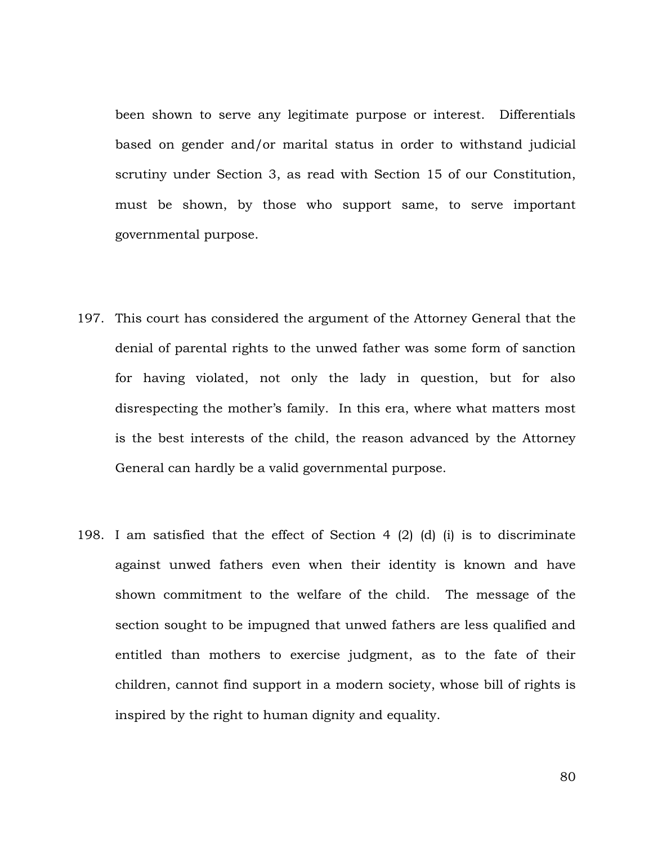been shown to serve any legitimate purpose or interest. Differentials based on gender and/or marital status in order to withstand judicial scrutiny under Section 3, as read with Section 15 of our Constitution, must be shown, by those who support same, to serve important governmental purpose.

- 197. This court has considered the argument of the Attorney General that the denial of parental rights to the unwed father was some form of sanction for having violated, not only the lady in question, but for also disrespecting the mother's family. In this era, where what matters most is the best interests of the child, the reason advanced by the Attorney General can hardly be a valid governmental purpose.
- 198. I am satisfied that the effect of Section 4 (2) (d) (i) is to discriminate against unwed fathers even when their identity is known and have shown commitment to the welfare of the child. The message of the section sought to be impugned that unwed fathers are less qualified and entitled than mothers to exercise judgment, as to the fate of their children, cannot find support in a modern society, whose bill of rights is inspired by the right to human dignity and equality.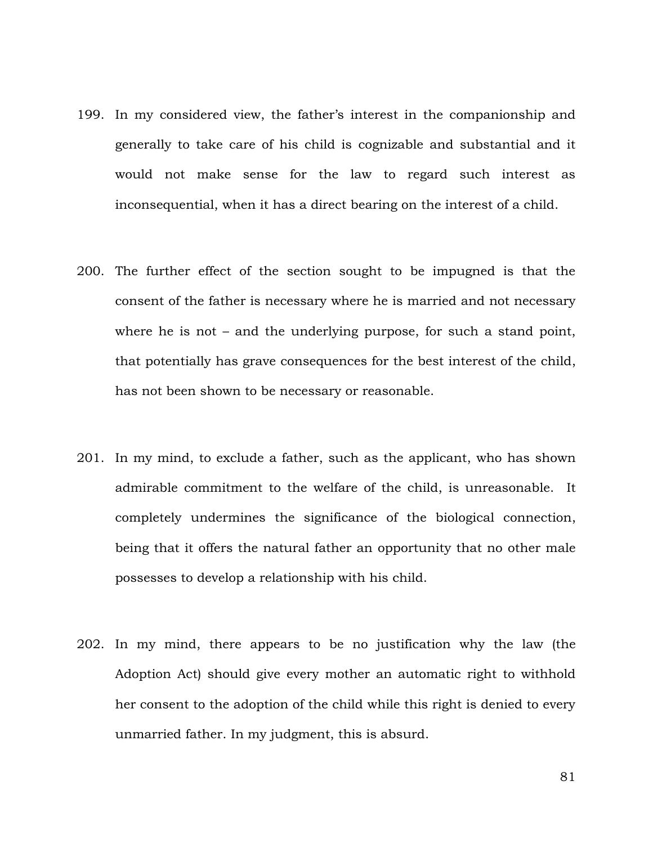- 199. In my considered view, the father's interest in the companionship and generally to take care of his child is cognizable and substantial and it would not make sense for the law to regard such interest as inconsequential, when it has a direct bearing on the interest of a child.
- 200. The further effect of the section sought to be impugned is that the consent of the father is necessary where he is married and not necessary where he is not – and the underlying purpose, for such a stand point, that potentially has grave consequences for the best interest of the child, has not been shown to be necessary or reasonable.
- 201. In my mind, to exclude a father, such as the applicant, who has shown admirable commitment to the welfare of the child, is unreasonable. It completely undermines the significance of the biological connection, being that it offers the natural father an opportunity that no other male possesses to develop a relationship with his child.
- 202. In my mind, there appears to be no justification why the law (the Adoption Act) should give every mother an automatic right to withhold her consent to the adoption of the child while this right is denied to every unmarried father. In my judgment, this is absurd.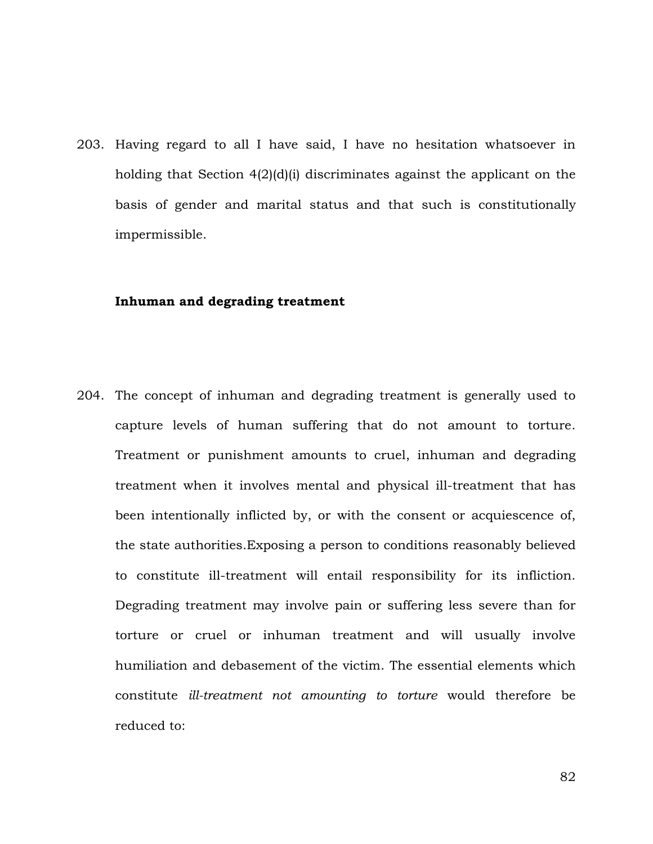203. Having regard to all I have said, I have no hesitation whatsoever in holding that Section 4(2)(d)(i) discriminates against the applicant on the basis of gender and marital status and that such is constitutionally impermissible.

## **Inhuman and degrading treatment**

204. The concept of inhuman and degrading treatment is generally used to capture levels of human suffering that do not amount to torture. Treatment or punishment amounts to cruel, inhuman and degrading treatment when it involves mental and physical ill-treatment that has been intentionally inflicted by, or with the consent or acquiescence of, the state authorities.Exposing a person to conditions reasonably believed to constitute ill-treatment will entail responsibility for its infliction. Degrading treatment may involve pain or suffering less severe than for torture or cruel or inhuman treatment and will usually involve humiliation and debasement of the victim. The essential elements which constitute *ill-treatment not amounting to torture* would therefore be reduced to: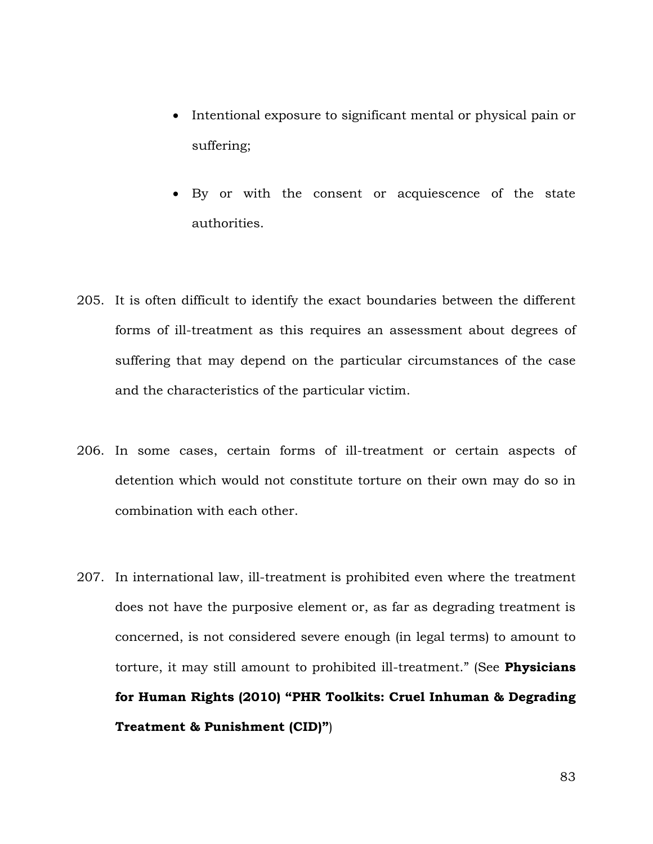- Intentional exposure to significant mental or physical pain or suffering;
- By or with the consent or acquiescence of the state authorities.
- 205. It is often difficult to identify the exact boundaries between the different forms of ill-treatment as this requires an assessment about degrees of suffering that may depend on the particular circumstances of the case and the characteristics of the particular victim.
- 206. In some cases, certain forms of ill-treatment or certain aspects of detention which would not constitute torture on their own may do so in combination with each other.
- 207. In international law, ill-treatment is prohibited even where the treatment does not have the purposive element or, as far as degrading treatment is concerned, is not considered severe enough (in legal terms) to amount to torture, it may still amount to prohibited ill-treatment." (See **Physicians for Human Rights (2010) "PHR Toolkits: Cruel Inhuman & Degrading Treatment & Punishment (CID)"**)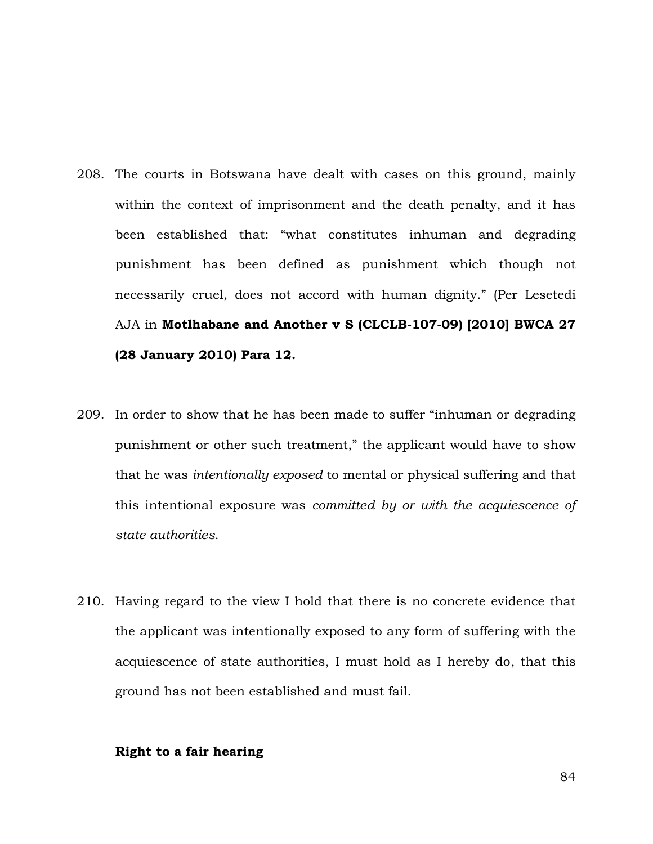- 208. The courts in Botswana have dealt with cases on this ground, mainly within the context of imprisonment and the death penalty, and it has been established that: "what constitutes inhuman and degrading punishment has been defined as punishment which though not necessarily cruel, does not accord with human dignity." (Per Lesetedi AJA in **Motlhabane and Another v S (CLCLB-107-09) [2010] BWCA 27 (28 January 2010) Para 12.**
- 209. In order to show that he has been made to suffer "inhuman or degrading punishment or other such treatment," the applicant would have to show that he was *intentionally exposed* to mental or physical suffering and that this intentional exposure was *committed by or with the acquiescence of state authorities*.
- 210. Having regard to the view I hold that there is no concrete evidence that the applicant was intentionally exposed to any form of suffering with the acquiescence of state authorities, I must hold as I hereby do, that this ground has not been established and must fail.

# **Right to a fair hearing**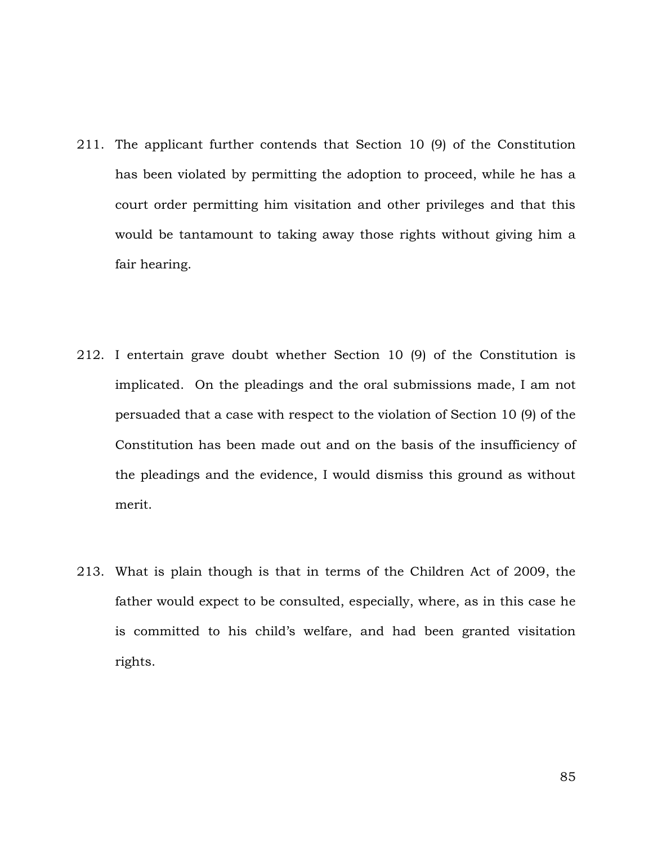- 211. The applicant further contends that Section 10 (9) of the Constitution has been violated by permitting the adoption to proceed, while he has a court order permitting him visitation and other privileges and that this would be tantamount to taking away those rights without giving him a fair hearing.
- 212. I entertain grave doubt whether Section 10 (9) of the Constitution is implicated. On the pleadings and the oral submissions made, I am not persuaded that a case with respect to the violation of Section 10 (9) of the Constitution has been made out and on the basis of the insufficiency of the pleadings and the evidence, I would dismiss this ground as without merit.
- 213. What is plain though is that in terms of the Children Act of 2009, the father would expect to be consulted, especially, where, as in this case he is committed to his child's welfare, and had been granted visitation rights.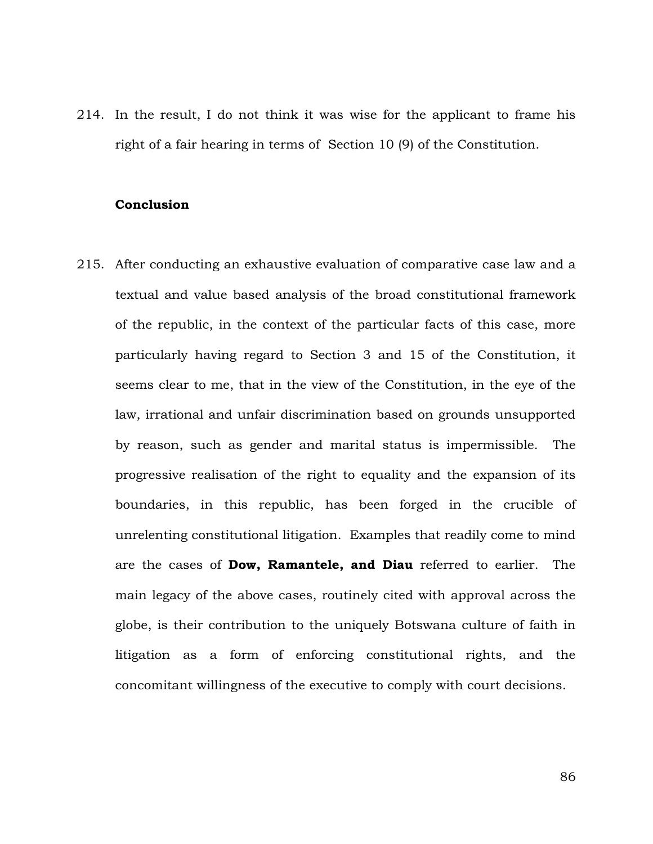214. In the result, I do not think it was wise for the applicant to frame his right of a fair hearing in terms of Section 10 (9) of the Constitution.

#### **Conclusion**

215. After conducting an exhaustive evaluation of comparative case law and a textual and value based analysis of the broad constitutional framework of the republic, in the context of the particular facts of this case, more particularly having regard to Section 3 and 15 of the Constitution, it seems clear to me, that in the view of the Constitution, in the eye of the law, irrational and unfair discrimination based on grounds unsupported by reason, such as gender and marital status is impermissible. The progressive realisation of the right to equality and the expansion of its boundaries, in this republic, has been forged in the crucible of unrelenting constitutional litigation. Examples that readily come to mind are the cases of **Dow, Ramantele, and Diau** referred to earlier. The main legacy of the above cases, routinely cited with approval across the globe, is their contribution to the uniquely Botswana culture of faith in litigation as a form of enforcing constitutional rights, and the concomitant willingness of the executive to comply with court decisions.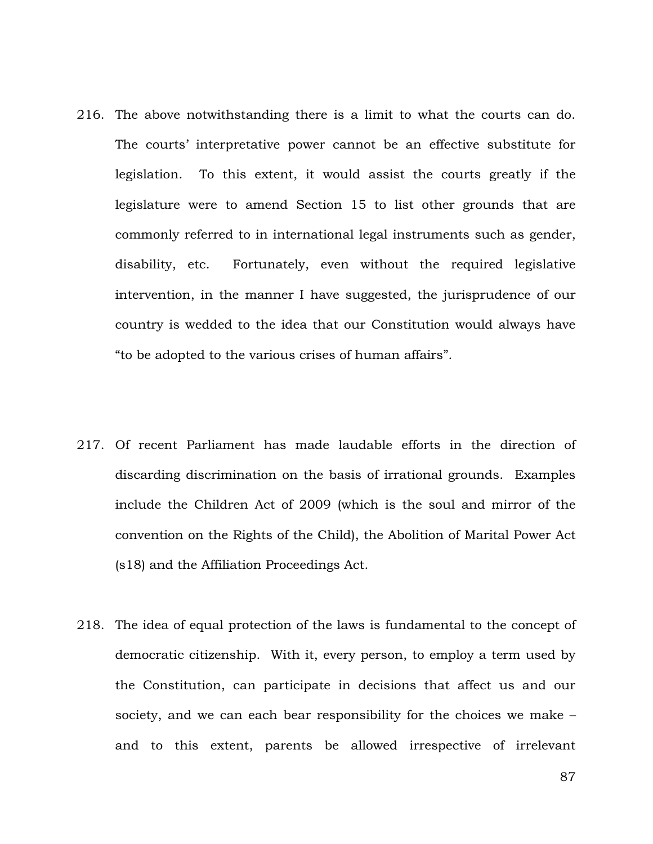- 216. The above notwithstanding there is a limit to what the courts can do. The courts' interpretative power cannot be an effective substitute for legislation. To this extent, it would assist the courts greatly if the legislature were to amend Section 15 to list other grounds that are commonly referred to in international legal instruments such as gender, disability, etc. Fortunately, even without the required legislative intervention, in the manner I have suggested, the jurisprudence of our country is wedded to the idea that our Constitution would always have "to be adopted to the various crises of human affairs".
- 217. Of recent Parliament has made laudable efforts in the direction of discarding discrimination on the basis of irrational grounds. Examples include the Children Act of 2009 (which is the soul and mirror of the convention on the Rights of the Child), the Abolition of Marital Power Act (s18) and the Affiliation Proceedings Act.
- 218. The idea of equal protection of the laws is fundamental to the concept of democratic citizenship. With it, every person, to employ a term used by the Constitution, can participate in decisions that affect us and our society, and we can each bear responsibility for the choices we make – and to this extent, parents be allowed irrespective of irrelevant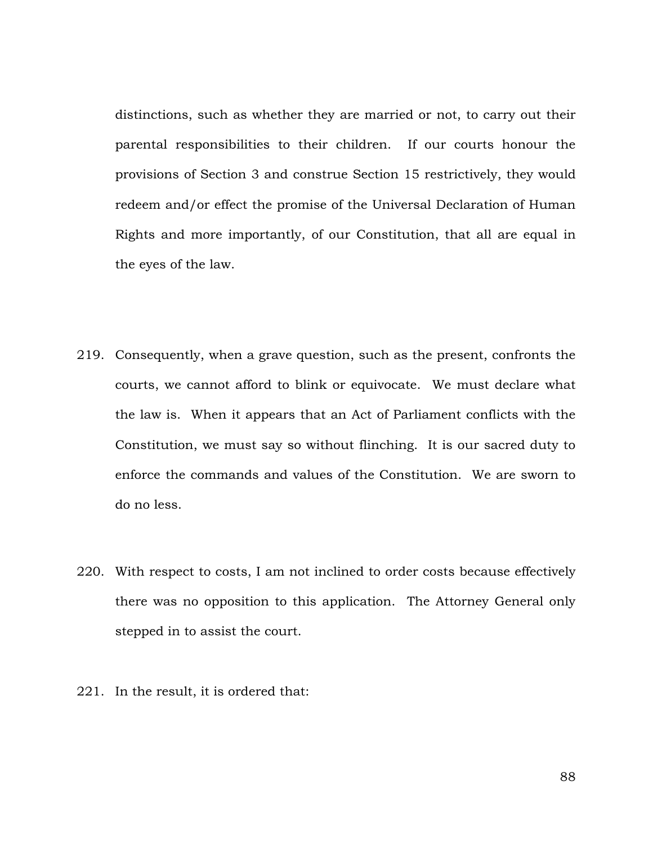distinctions, such as whether they are married or not, to carry out their parental responsibilities to their children. If our courts honour the provisions of Section 3 and construe Section 15 restrictively, they would redeem and/or effect the promise of the Universal Declaration of Human Rights and more importantly, of our Constitution, that all are equal in the eyes of the law.

- 219. Consequently, when a grave question, such as the present, confronts the courts, we cannot afford to blink or equivocate. We must declare what the law is. When it appears that an Act of Parliament conflicts with the Constitution, we must say so without flinching. It is our sacred duty to enforce the commands and values of the Constitution. We are sworn to do no less.
- 220. With respect to costs, I am not inclined to order costs because effectively there was no opposition to this application. The Attorney General only stepped in to assist the court.
- 221. In the result, it is ordered that: